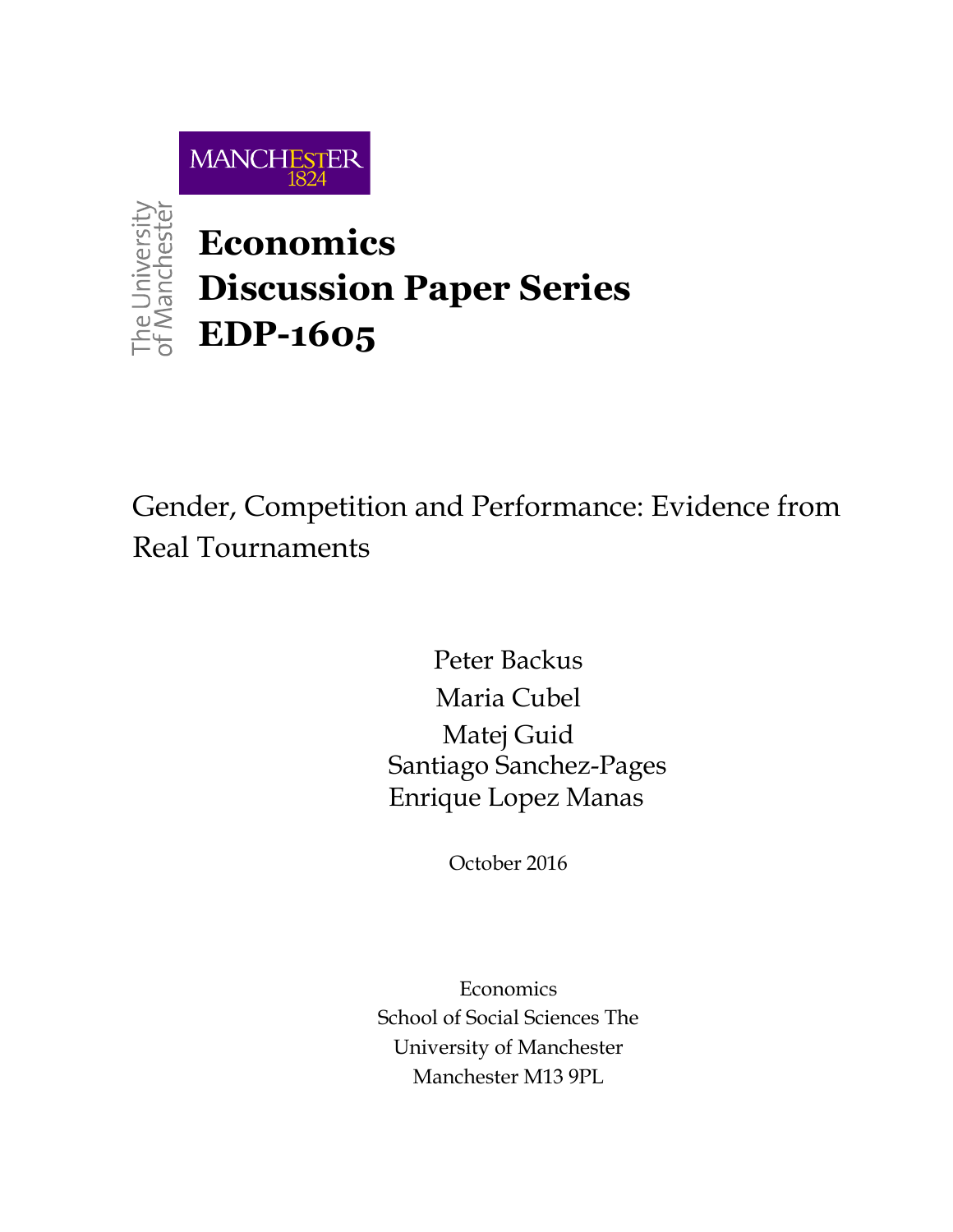

The University<br>of Manchester

# **Economics Discussion Paper Series EDP-1605**

Gender, Competition and Performance: Evidence from Real Tournaments

> Peter Backus Maria Cubel Matej Guid Santiago Sanchez-Pages Enrique Lopez Manas

> > October 2016

**Economics** School of Social Sciences The University of Manchester Manchester M13 9PL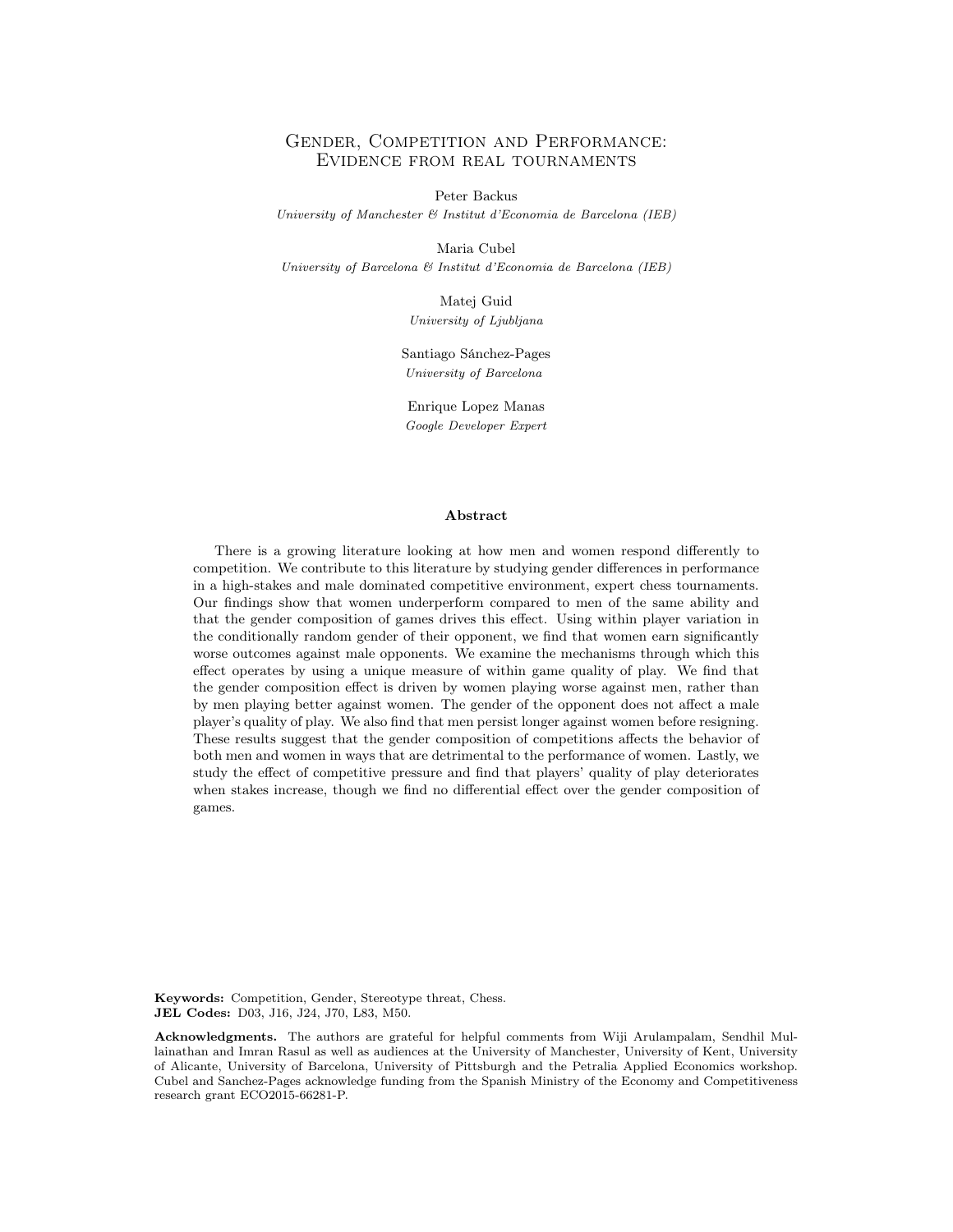# Gender, Competition and Performance: Evidence from real tournaments

Peter Backus

*University of Manchester & Institut d'Economia de Barcelona (IEB)*

Maria Cubel *University of Barcelona & Institut d'Economia de Barcelona (IEB)*

> Matej Guid *University of Ljubljana*

Santiago Sánchez-Pages *University of Barcelona*

Enrique Lopez Manas *Google Developer Expert*

## Abstract

There is a growing literature looking at how men and women respond differently to competition. We contribute to this literature by studying gender differences in performance in a high-stakes and male dominated competitive environment, expert chess tournaments. Our findings show that women underperform compared to men of the same ability and that the gender composition of games drives this effect. Using within player variation in the conditionally random gender of their opponent, we find that women earn significantly worse outcomes against male opponents. We examine the mechanisms through which this effect operates by using a unique measure of within game quality of play. We find that the gender composition effect is driven by women playing worse against men, rather than by men playing better against women. The gender of the opponent does not affect a male player's quality of play. We also find that men persist longer against women before resigning. These results suggest that the gender composition of competitions affects the behavior of both men and women in ways that are detrimental to the performance of women. Lastly, we study the effect of competitive pressure and find that players' quality of play deteriorates when stakes increase, though we find no differential effect over the gender composition of games.

Keywords: Competition, Gender, Stereotype threat, Chess. JEL Codes: D03, J16, J24, J70, L83, M50.

Acknowledgments. The authors are grateful for helpful comments from Wiji Arulampalam, Sendhil Mullainathan and Imran Rasul as well as audiences at the University of Manchester, University of Kent, University of Alicante, University of Barcelona, University of Pittsburgh and the Petralia Applied Economics workshop. Cubel and Sanchez-Pages acknowledge funding from the Spanish Ministry of the Economy and Competitiveness research grant ECO2015-66281-P.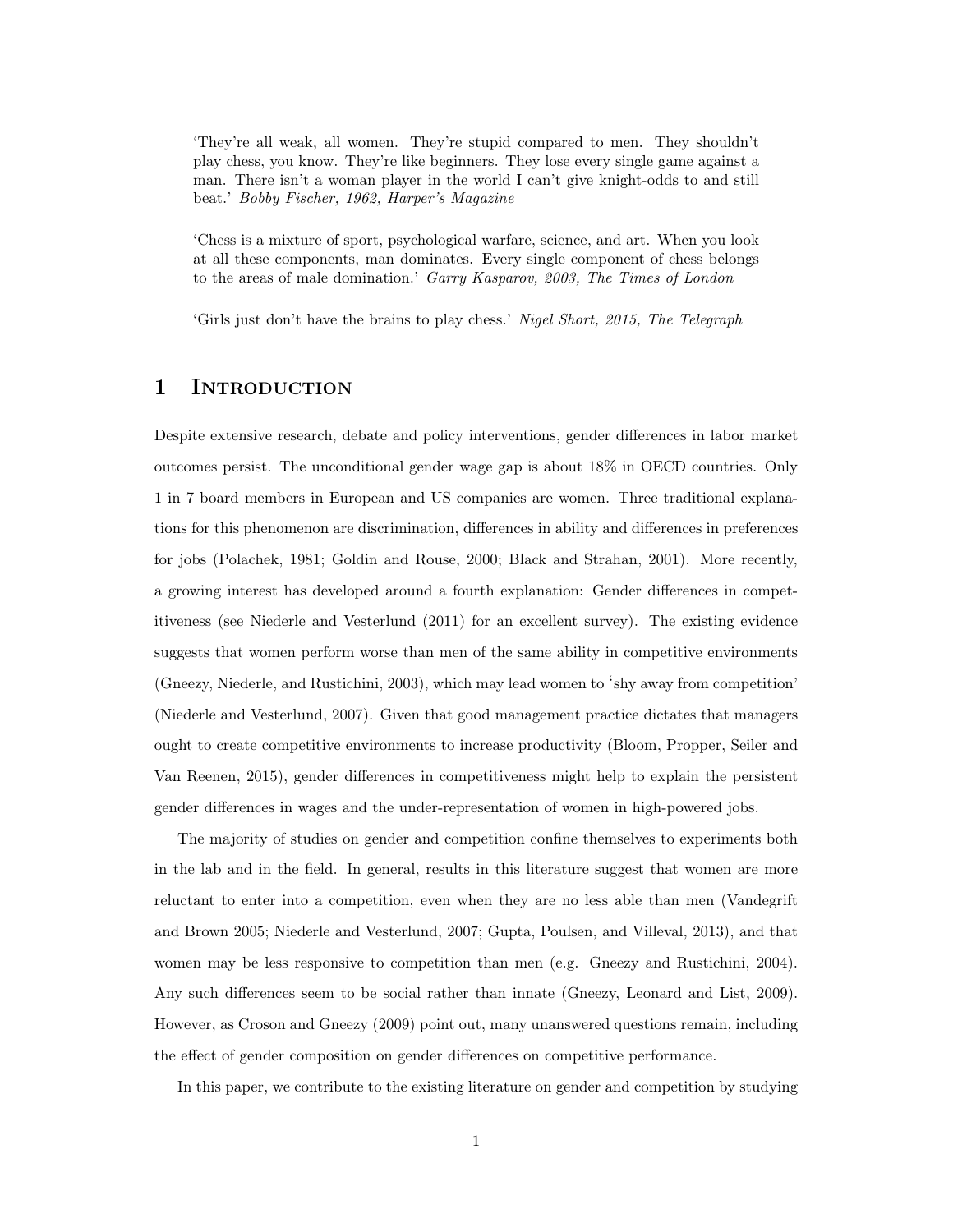'They're all weak, all women. They're stupid compared to men. They shouldn't play chess, you know. They're like beginners. They lose every single game against a man. There isn't a woman player in the world I can't give knight-odds to and still beat.' *Bobby Fischer, 1962, Harper's Magazine*

'Chess is a mixture of sport, psychological warfare, science, and art. When you look at all these components, man dominates. Every single component of chess belongs to the areas of male domination.' *Garry Kasparov, 2003, The Times of London*

'Girls just don't have the brains to play chess.' *Nigel Short, 2015, The Telegraph*

# 1 INTRODUCTION

Despite extensive research, debate and policy interventions, gender differences in labor market outcomes persist. The unconditional gender wage gap is about 18% in OECD countries. Only 1 in 7 board members in European and US companies are women. Three traditional explanations for this phenomenon are discrimination, differences in ability and differences in preferences for jobs (Polachek, 1981; Goldin and Rouse, 2000; Black and Strahan, 2001). More recently, a growing interest has developed around a fourth explanation: Gender differences in competitiveness (see Niederle and Vesterlund (2011) for an excellent survey). The existing evidence suggests that women perform worse than men of the same ability in competitive environments (Gneezy, Niederle, and Rustichini, 2003), which may lead women to 'shy away from competition' (Niederle and Vesterlund, 2007). Given that good management practice dictates that managers ought to create competitive environments to increase productivity (Bloom, Propper, Seiler and Van Reenen, 2015), gender differences in competitiveness might help to explain the persistent gender differences in wages and the under-representation of women in high-powered jobs.

The majority of studies on gender and competition confine themselves to experiments both in the lab and in the field. In general, results in this literature suggest that women are more reluctant to enter into a competition, even when they are no less able than men (Vandegrift and Brown 2005; Niederle and Vesterlund, 2007; Gupta, Poulsen, and Villeval, 2013), and that women may be less responsive to competition than men (e.g. Gneezy and Rustichini, 2004). Any such differences seem to be social rather than innate (Gneezy, Leonard and List, 2009). However, as Croson and Gneezy (2009) point out, many unanswered questions remain, including the effect of gender composition on gender differences on competitive performance.

In this paper, we contribute to the existing literature on gender and competition by studying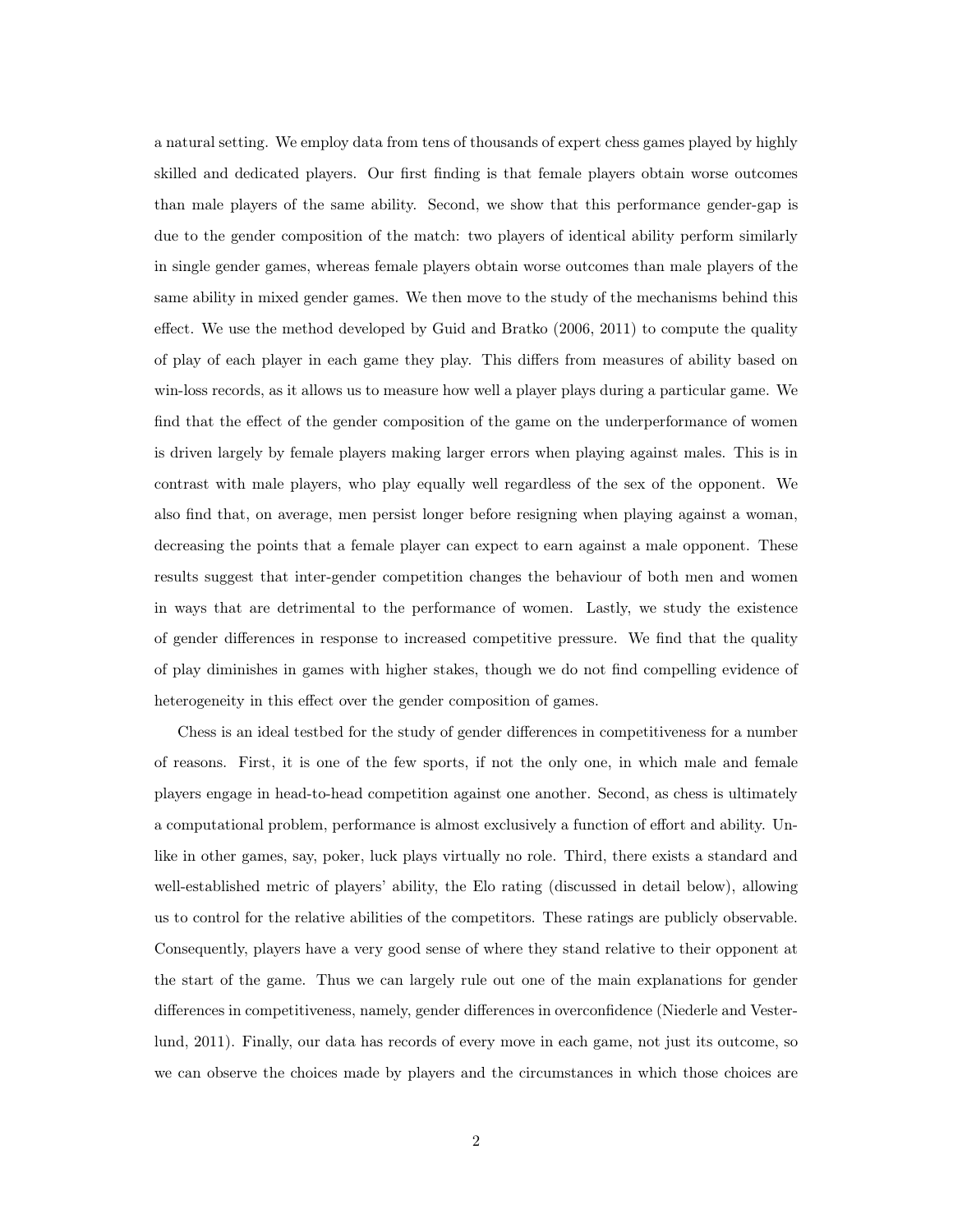a natural setting. We employ data from tens of thousands of expert chess games played by highly skilled and dedicated players. Our first finding is that female players obtain worse outcomes than male players of the same ability. Second, we show that this performance gender-gap is due to the gender composition of the match: two players of identical ability perform similarly in single gender games, whereas female players obtain worse outcomes than male players of the same ability in mixed gender games. We then move to the study of the mechanisms behind this effect. We use the method developed by Guid and Bratko (2006, 2011) to compute the quality of play of each player in each game they play. This differs from measures of ability based on win-loss records, as it allows us to measure how well a player plays during a particular game. We find that the effect of the gender composition of the game on the underperformance of women is driven largely by female players making larger errors when playing against males. This is in contrast with male players, who play equally well regardless of the sex of the opponent. We also find that, on average, men persist longer before resigning when playing against a woman, decreasing the points that a female player can expect to earn against a male opponent. These results suggest that inter-gender competition changes the behaviour of both men and women in ways that are detrimental to the performance of women. Lastly, we study the existence of gender differences in response to increased competitive pressure. We find that the quality of play diminishes in games with higher stakes, though we do not find compelling evidence of heterogeneity in this effect over the gender composition of games.

Chess is an ideal testbed for the study of gender differences in competitiveness for a number of reasons. First, it is one of the few sports, if not the only one, in which male and female players engage in head-to-head competition against one another. Second, as chess is ultimately a computational problem, performance is almost exclusively a function of effort and ability. Unlike in other games, say, poker, luck plays virtually no role. Third, there exists a standard and well-established metric of players' ability, the Elo rating (discussed in detail below), allowing us to control for the relative abilities of the competitors. These ratings are publicly observable. Consequently, players have a very good sense of where they stand relative to their opponent at the start of the game. Thus we can largely rule out one of the main explanations for gender differences in competitiveness, namely, gender differences in overconfidence (Niederle and Vesterlund, 2011). Finally, our data has records of every move in each game, not just its outcome, so we can observe the choices made by players and the circumstances in which those choices are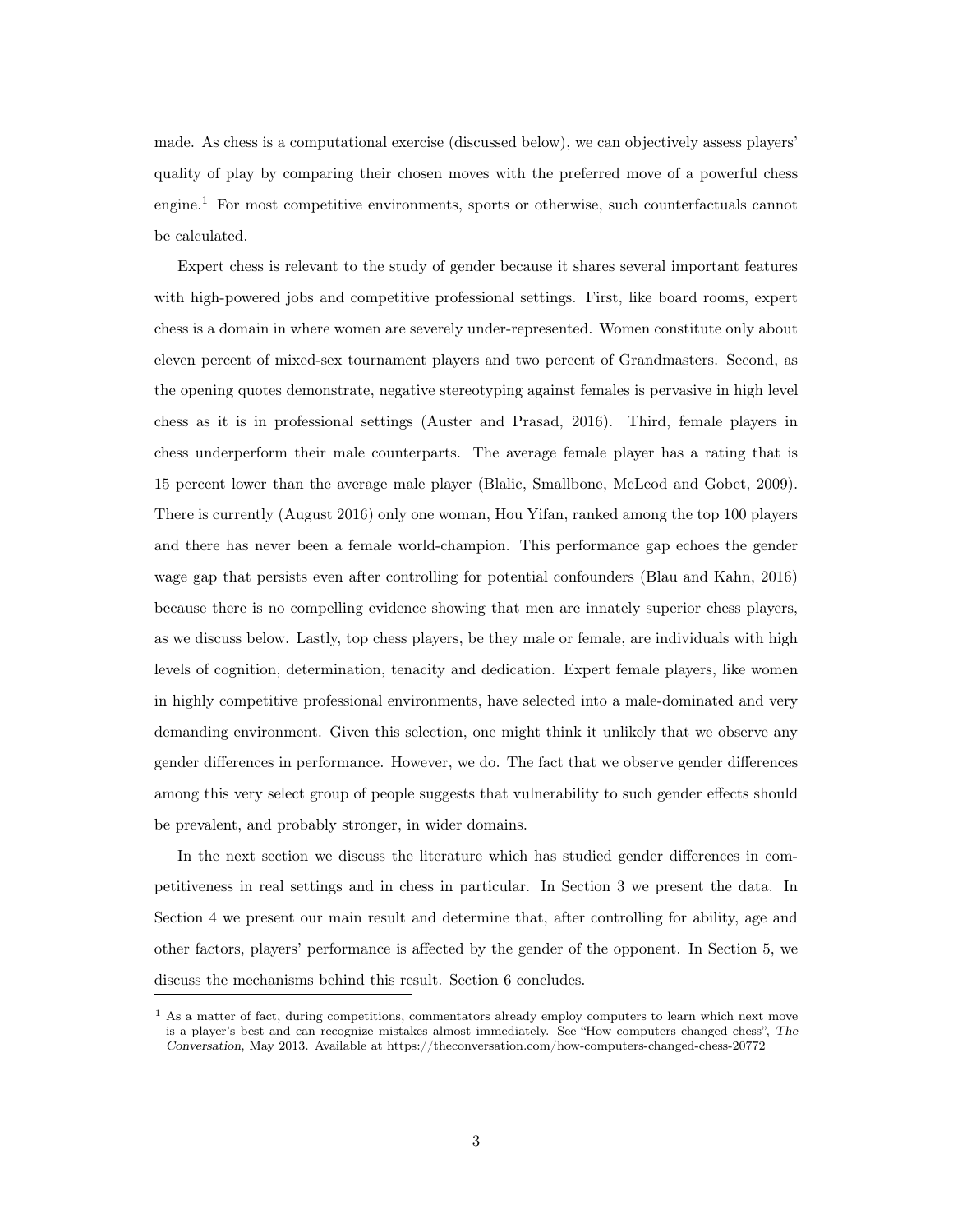made. As chess is a computational exercise (discussed below), we can objectively assess players' quality of play by comparing their chosen moves with the preferred move of a powerful chess engine.<sup>1</sup> For most competitive environments, sports or otherwise, such counterfactuals cannot be calculated.

Expert chess is relevant to the study of gender because it shares several important features with high-powered jobs and competitive professional settings. First, like board rooms, expert chess is a domain in where women are severely under-represented. Women constitute only about eleven percent of mixed-sex tournament players and two percent of Grandmasters. Second, as the opening quotes demonstrate, negative stereotyping against females is pervasive in high level chess as it is in professional settings (Auster and Prasad, 2016). Third, female players in chess underperform their male counterparts. The average female player has a rating that is 15 percent lower than the average male player (Blalic, Smallbone, McLeod and Gobet, 2009). There is currently (August 2016) only one woman, Hou Yifan, ranked among the top 100 players and there has never been a female world-champion. This performance gap echoes the gender wage gap that persists even after controlling for potential confounders (Blau and Kahn, 2016) because there is no compelling evidence showing that men are innately superior chess players, as we discuss below. Lastly, top chess players, be they male or female, are individuals with high levels of cognition, determination, tenacity and dedication. Expert female players, like women in highly competitive professional environments, have selected into a male-dominated and very demanding environment. Given this selection, one might think it unlikely that we observe any gender differences in performance. However, we do. The fact that we observe gender differences among this very select group of people suggests that vulnerability to such gender effects should be prevalent, and probably stronger, in wider domains.

In the next section we discuss the literature which has studied gender differences in competitiveness in real settings and in chess in particular. In Section 3 we present the data. In Section 4 we present our main result and determine that, after controlling for ability, age and other factors, players' performance is affected by the gender of the opponent. In Section 5, we discuss the mechanisms behind this result. Section 6 concludes.

<sup>&</sup>lt;sup>1</sup> As a matter of fact, during competitions, commentators already employ computers to learn which next move is a player's best and can recognize mistakes almost immediately. See "How computers changed chess", *The Conversation*, May 2013. Available at https://theconversation.com/how-computers-changed-chess-20772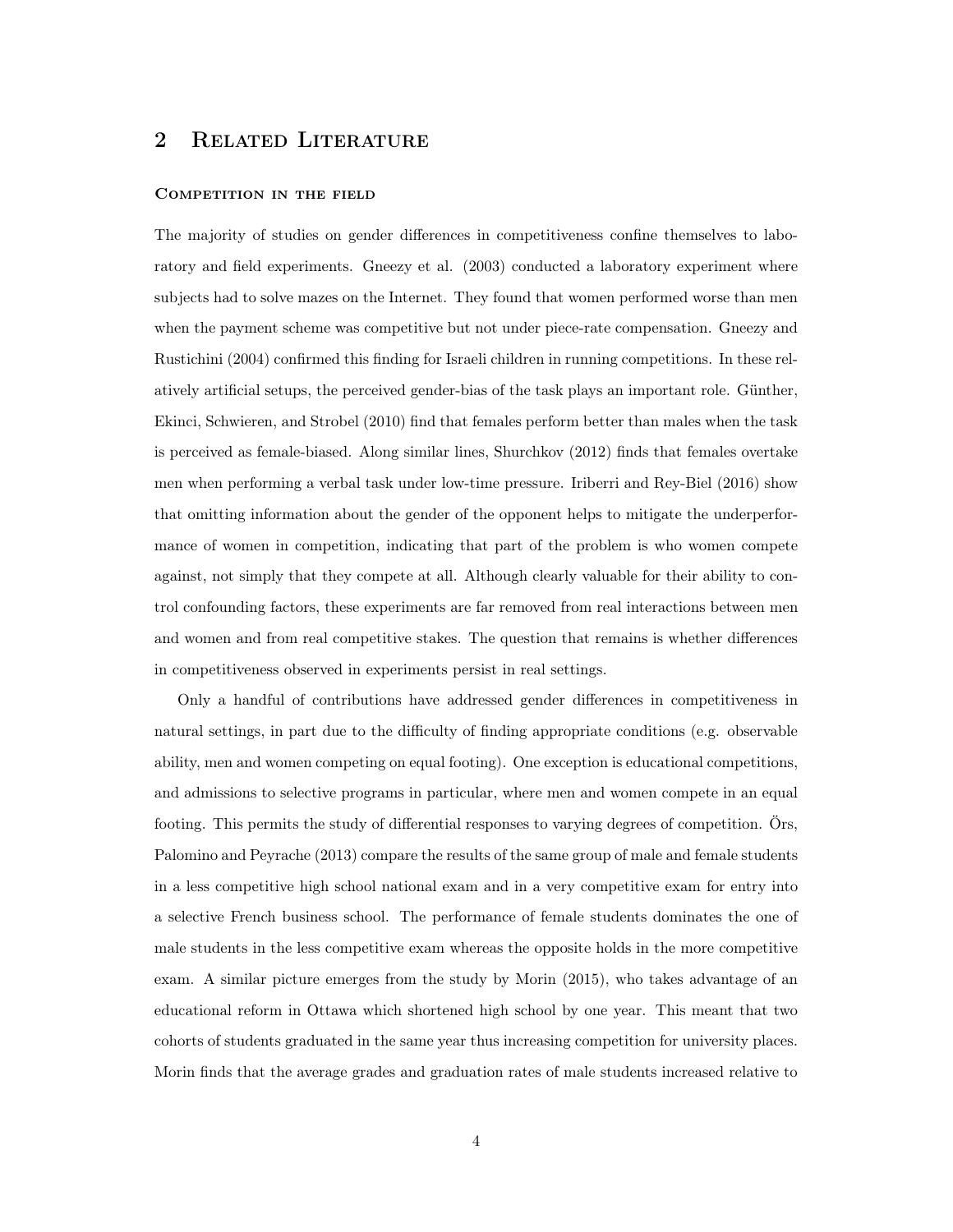# 2 Related Literature

## COMPETITION IN THE FIELD

The majority of studies on gender differences in competitiveness confine themselves to laboratory and field experiments. Gneezy et al. (2003) conducted a laboratory experiment where subjects had to solve mazes on the Internet. They found that women performed worse than men when the payment scheme was competitive but not under piece-rate compensation. Gneezy and Rustichini (2004) confirmed this finding for Israeli children in running competitions. In these relatively artificial setups, the perceived gender-bias of the task plays an important role. Günther, Ekinci, Schwieren, and Strobel (2010) find that females perform better than males when the task is perceived as female-biased. Along similar lines, Shurchkov (2012) finds that females overtake men when performing a verbal task under low-time pressure. Iriberri and Rey-Biel (2016) show that omitting information about the gender of the opponent helps to mitigate the underperformance of women in competition, indicating that part of the problem is who women compete against, not simply that they compete at all. Although clearly valuable for their ability to control confounding factors, these experiments are far removed from real interactions between men and women and from real competitive stakes. The question that remains is whether differences in competitiveness observed in experiments persist in real settings.

Only a handful of contributions have addressed gender differences in competitiveness in natural settings, in part due to the difficulty of finding appropriate conditions (e.g. observable ability, men and women competing on equal footing). One exception is educational competitions, and admissions to selective programs in particular, where men and women compete in an equal footing. This permits the study of differential responses to varying degrees of competition. Örs, Palomino and Peyrache (2013) compare the results of the same group of male and female students in a less competitive high school national exam and in a very competitive exam for entry into a selective French business school. The performance of female students dominates the one of male students in the less competitive exam whereas the opposite holds in the more competitive exam. A similar picture emerges from the study by Morin (2015), who takes advantage of an educational reform in Ottawa which shortened high school by one year. This meant that two cohorts of students graduated in the same year thus increasing competition for university places. Morin finds that the average grades and graduation rates of male students increased relative to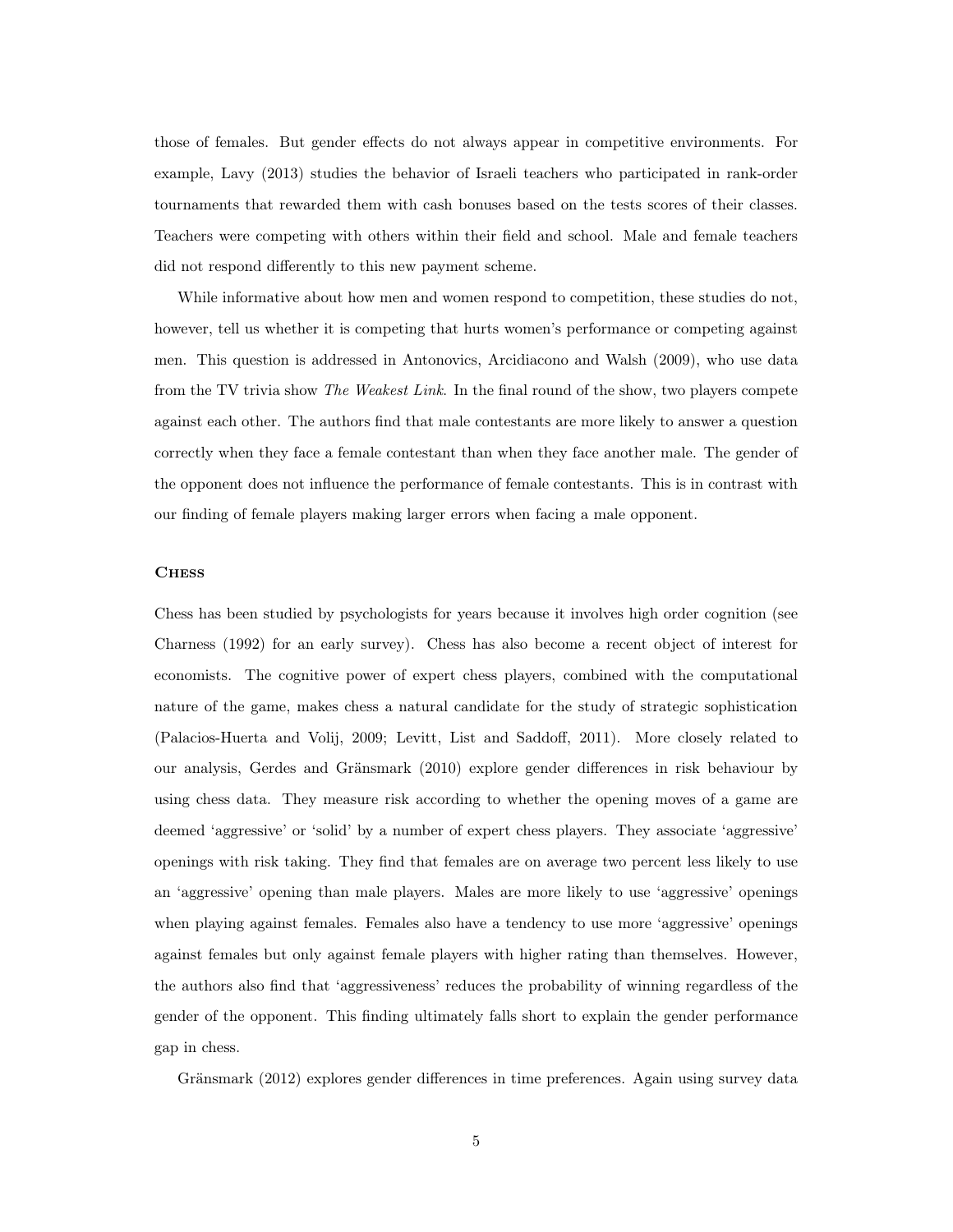those of females. But gender effects do not always appear in competitive environments. For example, Lavy (2013) studies the behavior of Israeli teachers who participated in rank-order tournaments that rewarded them with cash bonuses based on the tests scores of their classes. Teachers were competing with others within their field and school. Male and female teachers did not respond differently to this new payment scheme.

While informative about how men and women respond to competition, these studies do not, however, tell us whether it is competing that hurts women's performance or competing against men. This question is addressed in Antonovics, Arcidiacono and Walsh (2009), who use data from the TV trivia show *The Weakest Link*. In the final round of the show, two players compete against each other. The authors find that male contestants are more likely to answer a question correctly when they face a female contestant than when they face another male. The gender of the opponent does not influence the performance of female contestants. This is in contrast with our finding of female players making larger errors when facing a male opponent.

# **CHESS**

Chess has been studied by psychologists for years because it involves high order cognition (see Charness (1992) for an early survey). Chess has also become a recent object of interest for economists. The cognitive power of expert chess players, combined with the computational nature of the game, makes chess a natural candidate for the study of strategic sophistication (Palacios-Huerta and Volij, 2009; Levitt, List and Saddoff, 2011). More closely related to our analysis, Gerdes and Gränsmark (2010) explore gender differences in risk behaviour by using chess data. They measure risk according to whether the opening moves of a game are deemed 'aggressive' or 'solid' by a number of expert chess players. They associate 'aggressive' openings with risk taking. They find that females are on average two percent less likely to use an 'aggressive' opening than male players. Males are more likely to use 'aggressive' openings when playing against females. Females also have a tendency to use more 'aggressive' openings against females but only against female players with higher rating than themselves. However, the authors also find that 'aggressiveness' reduces the probability of winning regardless of the gender of the opponent. This finding ultimately falls short to explain the gender performance gap in chess.

Gränsmark (2012) explores gender differences in time preferences. Again using survey data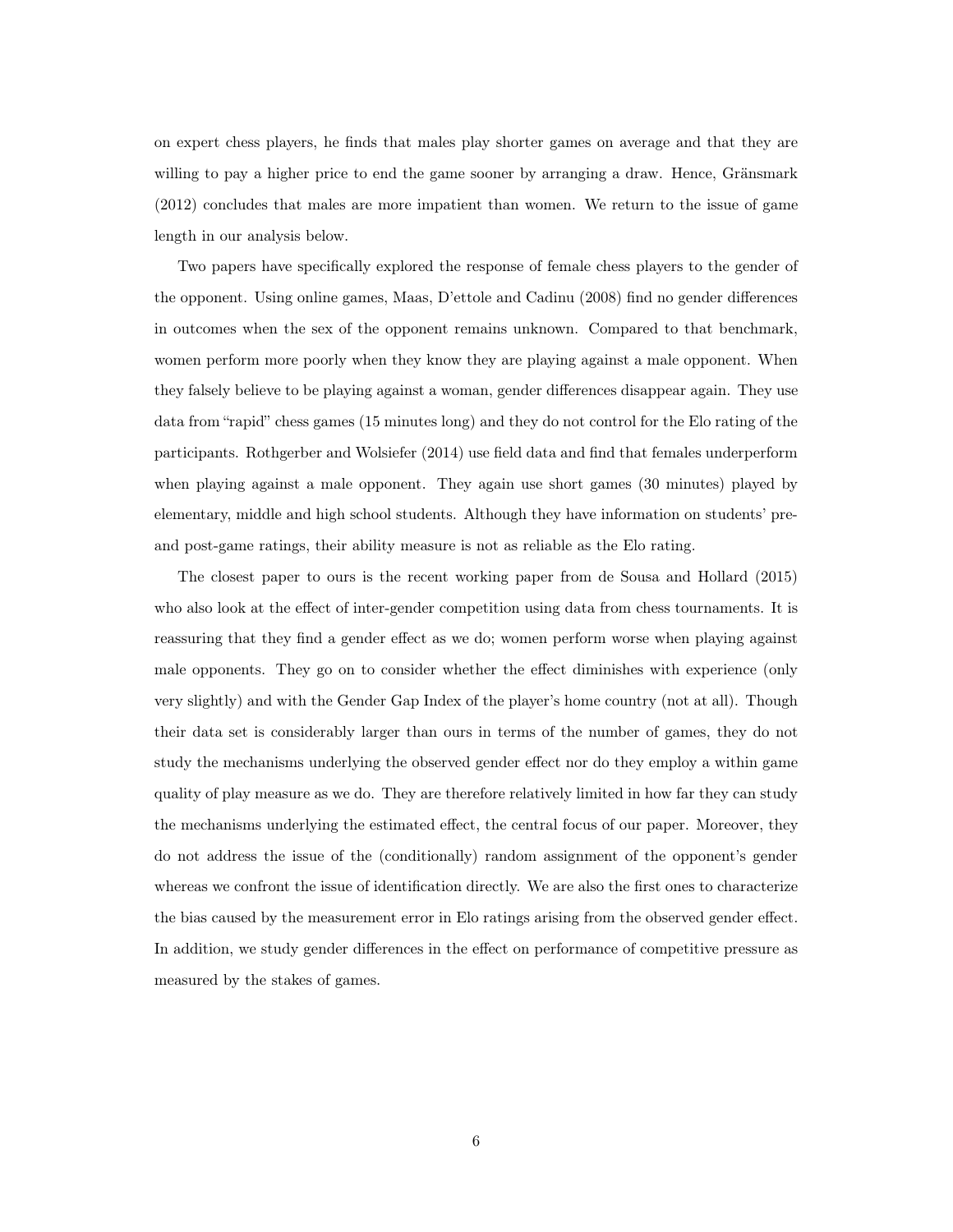on expert chess players, he finds that males play shorter games on average and that they are willing to pay a higher price to end the game sooner by arranging a draw. Hence, Gränsmark (2012) concludes that males are more impatient than women. We return to the issue of game length in our analysis below.

Two papers have specifically explored the response of female chess players to the gender of the opponent. Using online games, Maas, D'ettole and Cadinu (2008) find no gender differences in outcomes when the sex of the opponent remains unknown. Compared to that benchmark, women perform more poorly when they know they are playing against a male opponent. When they falsely believe to be playing against a woman, gender differences disappear again. They use data from "rapid" chess games (15 minutes long) and they do not control for the Elo rating of the participants. Rothgerber and Wolsiefer (2014) use field data and find that females underperform when playing against a male opponent. They again use short games (30 minutes) played by elementary, middle and high school students. Although they have information on students' preand post-game ratings, their ability measure is not as reliable as the Elo rating.

The closest paper to ours is the recent working paper from de Sousa and Hollard (2015) who also look at the effect of inter-gender competition using data from chess tournaments. It is reassuring that they find a gender effect as we do; women perform worse when playing against male opponents. They go on to consider whether the effect diminishes with experience (only very slightly) and with the Gender Gap Index of the player's home country (not at all). Though their data set is considerably larger than ours in terms of the number of games, they do not study the mechanisms underlying the observed gender effect nor do they employ a within game quality of play measure as we do. They are therefore relatively limited in how far they can study the mechanisms underlying the estimated effect, the central focus of our paper. Moreover, they do not address the issue of the (conditionally) random assignment of the opponent's gender whereas we confront the issue of identification directly. We are also the first ones to characterize the bias caused by the measurement error in Elo ratings arising from the observed gender effect. In addition, we study gender differences in the effect on performance of competitive pressure as measured by the stakes of games.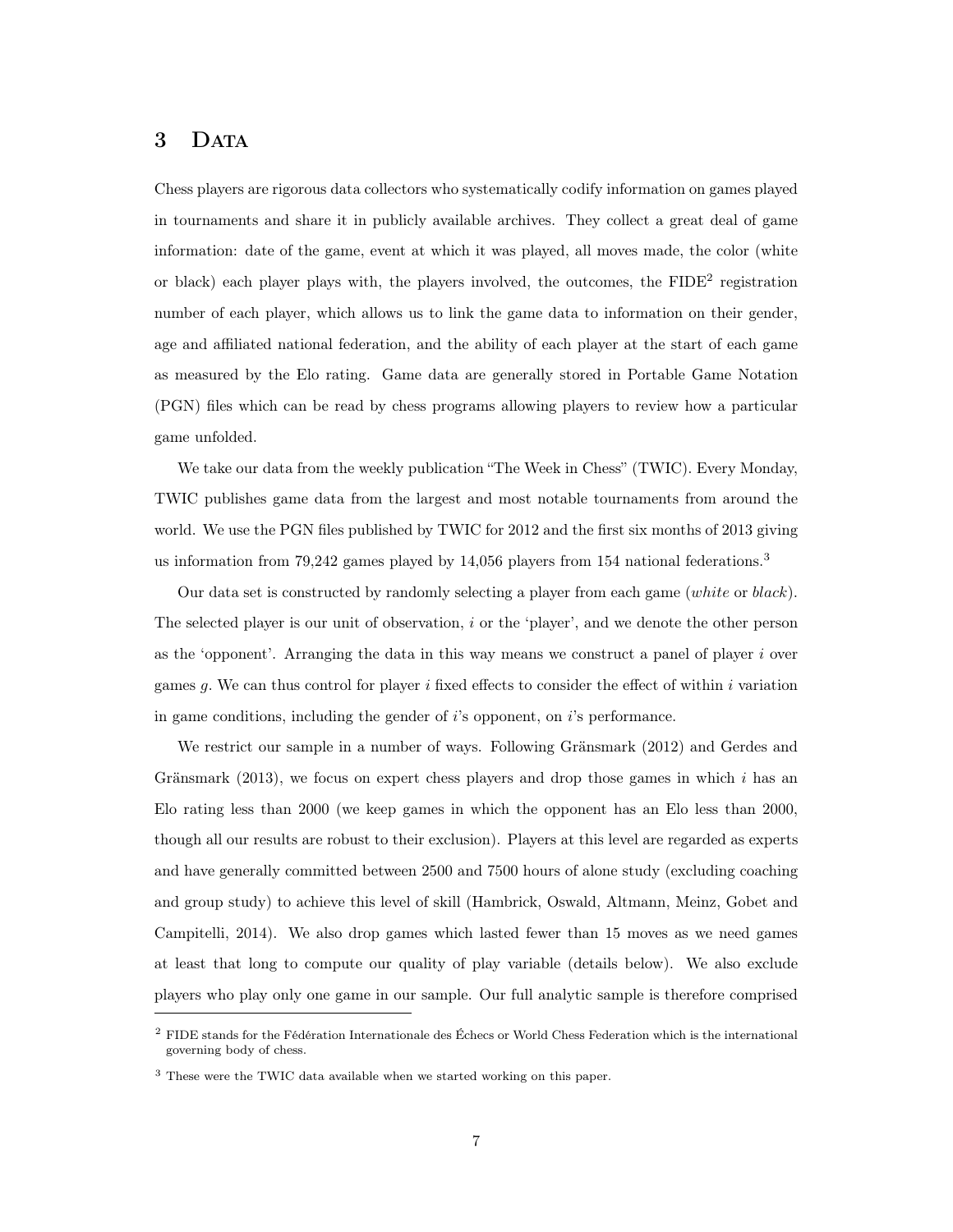# 3 DATA

Chess players are rigorous data collectors who systematically codify information on games played in tournaments and share it in publicly available archives. They collect a great deal of game information: date of the game, event at which it was played, all moves made, the color (white or black) each player plays with, the players involved, the outcomes, the FIDE<sup>2</sup> registration number of each player, which allows us to link the game data to information on their gender, age and affiliated national federation, and the ability of each player at the start of each game as measured by the Elo rating. Game data are generally stored in Portable Game Notation (PGN) files which can be read by chess programs allowing players to review how a particular game unfolded.

We take our data from the weekly publication "The Week in Chess" (TWIC). Every Monday, TWIC publishes game data from the largest and most notable tournaments from around the world. We use the PGN files published by TWIC for 2012 and the first six months of 2013 giving us information from 79,242 games played by 14,056 players from 154 national federations.<sup>3</sup>

Our data set is constructed by randomly selecting a player from each game (*white* or *black*). The selected player is our unit of observation, *i* or the 'player', and we denote the other person as the 'opponent'. Arranging the data in this way means we construct a panel of player *i* over games *g.* We can thus control for player *i* fixed effects to consider the effect of within *i* variation in game conditions, including the gender of *i*'s opponent, on *i*'s performance.

We restrict our sample in a number of ways. Following Gränsmark (2012) and Gerdes and Gränsmark (2013), we focus on expert chess players and drop those games in which *i* has an Elo rating less than 2000 (we keep games in which the opponent has an Elo less than 2000, though all our results are robust to their exclusion). Players at this level are regarded as experts and have generally committed between 2500 and 7500 hours of alone study (excluding coaching and group study) to achieve this level of skill (Hambrick, Oswald, Altmann, Meinz, Gobet and Campitelli, 2014). We also drop games which lasted fewer than 15 moves as we need games at least that long to compute our quality of play variable (details below). We also exclude players who play only one game in our sample. Our full analytic sample is therefore comprised

<sup>2</sup> FIDE stands for the Fédération Internationale des Échecs or World Chess Federation which is the international governing body of chess.

<sup>3</sup> These were the TWIC data available when we started working on this paper.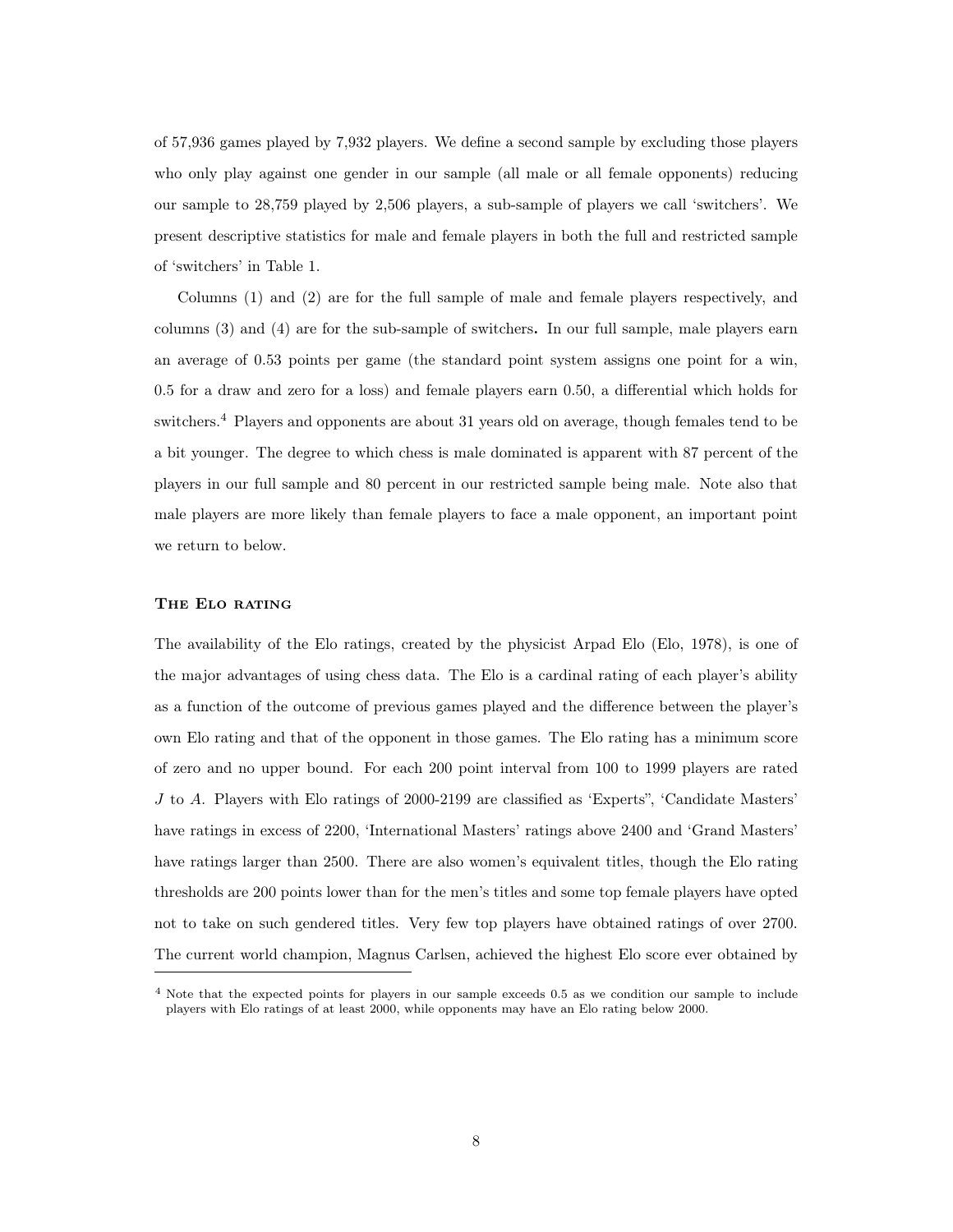of 57,936 games played by 7,932 players. We define a second sample by excluding those players who only play against one gender in our sample (all male or all female opponents) reducing our sample to 28,759 played by 2,506 players, a sub-sample of players we call 'switchers'. We present descriptive statistics for male and female players in both the full and restricted sample of 'switchers' in Table 1.

Columns (1) and (2) are for the full sample of male and female players respectively, and columns (3) and (4) are for the sub-sample of switchers. In our full sample, male players earn an average of 0.53 points per game (the standard point system assigns one point for a win, 0.5 for a draw and zero for a loss) and female players earn 0.50, a differential which holds for switchers.<sup>4</sup> Players and opponents are about 31 years old on average, though females tend to be a bit younger. The degree to which chess is male dominated is apparent with 87 percent of the players in our full sample and 80 percent in our restricted sample being male. Note also that male players are more likely than female players to face a male opponent, an important point we return to below.

#### THE ELO RATING

The availability of the Elo ratings, created by the physicist Arpad Elo (Elo, 1978), is one of the major advantages of using chess data. The Elo is a cardinal rating of each player's ability as a function of the outcome of previous games played and the difference between the player's own Elo rating and that of the opponent in those games. The Elo rating has a minimum score of zero and no upper bound. For each 200 point interval from 100 to 1999 players are rated *J* to *A*. Players with Elo ratings of 2000-2199 are classified as 'Experts", 'Candidate Masters' have ratings in excess of 2200, 'International Masters' ratings above 2400 and 'Grand Masters' have ratings larger than 2500. There are also women's equivalent titles, though the Elo rating thresholds are 200 points lower than for the men's titles and some top female players have opted not to take on such gendered titles. Very few top players have obtained ratings of over 2700. The current world champion, Magnus Carlsen, achieved the highest Elo score ever obtained by

<sup>4</sup> Note that the expected points for players in our sample exceeds 0.5 as we condition our sample to include players with Elo ratings of at least 2000, while opponents may have an Elo rating below 2000.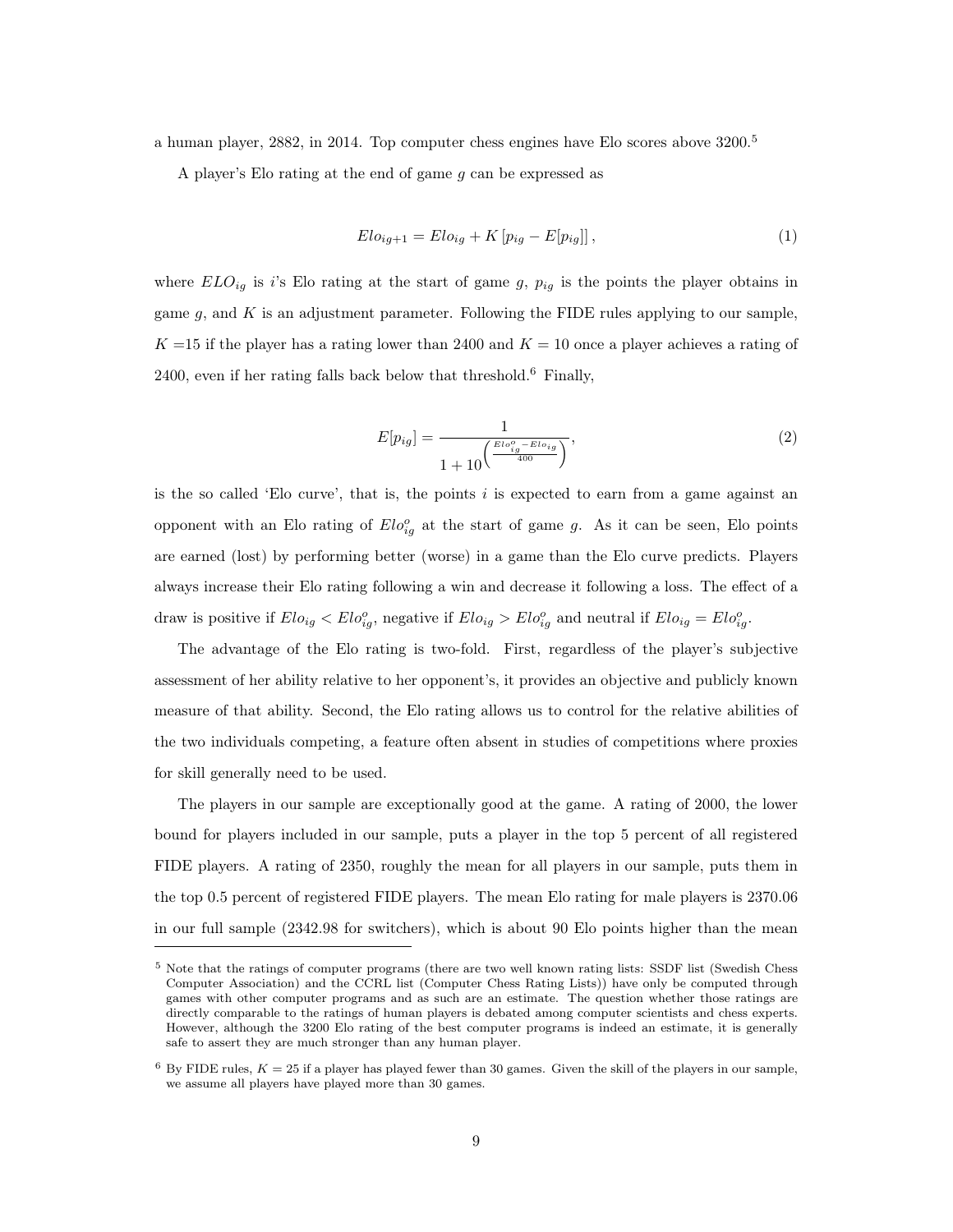a human player, 2882, in 2014. Top computer chess engines have Elo scores above 3200.<sup>5</sup>

A player's Elo rating at the end of game *g* can be expressed as

$$
Elo_{ig+1} = Elo_{ig} + K\left[p_{ig} - E\left[p_{ig}\right]\right],\tag{1}
$$

where  $ELO_{ig}$  is *i*'s Elo rating at the start of game  $g$ ,  $p_{ig}$  is the points the player obtains in game *g*, and *K* is an adjustment parameter. Following the FIDE rules applying to our sample,  $K = 15$  if the player has a rating lower than 2400 and  $K = 10$  once a player achieves a rating of 2400, even if her rating falls back below that threshold.<sup>6</sup> Finally,

$$
E[p_{ig}] = \frac{1}{1 + 10^{\left(\frac{Elo_{ig}^{o} - Elo_{ig}}{400}\right)}},\tag{2}
$$

is the so called 'Elo curve', that is, the points *i* is expected to earn from a game against an opponent with an Elo rating of  $Elo_{ig}^o$  at the start of game  $g$ . As it can be seen, Elo points are earned (lost) by performing better (worse) in a game than the Elo curve predicts. Players always increase their Elo rating following a win and decrease it following a loss. The effect of a draw is positive if  $Elo_{ig} < Elo_{ig}^o$ , negative if  $Elo_{ig} > Elo_{ig}^o$  and neutral if  $Elo_{ig} = Elo_{ig}^o$ .

The advantage of the Elo rating is two-fold. First, regardless of the player's subjective assessment of her ability relative to her opponent's, it provides an objective and publicly known measure of that ability. Second, the Elo rating allows us to control for the relative abilities of the two individuals competing, a feature often absent in studies of competitions where proxies for skill generally need to be used.

The players in our sample are exceptionally good at the game. A rating of 2000, the lower bound for players included in our sample, puts a player in the top 5 percent of all registered FIDE players. A rating of 2350, roughly the mean for all players in our sample, puts them in the top 0.5 percent of registered FIDE players. The mean Elo rating for male players is 2370.06 in our full sample (2342.98 for switchers), which is about 90 Elo points higher than the mean

<sup>5</sup> Note that the ratings of computer programs (there are two well known rating lists: SSDF list (Swedish Chess Computer Association) and the CCRL list (Computer Chess Rating Lists)) have only be computed through games with other computer programs and as such are an estimate. The question whether those ratings are directly comparable to the ratings of human players is debated among computer scientists and chess experts. However, although the 3200 Elo rating of the best computer programs is indeed an estimate, it is generally safe to assert they are much stronger than any human player.

 $6\,$  By FIDE rules,  $K = 25$  if a player has played fewer than 30 games. Given the skill of the players in our sample, we assume all players have played more than 30 games.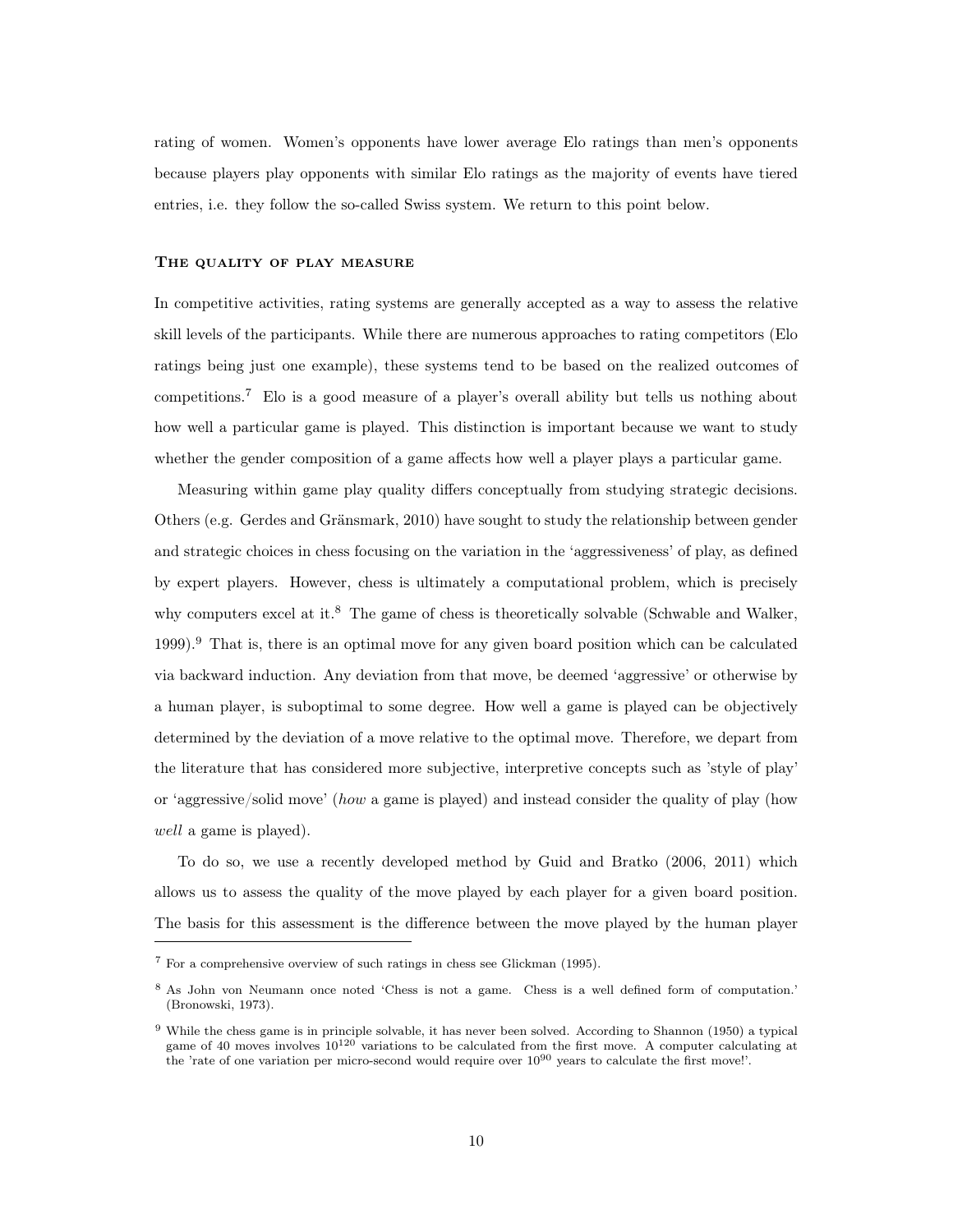rating of women. Women's opponents have lower average Elo ratings than men's opponents because players play opponents with similar Elo ratings as the majority of events have tiered entries, i.e. they follow the so-called Swiss system. We return to this point below.

## THE QUALITY OF PLAY MEASURE

In competitive activities, rating systems are generally accepted as a way to assess the relative skill levels of the participants. While there are numerous approaches to rating competitors (Elo ratings being just one example), these systems tend to be based on the realized outcomes of competitions.<sup>7</sup> Elo is a good measure of a player's overall ability but tells us nothing about how well a particular game is played. This distinction is important because we want to study whether the gender composition of a game affects how well a player plays a particular game.

Measuring within game play quality differs conceptually from studying strategic decisions. Others (e.g. Gerdes and Gränsmark, 2010) have sought to study the relationship between gender and strategic choices in chess focusing on the variation in the 'aggressiveness' of play, as defined by expert players. However, chess is ultimately a computational problem, which is precisely why computers excel at it.<sup>8</sup> The game of chess is theoretically solvable (Schwable and Walker, 1999).<sup>9</sup> That is, there is an optimal move for any given board position which can be calculated via backward induction. Any deviation from that move, be deemed 'aggressive' or otherwise by a human player, is suboptimal to some degree. How well a game is played can be objectively determined by the deviation of a move relative to the optimal move. Therefore, we depart from the literature that has considered more subjective, interpretive concepts such as 'style of play' or 'aggressive/solid move' (*how* a game is played) and instead consider the quality of play (how *well* a game is played).

To do so, we use a recently developed method by Guid and Bratko (2006, 2011) which allows us to assess the quality of the move played by each player for a given board position. The basis for this assessment is the difference between the move played by the human player

<sup>7</sup> For a comprehensive overview of such ratings in chess see Glickman (1995).

<sup>8</sup> As John von Neumann once noted 'Chess is not a game. Chess is a well defined form of computation.' (Bronowski, 1973).

<sup>9</sup> While the chess game is in principle solvable, it has never been solved. According to Shannon (1950) a typical game of 40 moves involves  $10^{120}$  variations to be calculated from the first move. A computer calculating at the 'rate of one variation per micro-second would require over 10<sup>90</sup> years to calculate the first move!'.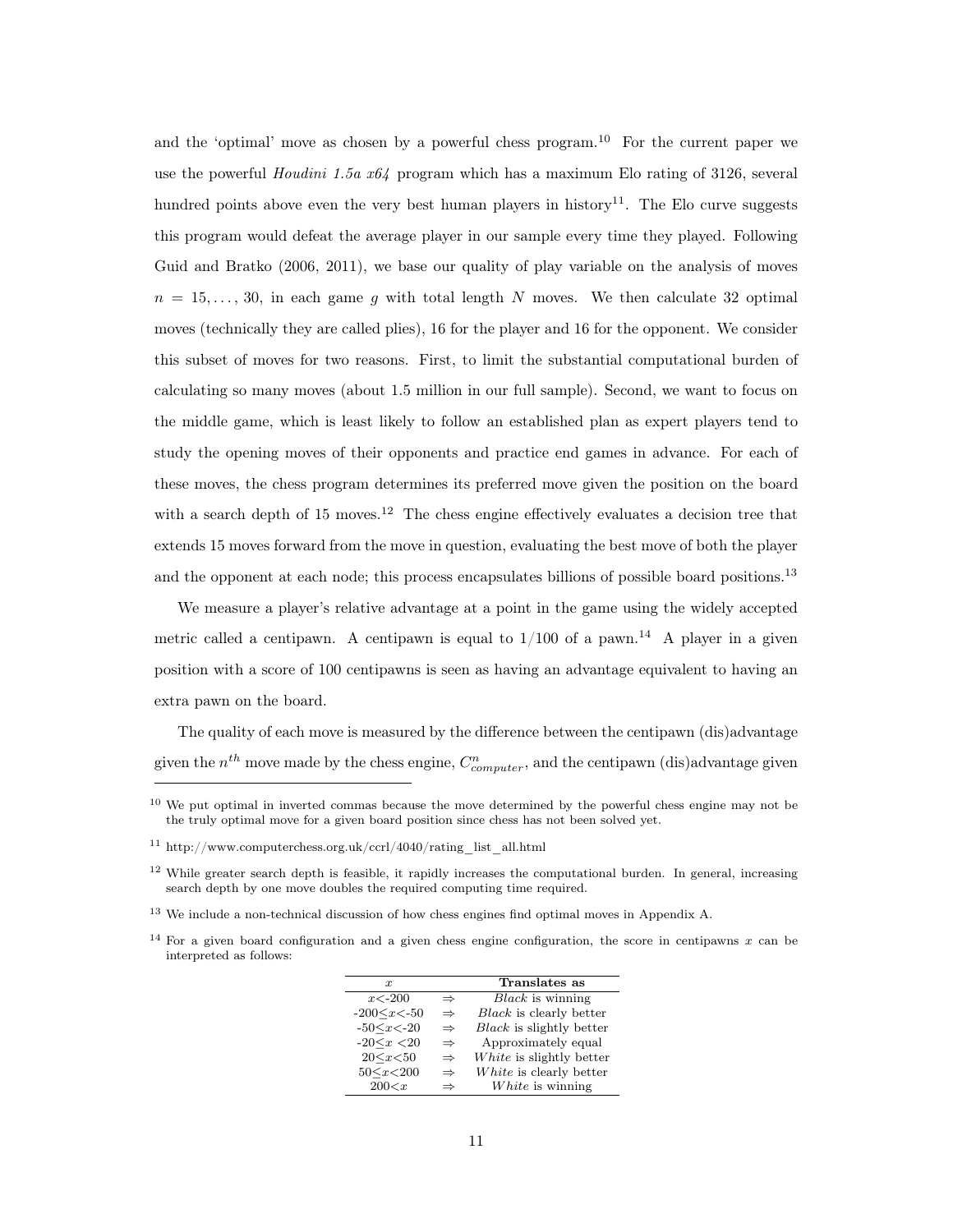and the 'optimal' move as chosen by a powerful chess program.<sup>10</sup> For the current paper we use the powerful *Houdini 1.5a x64* program which has a maximum Elo rating of 3126, several hundred points above even the very best human players in history<sup>11</sup>. The Elo curve suggests this program would defeat the average player in our sample every time they played. Following Guid and Bratko (2006, 2011), we base our quality of play variable on the analysis of moves  $n = 15, \ldots, 30$ , in each game *g* with total length *N* moves. We then calculate 32 optimal moves (technically they are called plies), 16 for the player and 16 for the opponent. We consider this subset of moves for two reasons. First, to limit the substantial computational burden of calculating so many moves (about 1.5 million in our full sample). Second, we want to focus on the middle game, which is least likely to follow an established plan as expert players tend to study the opening moves of their opponents and practice end games in advance. For each of these moves, the chess program determines its preferred move given the position on the board with a search depth of  $15$  moves.<sup>12</sup> The chess engine effectively evaluates a decision tree that extends 15 moves forward from the move in question, evaluating the best move of both the player and the opponent at each node; this process encapsulates billions of possible board positions.<sup>13</sup>

We measure a player's relative advantage at a point in the game using the widely accepted metric called a centipawn. A centipawn is equal to  $1/100$  of a pawn.<sup>14</sup> A player in a given position with a score of 100 centipawns is seen as having an advantage equivalent to having an extra pawn on the board.

The quality of each move is measured by the difference between the centipawn (dis)advantage given the  $n^{th}$  move made by the chess engine,  $C_{computer}^n$ , and the centipawn (dis)advantage given

<sup>14</sup> For a given board configuration and a given chess engine configuration, the score in centipawns *x* can be interpreted as follows:

| $\boldsymbol{x}$     |               | Translates as            |
|----------------------|---------------|--------------------------|
| $x < -200$           | $\Rightarrow$ | <i>Black</i> is winning  |
| $-200 \le x \le -50$ | $\Rightarrow$ | Black is clearly better  |
| $-50 \le x \le -20$  | $\Rightarrow$ | Black is slightly better |
| $-20 \le x \le 20$   | $\Rightarrow$ | Approximately equal      |
| $20 \le x \le 50$    | $\Rightarrow$ | White is slightly better |
| $50 \le x \le 200$   | $\Rightarrow$ | White is clearly better  |
| $200 \le x$          | $\Rightarrow$ | White is winning         |

<sup>&</sup>lt;sup>10</sup> We put optimal in inverted commas because the move determined by the powerful chess engine may not be the truly optimal move for a given board position since chess has not been solved yet.

<sup>&</sup>lt;sup>11</sup> http://www.computerchess.org.uk/ccrl/4040/rating list all.html

<sup>&</sup>lt;sup>12</sup> While greater search depth is feasible, it rapidly increases the computational burden. In general, increasing search depth by one move doubles the required computing time required.

<sup>13</sup> We include a non-technical discussion of how chess engines find optimal moves in Appendix A.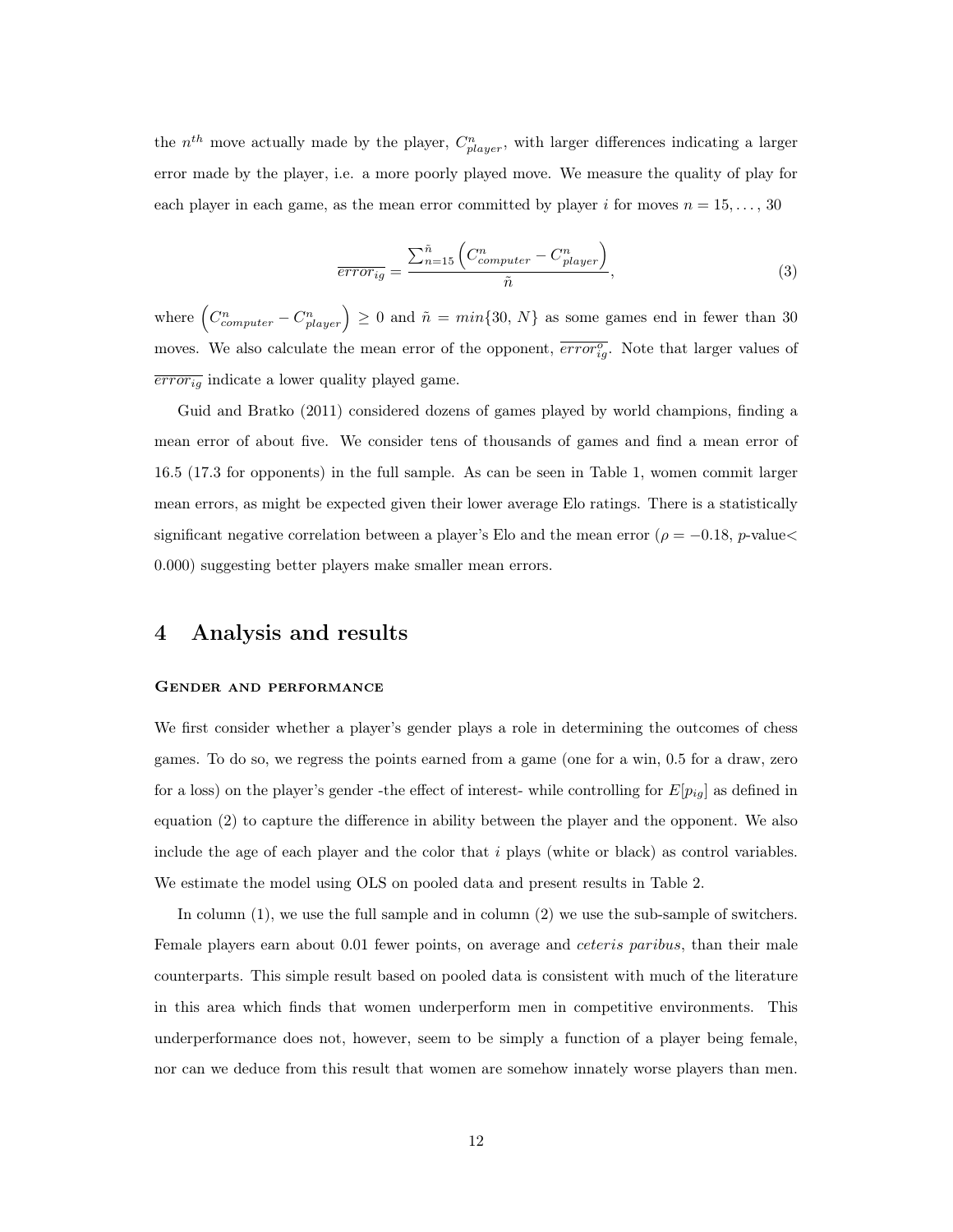the  $n^{th}$  move actually made by the player,  $C_{player}^n$ , with larger differences indicating a larger error made by the player, i.e. a more poorly played move. We measure the quality of play for each player in each game, as the mean error committed by player *i* for moves  $n = 15, \ldots, 30$ 

$$
\overline{error_{ig}} = \frac{\sum_{n=15}^{\tilde{n}} \left( C_{computer}^{n} - C_{player}^{n} \right)}{\tilde{n}}, \tag{3}
$$

where  $(C_{computer}^n - C_{player}^n) \ge 0$  and  $\tilde{n} = min\{30, N\}$  as some games end in fewer than 30 moves. We also calculate the mean error of the opponent,  $\overline{error_{ig}^o}$ . Note that larger values of *errorig* indicate a lower quality played game.

Guid and Bratko (2011) considered dozens of games played by world champions, finding a mean error of about five. We consider tens of thousands of games and find a mean error of 16.5 (17.3 for opponents) in the full sample. As can be seen in Table 1, women commit larger mean errors, as might be expected given their lower average Elo ratings. There is a statistically significant negative correlation between a player's Elo and the mean error ( $\rho = -0.18$ , *p*-value 0*.*000) suggesting better players make smaller mean errors.

# 4 Analysis and results

## Gender and performance

We first consider whether a player's gender plays a role in determining the outcomes of chess games. To do so, we regress the points earned from a game (one for a win, 0.5 for a draw, zero for a loss) on the player's gender -the effect of interest- while controlling for  $E[p_{ig}]$  as defined in equation (2) to capture the difference in ability between the player and the opponent. We also include the age of each player and the color that *i* plays (white or black) as control variables. We estimate the model using OLS on pooled data and present results in Table 2.

In column (1), we use the full sample and in column (2) we use the sub-sample of switchers. Female players earn about 0.01 fewer points, on average and *ceteris paribus*, than their male counterparts. This simple result based on pooled data is consistent with much of the literature in this area which finds that women underperform men in competitive environments. This underperformance does not, however, seem to be simply a function of a player being female, nor can we deduce from this result that women are somehow innately worse players than men.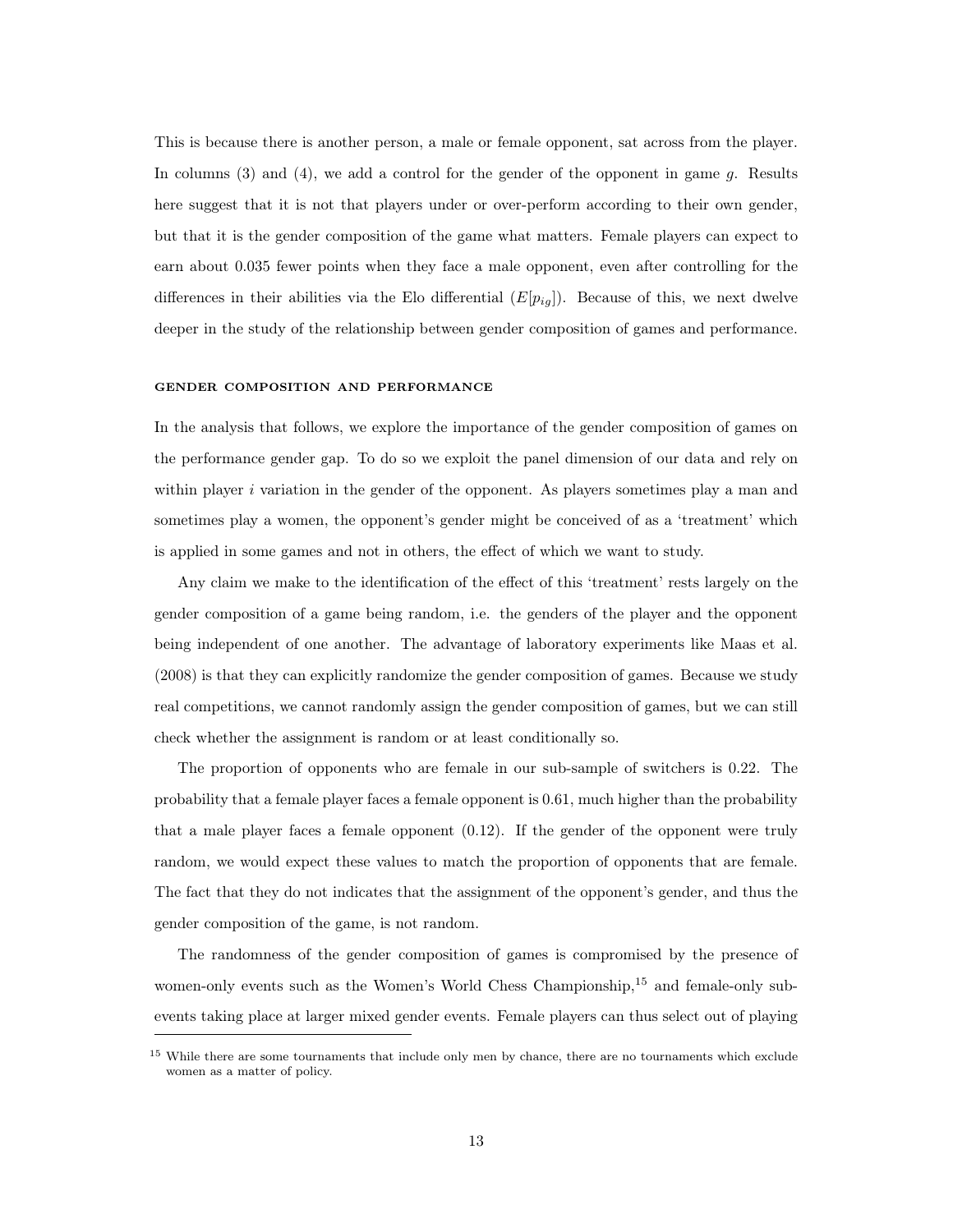This is because there is another person, a male or female opponent, sat across from the player. In columns (3) and (4), we add a control for the gender of the opponent in game *g*. Results here suggest that it is not that players under or over-perform according to their own gender, but that it is the gender composition of the game what matters. Female players can expect to earn about 0.035 fewer points when they face a male opponent, even after controlling for the differences in their abilities via the Elo differential  $(E[p_{ig}])$ . Because of this, we next dwelve deeper in the study of the relationship between gender composition of games and performance.

## gender composition and performance

In the analysis that follows, we explore the importance of the gender composition of games on the performance gender gap. To do so we exploit the panel dimension of our data and rely on within player *i* variation in the gender of the opponent. As players sometimes play a man and sometimes play a women, the opponent's gender might be conceived of as a 'treatment' which is applied in some games and not in others, the effect of which we want to study.

Any claim we make to the identification of the effect of this 'treatment' rests largely on the gender composition of a game being random, i.e. the genders of the player and the opponent being independent of one another. The advantage of laboratory experiments like Maas et al. (2008) is that they can explicitly randomize the gender composition of games. Because we study real competitions, we cannot randomly assign the gender composition of games, but we can still check whether the assignment is random or at least conditionally so.

The proportion of opponents who are female in our sub-sample of switchers is 0.22. The probability that a female player faces a female opponent is 0.61, much higher than the probability that a male player faces a female opponent (0.12). If the gender of the opponent were truly random, we would expect these values to match the proportion of opponents that are female. The fact that they do not indicates that the assignment of the opponent's gender, and thus the gender composition of the game, is not random.

The randomness of the gender composition of games is compromised by the presence of women-only events such as the Women's World Chess Championship,<sup>15</sup> and female-only subevents taking place at larger mixed gender events. Female players can thus select out of playing

<sup>&</sup>lt;sup>15</sup> While there are some tournaments that include only men by chance, there are no tournaments which exclude women as a matter of policy.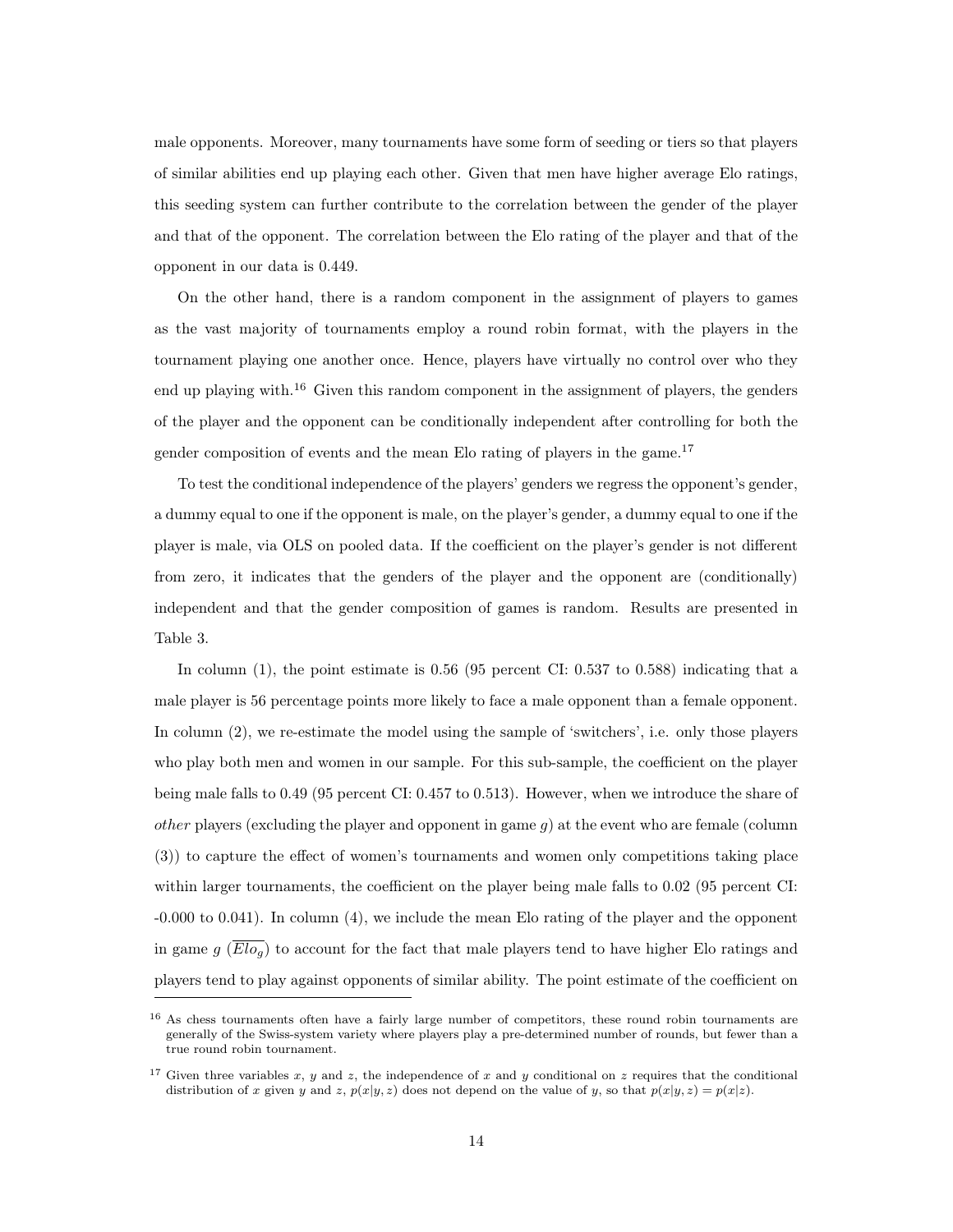male opponents. Moreover, many tournaments have some form of seeding or tiers so that players of similar abilities end up playing each other. Given that men have higher average Elo ratings, this seeding system can further contribute to the correlation between the gender of the player and that of the opponent. The correlation between the Elo rating of the player and that of the opponent in our data is 0.449.

On the other hand, there is a random component in the assignment of players to games as the vast majority of tournaments employ a round robin format, with the players in the tournament playing one another once. Hence, players have virtually no control over who they end up playing with.<sup>16</sup> Given this random component in the assignment of players, the genders of the player and the opponent can be conditionally independent after controlling for both the gender composition of events and the mean Elo rating of players in the game.<sup>17</sup>

To test the conditional independence of the players' genders we regress the opponent's gender, a dummy equal to one if the opponent is male, on the player's gender, a dummy equal to one if the player is male, via OLS on pooled data. If the coefficient on the player's gender is not different from zero, it indicates that the genders of the player and the opponent are (conditionally) independent and that the gender composition of games is random. Results are presented in Table 3.

In column (1), the point estimate is 0.56 (95 percent CI: 0.537 to 0.588) indicating that a male player is 56 percentage points more likely to face a male opponent than a female opponent. In column (2), we re-estimate the model using the sample of 'switchers', i.e. only those players who play both men and women in our sample. For this sub-sample, the coefficient on the player being male falls to 0.49 (95 percent CI: 0.457 to 0.513). However, when we introduce the share of *other* players (excluding the player and opponent in game *g*) at the event who are female (column (3)) to capture the effect of women's tournaments and women only competitions taking place within larger tournaments, the coefficient on the player being male falls to 0.02 (95 percent CI: -0.000 to 0.041). In column (4), we include the mean Elo rating of the player and the opponent in game  $g\left(\overline{Elo_g}\right)$  to account for the fact that male players tend to have higher Elo ratings and players tend to play against opponents of similar ability. The point estimate of the coefficient on

<sup>&</sup>lt;sup>16</sup> As chess tournaments often have a fairly large number of competitors, these round robin tournaments are generally of the Swiss-system variety where players play a pre-determined number of rounds, but fewer than a true round robin tournament.

<sup>&</sup>lt;sup>17</sup> Given three variables *x*, *y* and *z*, the independence of *x* and *y* conditional on *z* requires that the conditional distribution of *x* given *y* and *z*,  $p(x|y, z)$  does not depend on the value of *y*, so that  $p(x|y, z) = p(x|z)$ .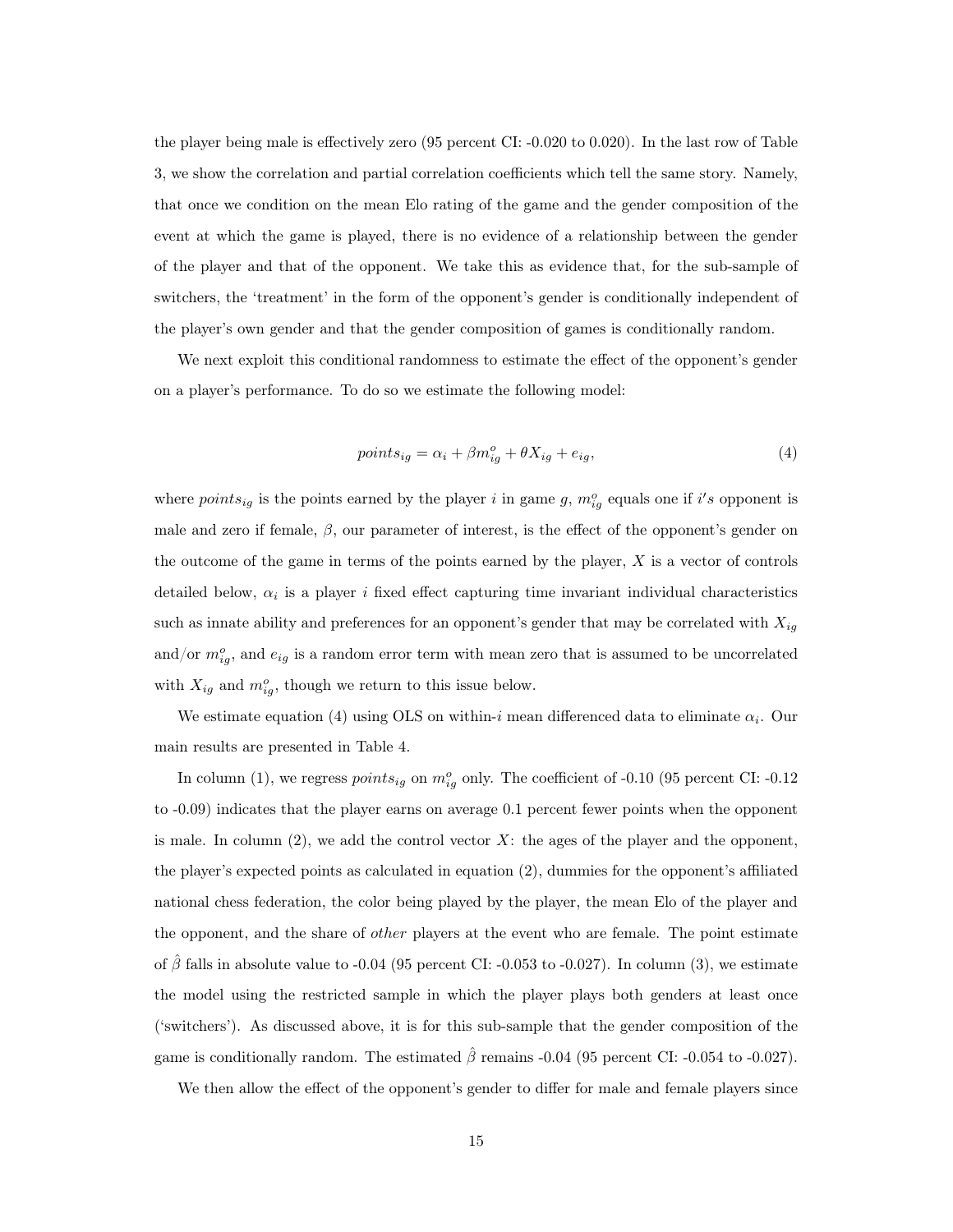the player being male is effectively zero (95 percent CI: -0.020 to 0.020). In the last row of Table 3, we show the correlation and partial correlation coefficients which tell the same story. Namely, that once we condition on the mean Elo rating of the game and the gender composition of the event at which the game is played, there is no evidence of a relationship between the gender of the player and that of the opponent. We take this as evidence that, for the sub-sample of switchers, the 'treatment' in the form of the opponent's gender is conditionally independent of the player's own gender and that the gender composition of games is conditionally random.

We next exploit this conditional randomness to estimate the effect of the opponent's gender on a player's performance. To do so we estimate the following model:

$$
points_{ig} = \alpha_i + \beta m_{ig}^o + \theta X_{ig} + e_{ig}, \qquad (4)
$$

where *points*<sup>*ig*</sup> is the points earned by the player *i* in game *g*,  $m_{ig}^o$  equals one if *i's* opponent is male and zero if female,  $\beta$ , our parameter of interest, is the effect of the opponent's gender on the outcome of the game in terms of the points earned by the player, *X* is a vector of controls detailed below,  $\alpha_i$  is a player *i* fixed effect capturing time invariant individual characteristics such as innate ability and preferences for an opponent's gender that may be correlated with  $X_{ig}$ and/or  $m_{ig}^o$ , and  $e_{ig}$  is a random error term with mean zero that is assumed to be uncorrelated with  $X_{ig}$  and  $m_{ig}^o$ , though we return to this issue below.

We estimate equation (4) using OLS on within-*i* mean differenced data to eliminate  $\alpha_i$ . Our main results are presented in Table 4.

In column (1), we regress  $points_{ig}$  on  $m_{ig}^o$  only. The coefficient of -0.10 (95 percent CI: -0.12 to -0.09) indicates that the player earns on average 0.1 percent fewer points when the opponent is male. In column  $(2)$ , we add the control vector *X*: the ages of the player and the opponent, the player's expected points as calculated in equation (2), dummies for the opponent's affiliated national chess federation, the color being played by the player, the mean Elo of the player and the opponent, and the share of *other* players at the event who are female. The point estimate of  $\hat{\beta}$  falls in absolute value to -0.04 (95 percent CI: -0.053 to -0.027). In column (3), we estimate the model using the restricted sample in which the player plays both genders at least once ('switchers'). As discussed above, it is for this sub-sample that the gender composition of the game is conditionally random. The estimated  $\hat{\beta}$  remains -0.04 (95 percent CI: -0.054 to -0.027).

We then allow the effect of the opponent's gender to differ for male and female players since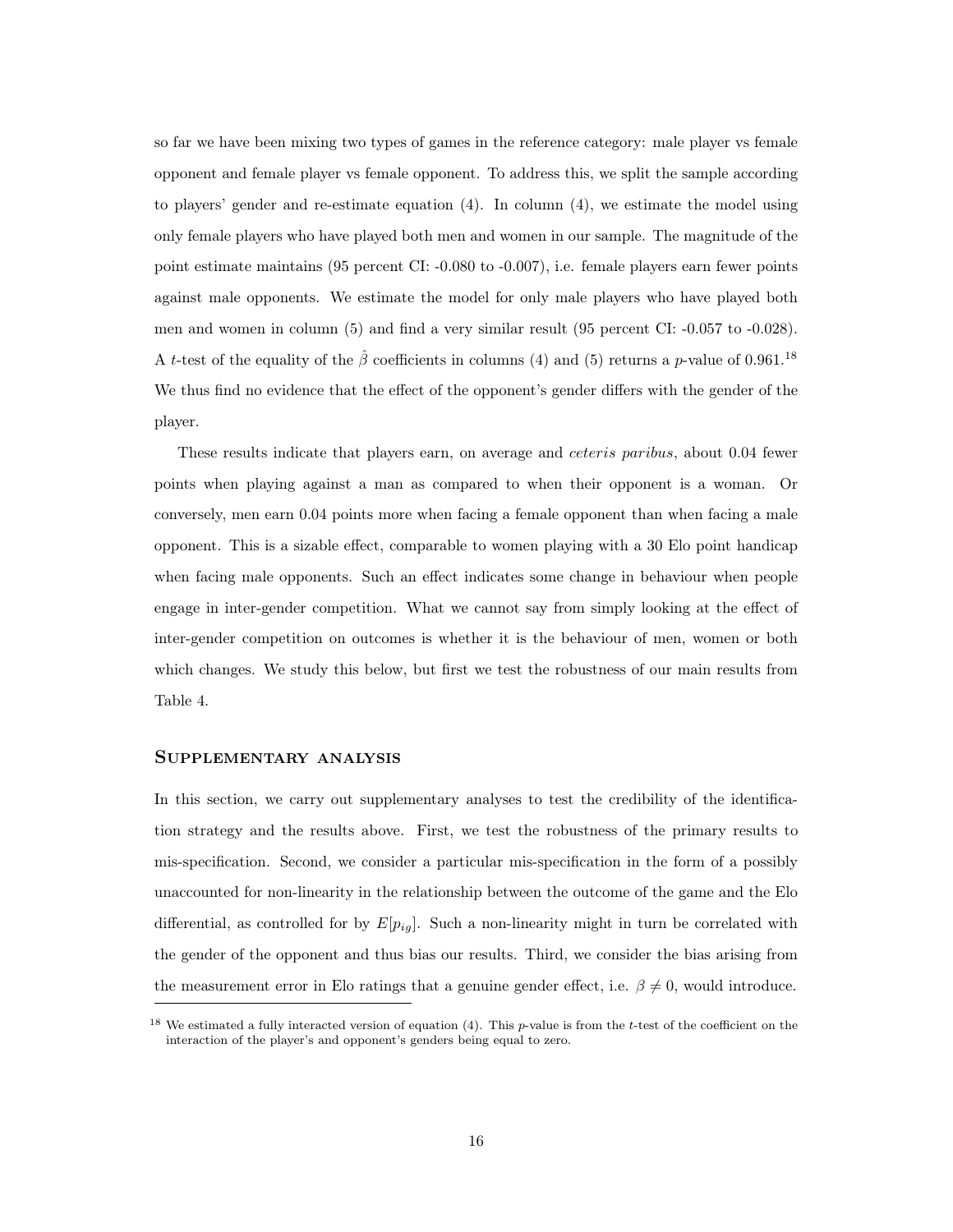so far we have been mixing two types of games in the reference category: male player vs female opponent and female player vs female opponent. To address this, we split the sample according to players' gender and re-estimate equation (4). In column (4), we estimate the model using only female players who have played both men and women in our sample. The magnitude of the point estimate maintains (95 percent CI: -0.080 to -0.007), i.e. female players earn fewer points against male opponents. We estimate the model for only male players who have played both men and women in column (5) and find a very similar result (95 percent CI: -0.057 to -0.028). A *t*-test of the equality of the  $\hat{\beta}$  coefficients in columns (4) and (5) returns a *p*-value of 0.961.<sup>18</sup> We thus find no evidence that the effect of the opponent's gender differs with the gender of the player.

These results indicate that players earn, on average and *ceteris paribus*, about 0.04 fewer points when playing against a man as compared to when their opponent is a woman. Or conversely, men earn 0.04 points more when facing a female opponent than when facing a male opponent. This is a sizable effect, comparable to women playing with a 30 Elo point handicap when facing male opponents. Such an effect indicates some change in behaviour when people engage in inter-gender competition. What we cannot say from simply looking at the effect of inter-gender competition on outcomes is whether it is the behaviour of men, women or both which changes. We study this below, but first we test the robustness of our main results from Table 4.

## Supplementary analysis

In this section, we carry out supplementary analyses to test the credibility of the identification strategy and the results above. First, we test the robustness of the primary results to mis-specification. Second, we consider a particular mis-specification in the form of a possibly unaccounted for non-linearity in the relationship between the outcome of the game and the Elo differential, as controlled for by  $E[p_{iq}]$ . Such a non-linearity might in turn be correlated with the gender of the opponent and thus bias our results. Third, we consider the bias arising from the measurement error in Elo ratings that a genuine gender effect, i.e.  $\beta \neq 0$ , would introduce.

<sup>18</sup> We estimated a fully interacted version of equation (4). This *p*-value is from the *t*-test of the coefficient on the interaction of the player's and opponent's genders being equal to zero.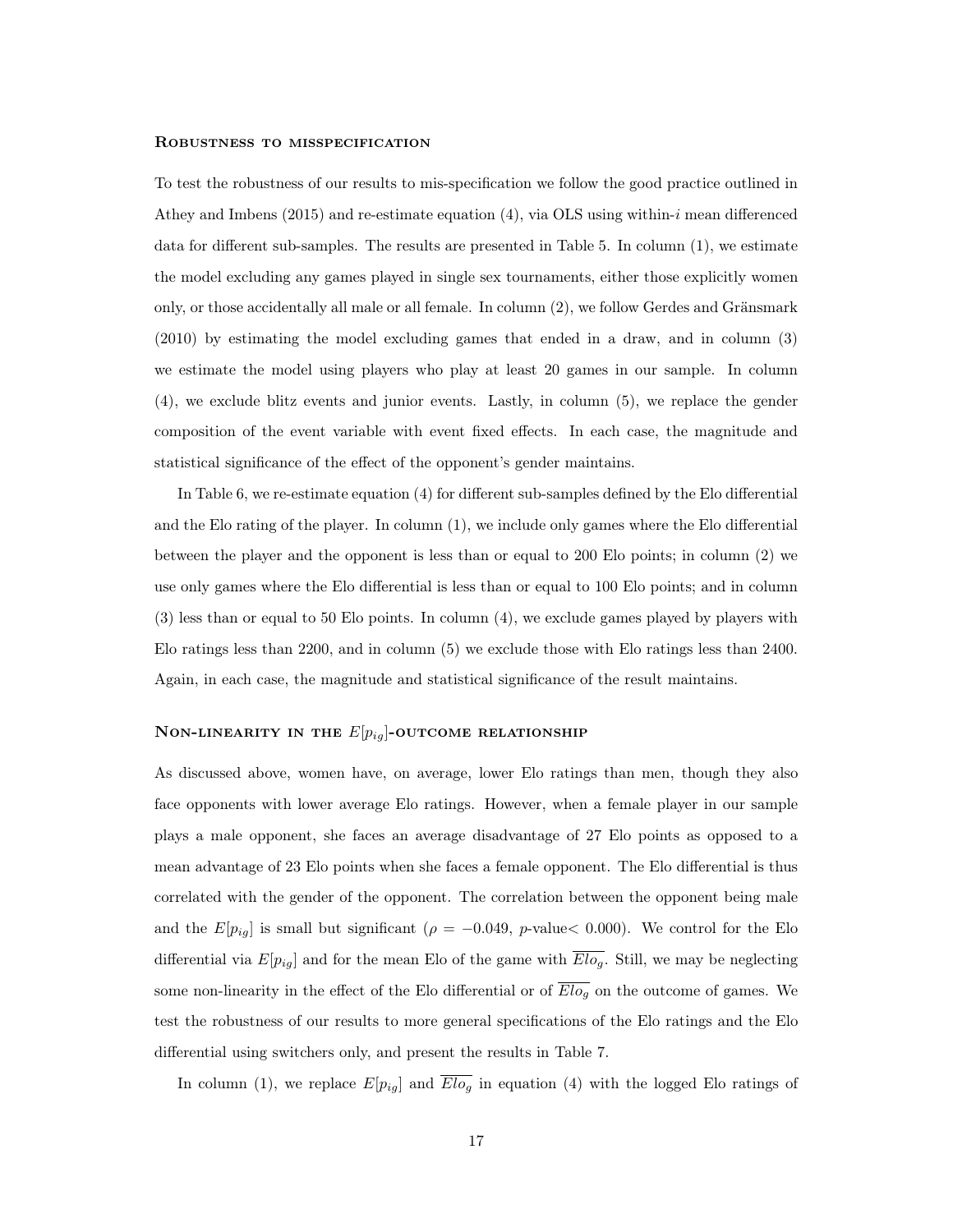#### ROBUSTNESS TO MISSPECIFICATION

To test the robustness of our results to mis-specification we follow the good practice outlined in Athey and Imbens (2015) and re-estimate equation (4), via OLS using within-*i* mean differenced data for different sub-samples. The results are presented in Table 5. In column (1), we estimate the model excluding any games played in single sex tournaments, either those explicitly women only, or those accidentally all male or all female. In column (2), we follow Gerdes and Gränsmark (2010) by estimating the model excluding games that ended in a draw, and in column (3) we estimate the model using players who play at least 20 games in our sample. In column (4), we exclude blitz events and junior events. Lastly, in column (5), we replace the gender composition of the event variable with event fixed effects. In each case, the magnitude and statistical significance of the effect of the opponent's gender maintains.

In Table 6, we re-estimate equation (4) for different sub-samples defined by the Elo differential and the Elo rating of the player. In column (1), we include only games where the Elo differential between the player and the opponent is less than or equal to 200 Elo points; in column (2) we use only games where the Elo differential is less than or equal to 100 Elo points; and in column (3) less than or equal to 50 Elo points. In column (4), we exclude games played by players with Elo ratings less than 2200, and in column (5) we exclude those with Elo ratings less than 2400. Again, in each case, the magnitude and statistical significance of the result maintains.

# Non-linearity in the *E*[*pig*]-outcome relationship

As discussed above, women have, on average, lower Elo ratings than men, though they also face opponents with lower average Elo ratings. However, when a female player in our sample plays a male opponent, she faces an average disadvantage of 27 Elo points as opposed to a mean advantage of 23 Elo points when she faces a female opponent. The Elo differential is thus correlated with the gender of the opponent. The correlation between the opponent being male and the  $E[p_{ig}]$  is small but significant ( $\rho = -0.049$ ,  $p$ -value $< 0.000$ ). We control for the Elo differential via  $E[p_{ig}]$  and for the mean Elo of the game with  $\overline{Elo_g}$ . Still, we may be neglecting some non-linearity in the effect of the Elo differential or of  $\overline{Elo_g}$  on the outcome of games. We test the robustness of our results to more general specifications of the Elo ratings and the Elo differential using switchers only, and present the results in Table 7.

In column (1), we replace  $E[p_{ig}]$  and  $\overline{Elo_g}$  in equation (4) with the logged Elo ratings of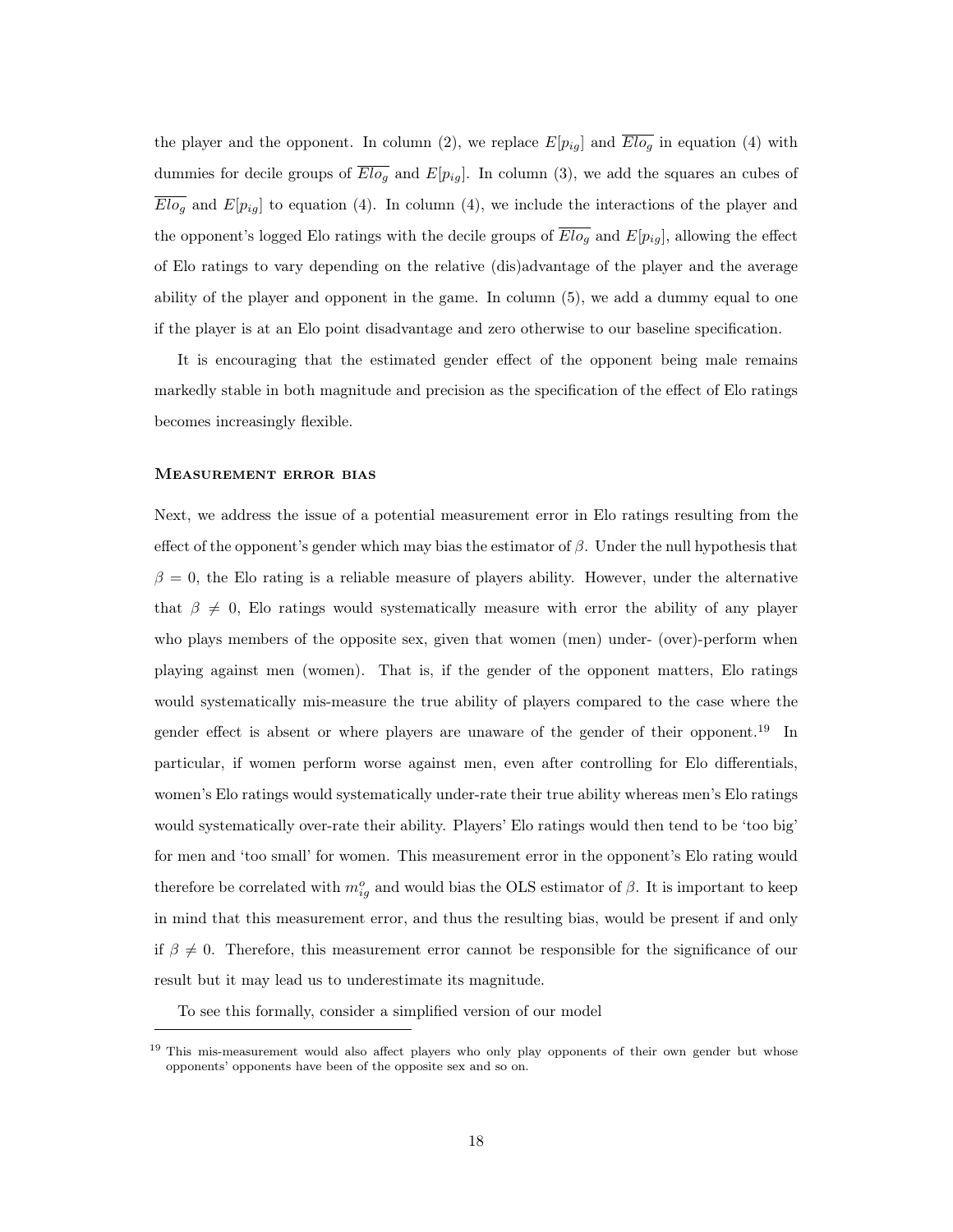the player and the opponent. In column (2), we replace  $E[p_{ig}]$  and  $\overline{Elo_g}$  in equation (4) with dummies for decile groups of  $\overline{Elo_g}$  and  $E[p_{ig}]$ . In column (3), we add the squares an cubes of  $\overline{Elo_g}$  and  $E[p_{ig}]$  to equation (4). In column (4), we include the interactions of the player and the opponent's logged Elo ratings with the decile groups of  $\overline{Elo_g}$  and  $E[p_{ig}]$ , allowing the effect of Elo ratings to vary depending on the relative (dis)advantage of the player and the average ability of the player and opponent in the game. In column (5), we add a dummy equal to one if the player is at an Elo point disadvantage and zero otherwise to our baseline specification.

It is encouraging that the estimated gender effect of the opponent being male remains markedly stable in both magnitude and precision as the specification of the effect of Elo ratings becomes increasingly flexible.

#### Measurement error bias

Next, we address the issue of a potential measurement error in Elo ratings resulting from the effect of the opponent's gender which may bias the estimator of  $\beta$ . Under the null hypothesis that  $\beta = 0$ , the Elo rating is a reliable measure of players ability. However, under the alternative that  $\beta \neq 0$ , Elo ratings would systematically measure with error the ability of any player who plays members of the opposite sex, given that women (men) under- (over)-perform when playing against men (women). That is, if the gender of the opponent matters, Elo ratings would systematically mis-measure the true ability of players compared to the case where the gender effect is absent or where players are unaware of the gender of their opponent.<sup>19</sup> In particular, if women perform worse against men, even after controlling for Elo differentials, women's Elo ratings would systematically under-rate their true ability whereas men's Elo ratings would systematically over-rate their ability. Players' Elo ratings would then tend to be 'too big' for men and 'too small' for women. This measurement error in the opponent's Elo rating would therefore be correlated with  $m_{ig}^o$  and would bias the OLS estimator of  $\beta$ . It is important to keep in mind that this measurement error, and thus the resulting bias, would be present if and only if  $\beta \neq 0$ . Therefore, this measurement error cannot be responsible for the significance of our result but it may lead us to underestimate its magnitude.

To see this formally, consider a simplified version of our model

This mis-measurement would also affect players who only play opponents of their own gender but whose opponents' opponents have been of the opposite sex and so on.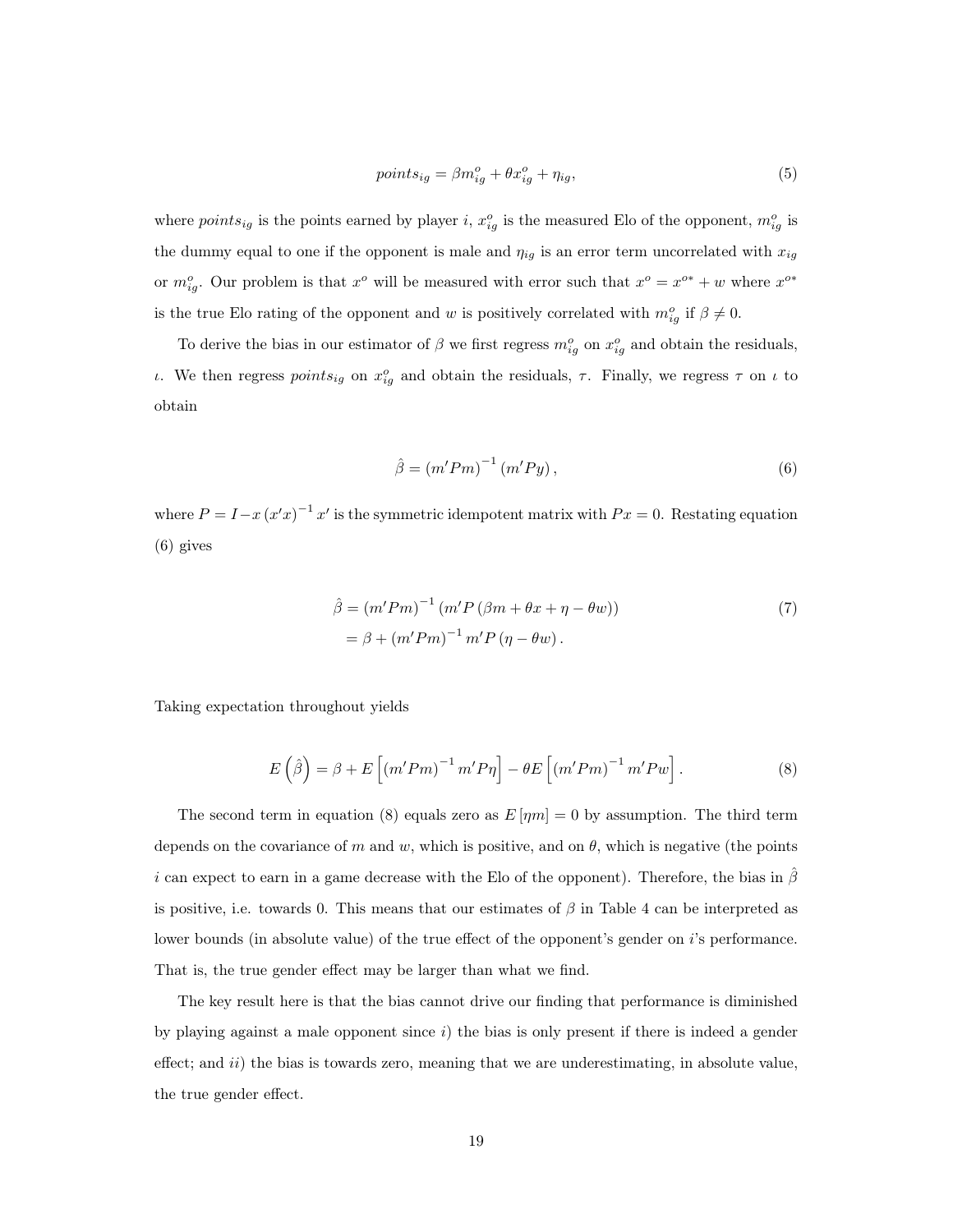$$
points_{ig} = \beta m_{ig}^o + \theta x_{ig}^o + \eta_{ig},\tag{5}
$$

where *points*<sup>*ig*</sup> is the points earned by player *i*,  $x_{ig}^o$  is the measured Elo of the opponent,  $m_{ig}^o$  is the dummy equal to one if the opponent is male and  $\eta_{ig}$  is an error term uncorrelated with  $x_{ig}$ or  $m_{ig}^o$ . Our problem is that  $x^o$  will be measured with error such that  $x^o = x^{o*} + w$  where  $x^{o*}$ is the true Elo rating of the opponent and *w* is positively correlated with  $m_{ig}^o$  if  $\beta \neq 0$ .

To derive the bias in our estimator of  $\beta$  we first regress  $m_{ig}^o$  on  $x_{ig}^o$  and obtain the residuals,  $\iota$ . We then regress *points*<sub>*ig*</sub> on  $x_{ig}^o$  and obtain the residuals,  $\tau$ . Finally, we regress  $\tau$  on  $\iota$  to obtain

$$
\hat{\beta} = \left(m'Pm\right)^{-1}\left(m'Py\right),\tag{6}
$$

where  $P = I - x (x'x)^{-1} x'$  is the symmetric idempotent matrix with  $Px = 0$ . Restating equation (6) gives

$$
\hat{\beta} = (m'Pm)^{-1} (m'P(\beta m + \theta x + \eta - \theta w))
$$
  
=  $\beta + (m'Pm)^{-1} m'P(\eta - \theta w).$  (7)

Taking expectation throughout yields

$$
E(\hat{\beta}) = \beta + E\left[ (m'Pm)^{-1} m'P\eta \right] - \theta E\left[ (m'Pm)^{-1} m'Pw \right]. \tag{8}
$$

The second term in equation (8) equals zero as  $E[\eta m]=0$  by assumption. The third term depends on the covariance of  $m$  and  $w$ , which is positive, and on  $\theta$ , which is negative (the points *i* can expect to earn in a game decrease with the Elo of the opponent). Therefore, the bias in  $\beta$ is positive, i.e. towards 0. This means that our estimates of  $\beta$  in Table 4 can be interpreted as lower bounds (in absolute value) of the true effect of the opponent's gender on *i*'s performance. That is, the true gender effect may be larger than what we find.

The key result here is that the bias cannot drive our finding that performance is diminished by playing against a male opponent since *i*) the bias is only present if there is indeed a gender effect; and *ii*) the bias is towards zero, meaning that we are underestimating, in absolute value, the true gender effect.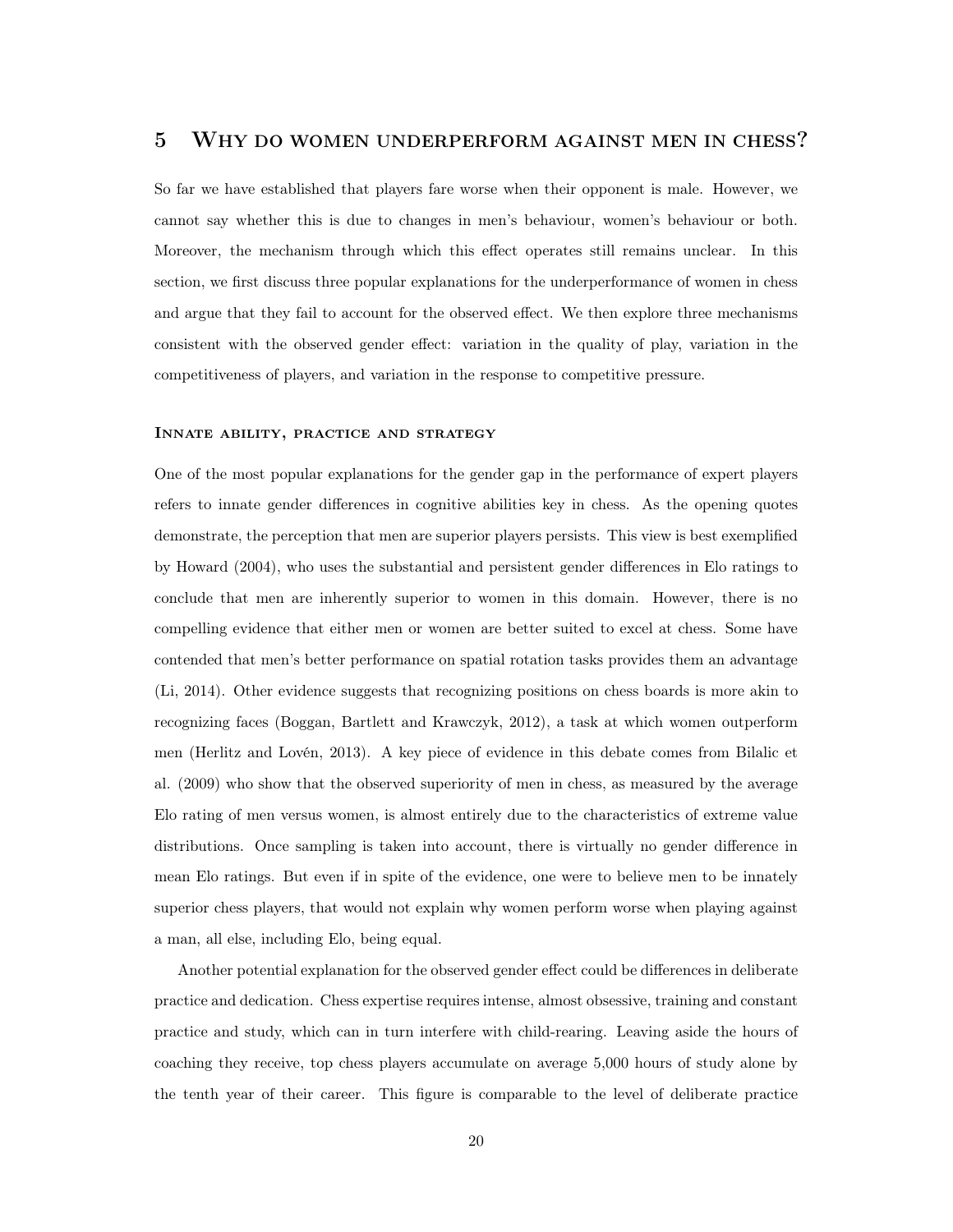# 5 Why do women underperform against men in chess?

So far we have established that players fare worse when their opponent is male. However, we cannot say whether this is due to changes in men's behaviour, women's behaviour or both. Moreover, the mechanism through which this effect operates still remains unclear. In this section, we first discuss three popular explanations for the underperformance of women in chess and argue that they fail to account for the observed effect. We then explore three mechanisms consistent with the observed gender effect: variation in the quality of play, variation in the competitiveness of players, and variation in the response to competitive pressure.

## Innate ability, practice and strategy

One of the most popular explanations for the gender gap in the performance of expert players refers to innate gender differences in cognitive abilities key in chess. As the opening quotes demonstrate, the perception that men are superior players persists. This view is best exemplified by Howard (2004), who uses the substantial and persistent gender differences in Elo ratings to conclude that men are inherently superior to women in this domain. However, there is no compelling evidence that either men or women are better suited to excel at chess. Some have contended that men's better performance on spatial rotation tasks provides them an advantage (Li, 2014). Other evidence suggests that recognizing positions on chess boards is more akin to recognizing faces (Boggan, Bartlett and Krawczyk, 2012), a task at which women outperform men (Herlitz and Lovén, 2013). A key piece of evidence in this debate comes from Bilalic et al. (2009) who show that the observed superiority of men in chess, as measured by the average Elo rating of men versus women, is almost entirely due to the characteristics of extreme value distributions. Once sampling is taken into account, there is virtually no gender difference in mean Elo ratings. But even if in spite of the evidence, one were to believe men to be innately superior chess players, that would not explain why women perform worse when playing against a man, all else, including Elo, being equal.

Another potential explanation for the observed gender effect could be differences in deliberate practice and dedication. Chess expertise requires intense, almost obsessive, training and constant practice and study, which can in turn interfere with child-rearing. Leaving aside the hours of coaching they receive, top chess players accumulate on average 5,000 hours of study alone by the tenth year of their career. This figure is comparable to the level of deliberate practice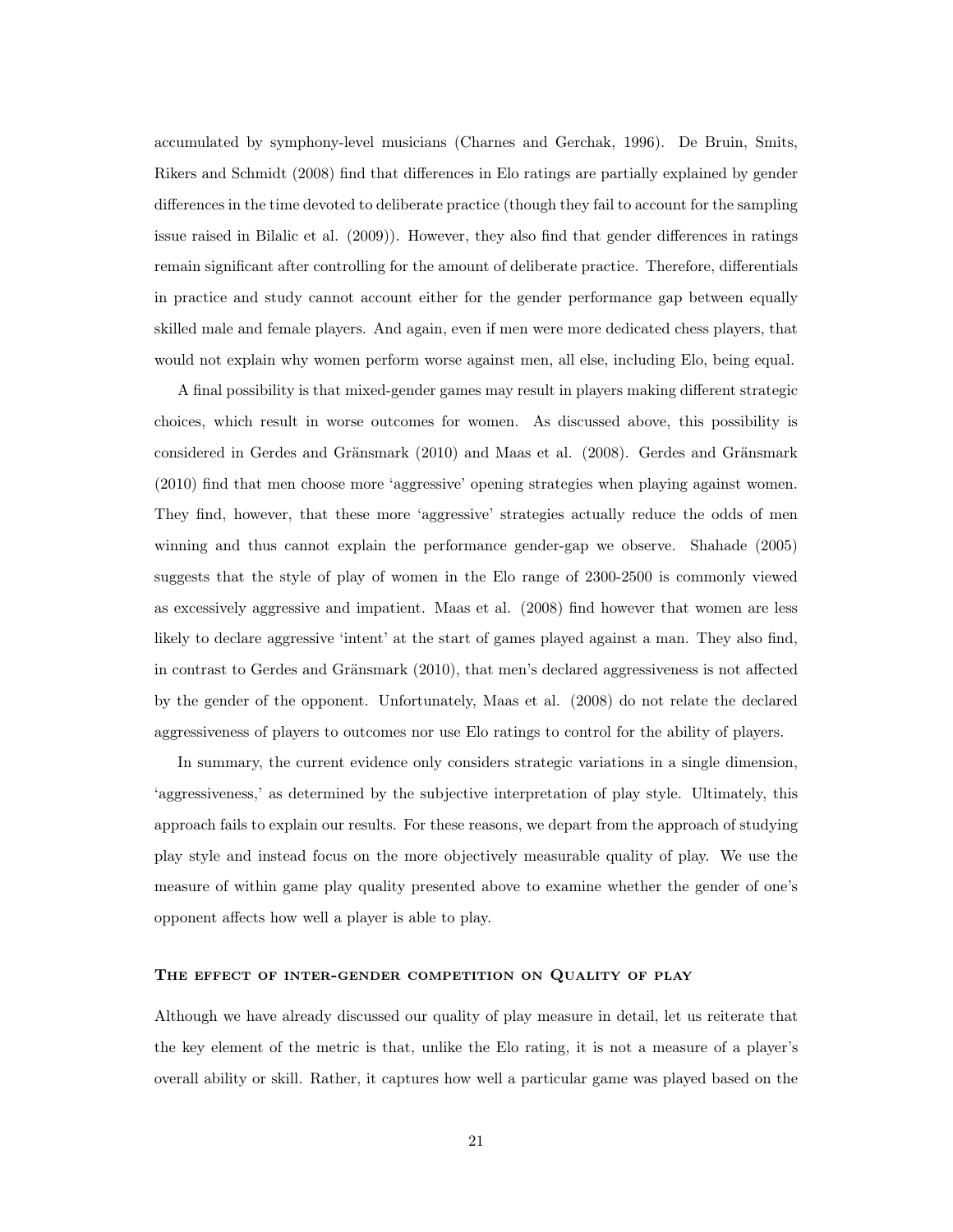accumulated by symphony-level musicians (Charnes and Gerchak, 1996). De Bruin, Smits, Rikers and Schmidt (2008) find that differences in Elo ratings are partially explained by gender differences in the time devoted to deliberate practice (though they fail to account for the sampling issue raised in Bilalic et al. (2009)). However, they also find that gender differences in ratings remain significant after controlling for the amount of deliberate practice. Therefore, differentials in practice and study cannot account either for the gender performance gap between equally skilled male and female players. And again, even if men were more dedicated chess players, that would not explain why women perform worse against men, all else, including Elo, being equal.

A final possibility is that mixed-gender games may result in players making different strategic choices, which result in worse outcomes for women. As discussed above, this possibility is considered in Gerdes and Gränsmark (2010) and Maas et al. (2008). Gerdes and Gränsmark (2010) find that men choose more 'aggressive' opening strategies when playing against women. They find, however, that these more 'aggressive' strategies actually reduce the odds of men winning and thus cannot explain the performance gender-gap we observe. Shahade (2005) suggests that the style of play of women in the Elo range of 2300-2500 is commonly viewed as excessively aggressive and impatient. Maas et al. (2008) find however that women are less likely to declare aggressive 'intent' at the start of games played against a man. They also find, in contrast to Gerdes and Gränsmark (2010), that men's declared aggressiveness is not affected by the gender of the opponent. Unfortunately, Maas et al. (2008) do not relate the declared aggressiveness of players to outcomes nor use Elo ratings to control for the ability of players.

In summary, the current evidence only considers strategic variations in a single dimension, 'aggressiveness,' as determined by the subjective interpretation of play style. Ultimately, this approach fails to explain our results. For these reasons, we depart from the approach of studying play style and instead focus on the more objectively measurable quality of play. We use the measure of within game play quality presented above to examine whether the gender of one's opponent affects how well a player is able to play.

## THE EFFECT OF INTER-GENDER COMPETITION ON QUALITY OF PLAY

Although we have already discussed our quality of play measure in detail, let us reiterate that the key element of the metric is that, unlike the Elo rating, it is not a measure of a player's overall ability or skill. Rather, it captures how well a particular game was played based on the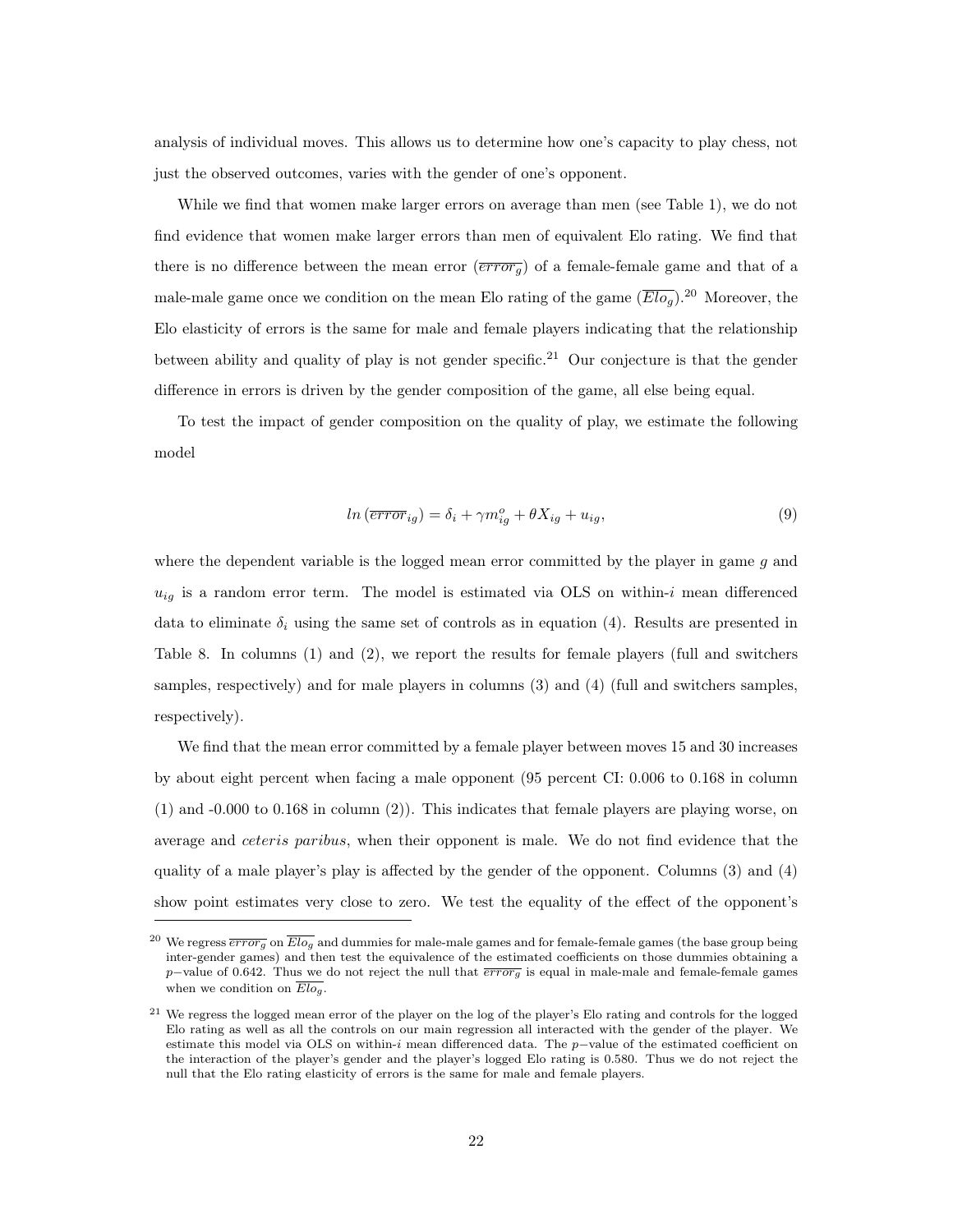analysis of individual moves. This allows us to determine how one's capacity to play chess, not just the observed outcomes, varies with the gender of one's opponent.

While we find that women make larger errors on average than men (see Table 1), we do not find evidence that women make larger errors than men of equivalent Elo rating. We find that there is no difference between the mean error  $(\overline{error_q})$  of a female-female game and that of a male-male game once we condition on the mean Elo rating of the game  $(\overline{Elo_g})$ .<sup>20</sup> Moreover, the Elo elasticity of errors is the same for male and female players indicating that the relationship between ability and quality of play is not gender specific.<sup>21</sup> Our conjecture is that the gender difference in errors is driven by the gender composition of the game, all else being equal.

To test the impact of gender composition on the quality of play, we estimate the following model

$$
ln\left(\overline{error}_{ig}\right) = \delta_i + \gamma m_{ig}^o + \theta X_{ig} + u_{ig},\tag{9}
$$

where the dependent variable is the logged mean error committed by the player in game *g* and  $u_{iq}$  is a random error term. The model is estimated via OLS on within-*i* mean differenced data to eliminate  $\delta_i$  using the same set of controls as in equation (4). Results are presented in Table 8. In columns (1) and (2), we report the results for female players (full and switchers samples, respectively) and for male players in columns (3) and (4) (full and switchers samples, respectively).

We find that the mean error committed by a female player between moves 15 and 30 increases by about eight percent when facing a male opponent (95 percent CI: 0.006 to 0.168 in column  $(1)$  and  $-0.000$  to  $0.168$  in column  $(2)$ ). This indicates that female players are playing worse, on average and *ceteris paribus*, when their opponent is male. We do not find evidence that the quality of a male player's play is affected by the gender of the opponent. Columns (3) and (4) show point estimates very close to zero. We test the equality of the effect of the opponent's

<sup>20</sup> We regress *error<sup>g</sup>* on *Elo<sup>g</sup>* and dummies for male-male games and for female-female games (the base group being inter-gender games) and then test the equivalence of the estimated coefficients on those dummies obtaining a *p*-value of 0.642. Thus we do not reject the null that  $\overline{error_g}$  is equal in male-male and female-female games when we condition on *Elog*.

<sup>&</sup>lt;sup>21</sup> We regress the logged mean error of the player on the log of the player's Elo rating and controls for the logged Elo rating as well as all the controls on our main regression all interacted with the gender of the player. We estimate this model via OLS on within-*i* mean differenced data. The *p*-value of the estimated coefficient on the interaction of the player's gender and the player's logged Elo rating is 0.580. Thus we do not reject the null that the Elo rating elasticity of errors is the same for male and female players.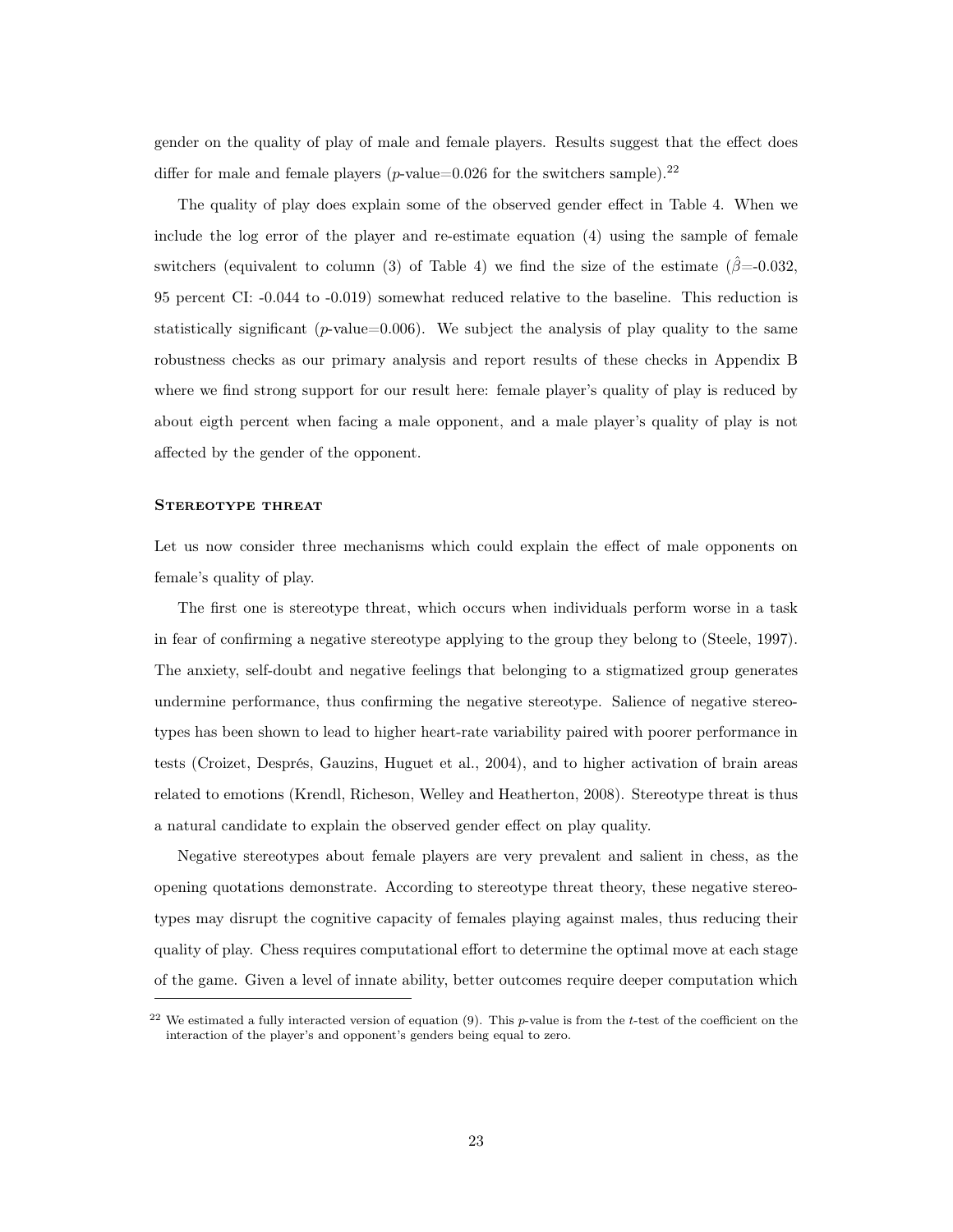gender on the quality of play of male and female players. Results suggest that the effect does differ for male and female players ( $p$ -value=0.026 for the switchers sample).<sup>22</sup>

The quality of play does explain some of the observed gender effect in Table 4. When we include the log error of the player and re-estimate equation (4) using the sample of female switchers (equivalent to column (3) of Table 4) we find the size of the estimate  $(\hat{\beta}=0.032,$ 95 percent CI: -0.044 to -0.019) somewhat reduced relative to the baseline. This reduction is statistically significant  $(p$ -value=0.006). We subject the analysis of play quality to the same robustness checks as our primary analysis and report results of these checks in Appendix B where we find strong support for our result here: female player's quality of play is reduced by about eigth percent when facing a male opponent, and a male player's quality of play is not affected by the gender of the opponent.

## STEREOTYPE THREAT

Let us now consider three mechanisms which could explain the effect of male opponents on female's quality of play.

The first one is stereotype threat, which occurs when individuals perform worse in a task in fear of confirming a negative stereotype applying to the group they belong to (Steele, 1997). The anxiety, self-doubt and negative feelings that belonging to a stigmatized group generates undermine performance, thus confirming the negative stereotype. Salience of negative stereotypes has been shown to lead to higher heart-rate variability paired with poorer performance in tests (Croizet, Després, Gauzins, Huguet et al., 2004), and to higher activation of brain areas related to emotions (Krendl, Richeson, Welley and Heatherton, 2008). Stereotype threat is thus a natural candidate to explain the observed gender effect on play quality.

Negative stereotypes about female players are very prevalent and salient in chess, as the opening quotations demonstrate. According to stereotype threat theory, these negative stereotypes may disrupt the cognitive capacity of females playing against males, thus reducing their quality of play. Chess requires computational effort to determine the optimal move at each stage of the game. Given a level of innate ability, better outcomes require deeper computation which

<sup>22</sup> We estimated a fully interacted version of equation (9). This *p*-value is from the *t*-test of the coefficient on the interaction of the player's and opponent's genders being equal to zero.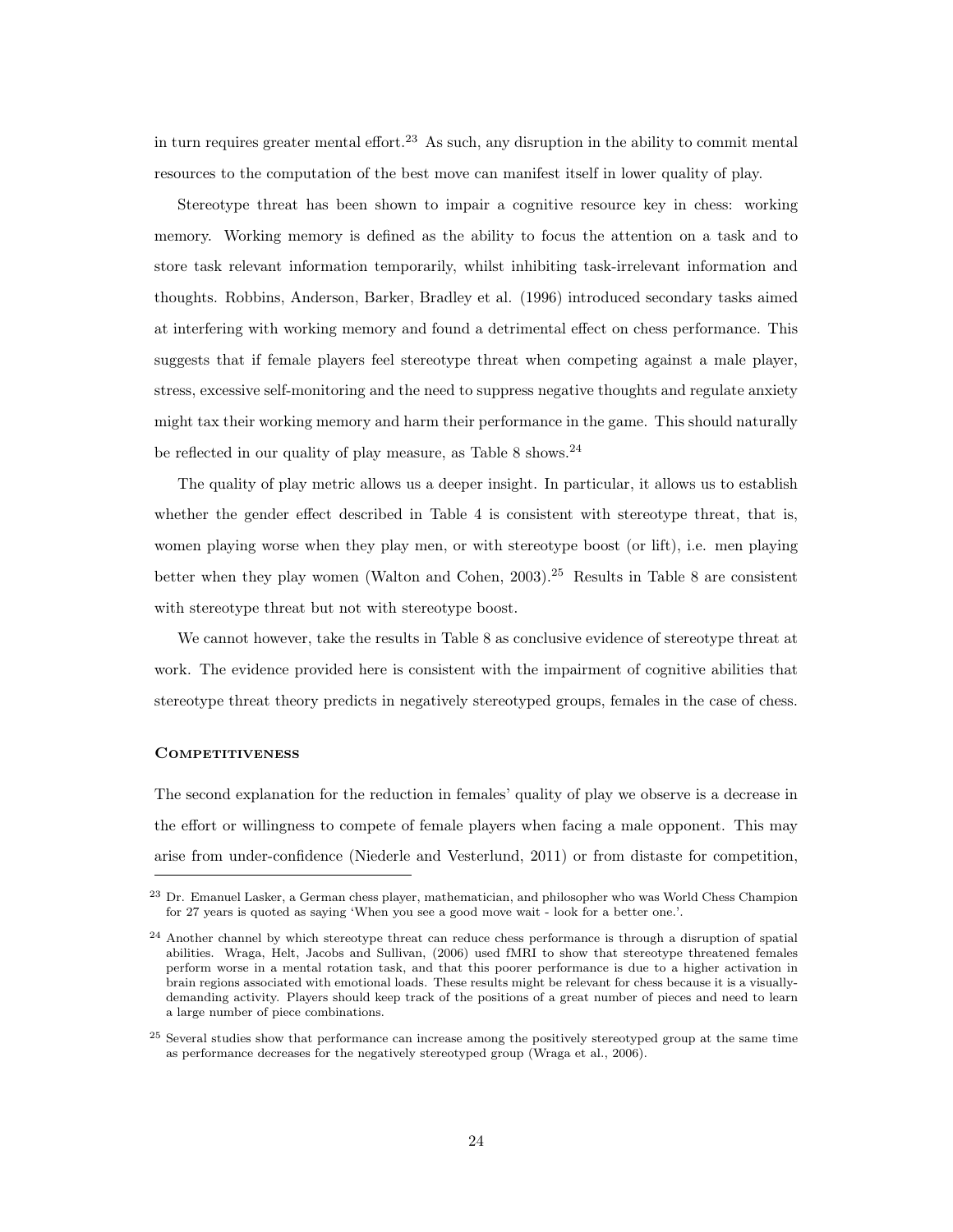in turn requires greater mental effort.<sup>23</sup> As such, any disruption in the ability to commit mental resources to the computation of the best move can manifest itself in lower quality of play.

Stereotype threat has been shown to impair a cognitive resource key in chess: working memory. Working memory is defined as the ability to focus the attention on a task and to store task relevant information temporarily, whilst inhibiting task-irrelevant information and thoughts. Robbins, Anderson, Barker, Bradley et al. (1996) introduced secondary tasks aimed at interfering with working memory and found a detrimental effect on chess performance. This suggests that if female players feel stereotype threat when competing against a male player, stress, excessive self-monitoring and the need to suppress negative thoughts and regulate anxiety might tax their working memory and harm their performance in the game. This should naturally be reflected in our quality of play measure, as Table 8 shows. $^{24}$ 

The quality of play metric allows us a deeper insight. In particular, it allows us to establish whether the gender effect described in Table 4 is consistent with stereotype threat, that is, women playing worse when they play men, or with stereotype boost (or lift), i.e. men playing better when they play women (Walton and Cohen, 2003).<sup>25</sup> Results in Table 8 are consistent with stereotype threat but not with stereotype boost.

We cannot however, take the results in Table 8 as conclusive evidence of stereotype threat at work. The evidence provided here is consistent with the impairment of cognitive abilities that stereotype threat theory predicts in negatively stereotyped groups, females in the case of chess.

## **COMPETITIVENESS**

The second explanation for the reduction in females' quality of play we observe is a decrease in the effort or willingness to compete of female players when facing a male opponent. This may arise from under-confidence (Niederle and Vesterlund, 2011) or from distaste for competition,

<sup>23</sup> Dr. Emanuel Lasker, a German chess player, mathematician, and philosopher who was World Chess Champion for 27 years is quoted as saying 'When you see a good move wait - look for a better one.'.

<sup>&</sup>lt;sup>24</sup> Another channel by which stereotype threat can reduce chess performance is through a disruption of spatial abilities. Wraga, Helt, Jacobs and Sullivan, (2006) used fMRI to show that stereotype threatened females perform worse in a mental rotation task, and that this poorer performance is due to a higher activation in brain regions associated with emotional loads. These results might be relevant for chess because it is a visuallydemanding activity. Players should keep track of the positions of a great number of pieces and need to learn a large number of piece combinations.

<sup>&</sup>lt;sup>25</sup> Several studies show that performance can increase among the positively stereotyped group at the same time as performance decreases for the negatively stereotyped group (Wraga et al., 2006).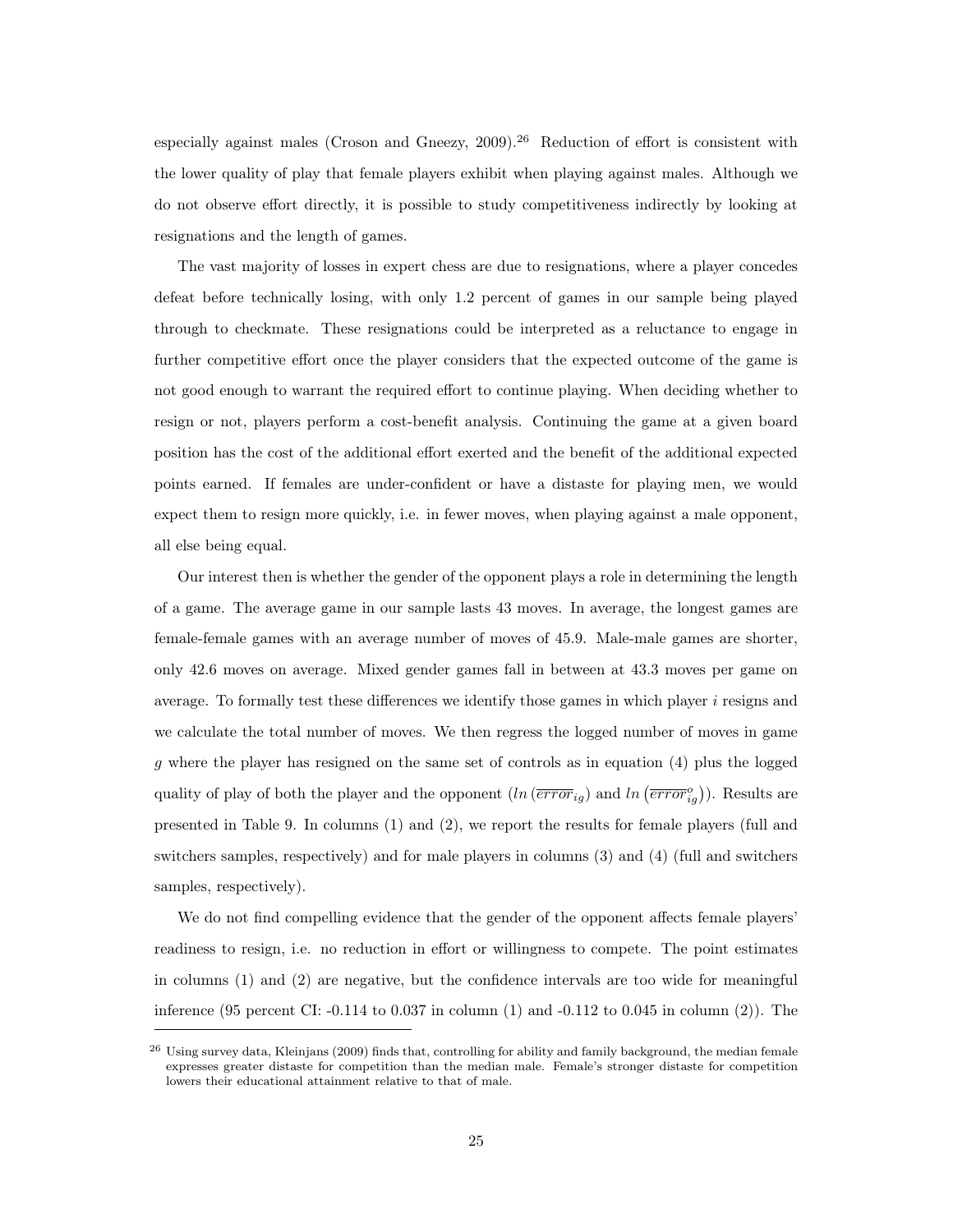especially against males (Croson and Gneezy, 2009).<sup>26</sup> Reduction of effort is consistent with the lower quality of play that female players exhibit when playing against males. Although we do not observe effort directly, it is possible to study competitiveness indirectly by looking at resignations and the length of games.

The vast majority of losses in expert chess are due to resignations, where a player concedes defeat before technically losing, with only 1.2 percent of games in our sample being played through to checkmate. These resignations could be interpreted as a reluctance to engage in further competitive effort once the player considers that the expected outcome of the game is not good enough to warrant the required effort to continue playing. When deciding whether to resign or not, players perform a cost-benefit analysis. Continuing the game at a given board position has the cost of the additional effort exerted and the benefit of the additional expected points earned. If females are under-confident or have a distaste for playing men, we would expect them to resign more quickly, i.e. in fewer moves, when playing against a male opponent, all else being equal.

Our interest then is whether the gender of the opponent plays a role in determining the length of a game. The average game in our sample lasts 43 moves. In average, the longest games are female-female games with an average number of moves of 45.9. Male-male games are shorter, only 42.6 moves on average. Mixed gender games fall in between at 43.3 moves per game on average. To formally test these differences we identify those games in which player *i* resigns and we calculate the total number of moves. We then regress the logged number of moves in game *g* where the player has resigned on the same set of controls as in equation (4) plus the logged quality of play of both the player and the opponent  $(ln(\overline{error}_{ig})$  and  $ln(\overline{error}_{ig}^o))$ . Results are presented in Table 9. In columns (1) and (2), we report the results for female players (full and switchers samples, respectively) and for male players in columns (3) and (4) (full and switchers samples, respectively).

We do not find compelling evidence that the gender of the opponent affects female players' readiness to resign, i.e. no reduction in effort or willingness to compete. The point estimates in columns (1) and (2) are negative, but the confidence intervals are too wide for meaningful inference (95 percent CI: -0.114 to 0.037 in column (1) and -0.112 to 0.045 in column (2)). The

 $^{26}$  Using survey data, Kleinjans (2009) finds that, controlling for ability and family background, the median female expresses greater distaste for competition than the median male. Female's stronger distaste for competition lowers their educational attainment relative to that of male.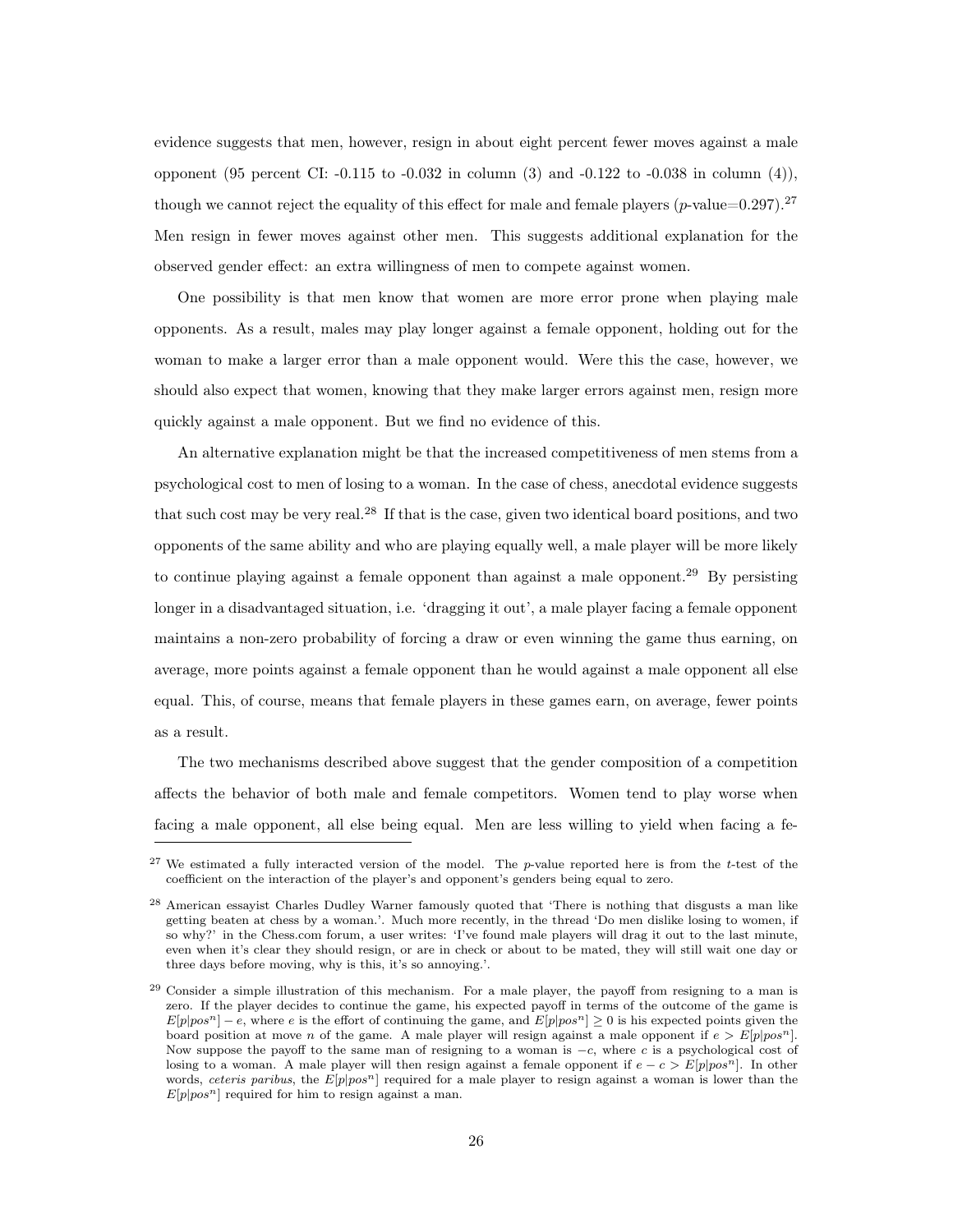evidence suggests that men, however, resign in about eight percent fewer moves against a male opponent (95 percent CI:  $-0.115$  to  $-0.032$  in column (3) and  $-0.122$  to  $-0.038$  in column (4)), though we cannot reject the equality of this effect for male and female players  $(p$ -value=0.297).<sup>27</sup> Men resign in fewer moves against other men. This suggests additional explanation for the observed gender effect: an extra willingness of men to compete against women.

One possibility is that men know that women are more error prone when playing male opponents. As a result, males may play longer against a female opponent, holding out for the woman to make a larger error than a male opponent would. Were this the case, however, we should also expect that women, knowing that they make larger errors against men, resign more quickly against a male opponent. But we find no evidence of this.

An alternative explanation might be that the increased competitiveness of men stems from a psychological cost to men of losing to a woman. In the case of chess, anecdotal evidence suggests that such cost may be very real.<sup>28</sup> If that is the case, given two identical board positions, and two opponents of the same ability and who are playing equally well, a male player will be more likely to continue playing against a female opponent than against a male opponent.<sup>29</sup> By persisting longer in a disadvantaged situation, i.e. 'dragging it out', a male player facing a female opponent maintains a non-zero probability of forcing a draw or even winning the game thus earning, on average, more points against a female opponent than he would against a male opponent all else equal. This, of course, means that female players in these games earn, on average, fewer points as a result.

The two mechanisms described above suggest that the gender composition of a competition affects the behavior of both male and female competitors. Women tend to play worse when facing a male opponent, all else being equal. Men are less willing to yield when facing a fe-

<sup>27</sup> We estimated a fully interacted version of the model. The *p*-value reported here is from the *t*-test of the coefficient on the interaction of the player's and opponent's genders being equal to zero.

<sup>28</sup> American essayist Charles Dudley Warner famously quoted that 'There is nothing that disgusts a man like getting beaten at chess by a woman.'. Much more recently, in the thread 'Do men dislike losing to women, if so why?' in the Chess.com forum, a user writes: 'I've found male players will drag it out to the last minute, even when it's clear they should resign, or are in check or about to be mated, they will still wait one day or three days before moving, why is this, it's so annoying.'.

<sup>&</sup>lt;sup>29</sup> Consider a simple illustration of this mechanism. For a male player, the payoff from resigning to a man is zero. If the player decides to continue the game, his expected payoff in terms of the outcome of the game is  $E[p|pos^n] - e$ , where *e* is the effort of continuing the game, and  $E[p|pos^n] \ge 0$  is his expected points given the board position at move *n* of the game. A male player will resign against a male opponent if  $e>E[p|pos^n]$ . Now suppose the payoff to the same man of resigning to a woman is  $-c$ , where c is a psychological cost of losing to a woman. A male player will then resign against a female opponent if  $e - c > E[p|pos^n]$ . In other words, *ceteris paribus*, the *<sup>E</sup>*[*p|posn*] required for a male player to resign against a woman is lower than the  $E[p|pos^n]$  required for him to resign against a man.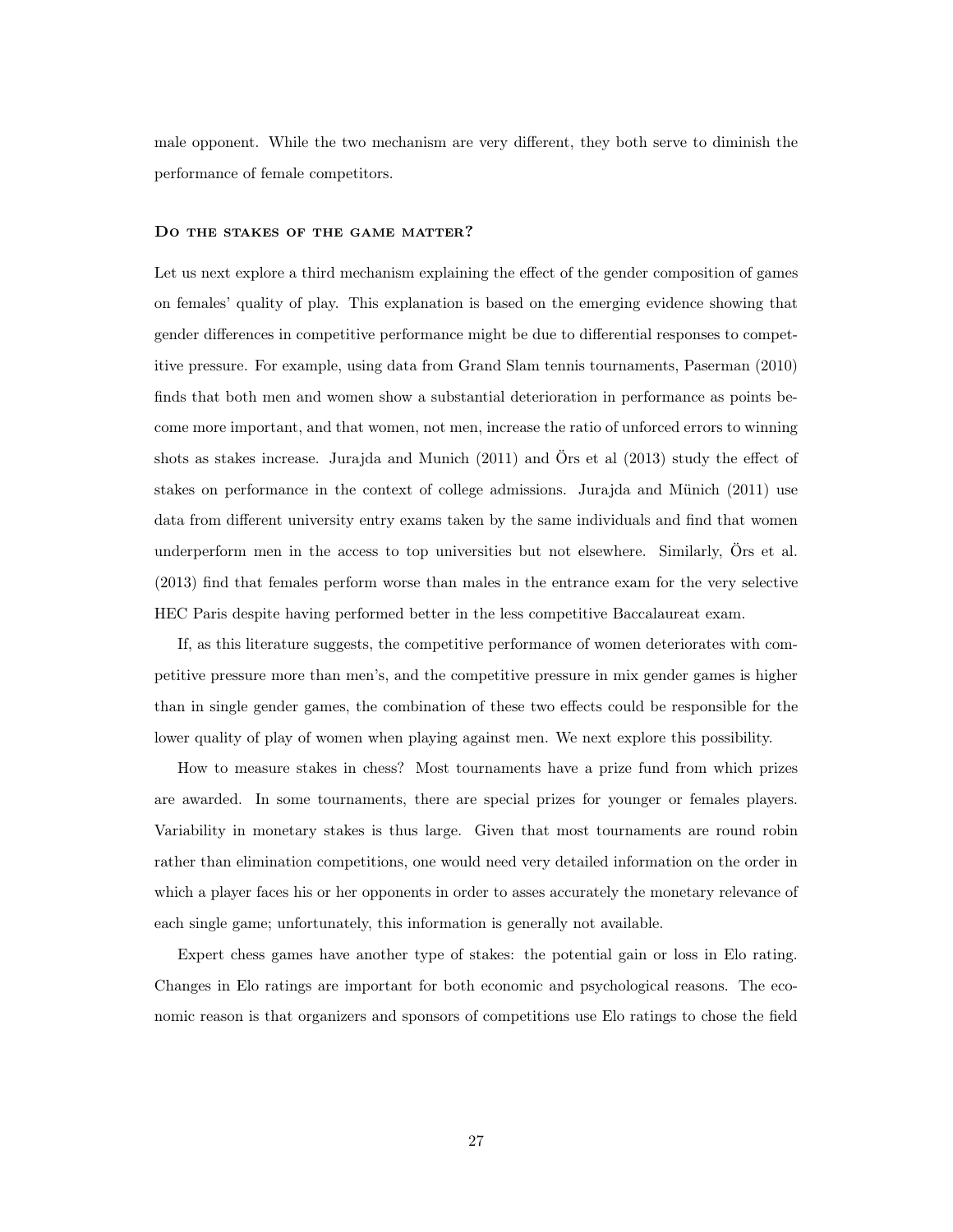male opponent. While the two mechanism are very different, they both serve to diminish the performance of female competitors.

## DO THE STAKES OF THE GAME MATTER?

Let us next explore a third mechanism explaining the effect of the gender composition of games on females' quality of play. This explanation is based on the emerging evidence showing that gender differences in competitive performance might be due to differential responses to competitive pressure. For example, using data from Grand Slam tennis tournaments, Paserman (2010) finds that both men and women show a substantial deterioration in performance as points become more important, and that women, not men, increase the ratio of unforced errors to winning shots as stakes increase. Jurajda and Munich (2011) and Örs et al (2013) study the effect of stakes on performance in the context of college admissions. Jurajda and Münich (2011) use data from different university entry exams taken by the same individuals and find that women underperform men in the access to top universities but not elsewhere. Similarly, Örs et al. (2013) find that females perform worse than males in the entrance exam for the very selective HEC Paris despite having performed better in the less competitive Baccalaureat exam.

If, as this literature suggests, the competitive performance of women deteriorates with competitive pressure more than men's, and the competitive pressure in mix gender games is higher than in single gender games, the combination of these two effects could be responsible for the lower quality of play of women when playing against men. We next explore this possibility.

How to measure stakes in chess? Most tournaments have a prize fund from which prizes are awarded. In some tournaments, there are special prizes for younger or females players. Variability in monetary stakes is thus large. Given that most tournaments are round robin rather than elimination competitions, one would need very detailed information on the order in which a player faces his or her opponents in order to asses accurately the monetary relevance of each single game; unfortunately, this information is generally not available.

Expert chess games have another type of stakes: the potential gain or loss in Elo rating. Changes in Elo ratings are important for both economic and psychological reasons. The economic reason is that organizers and sponsors of competitions use Elo ratings to chose the field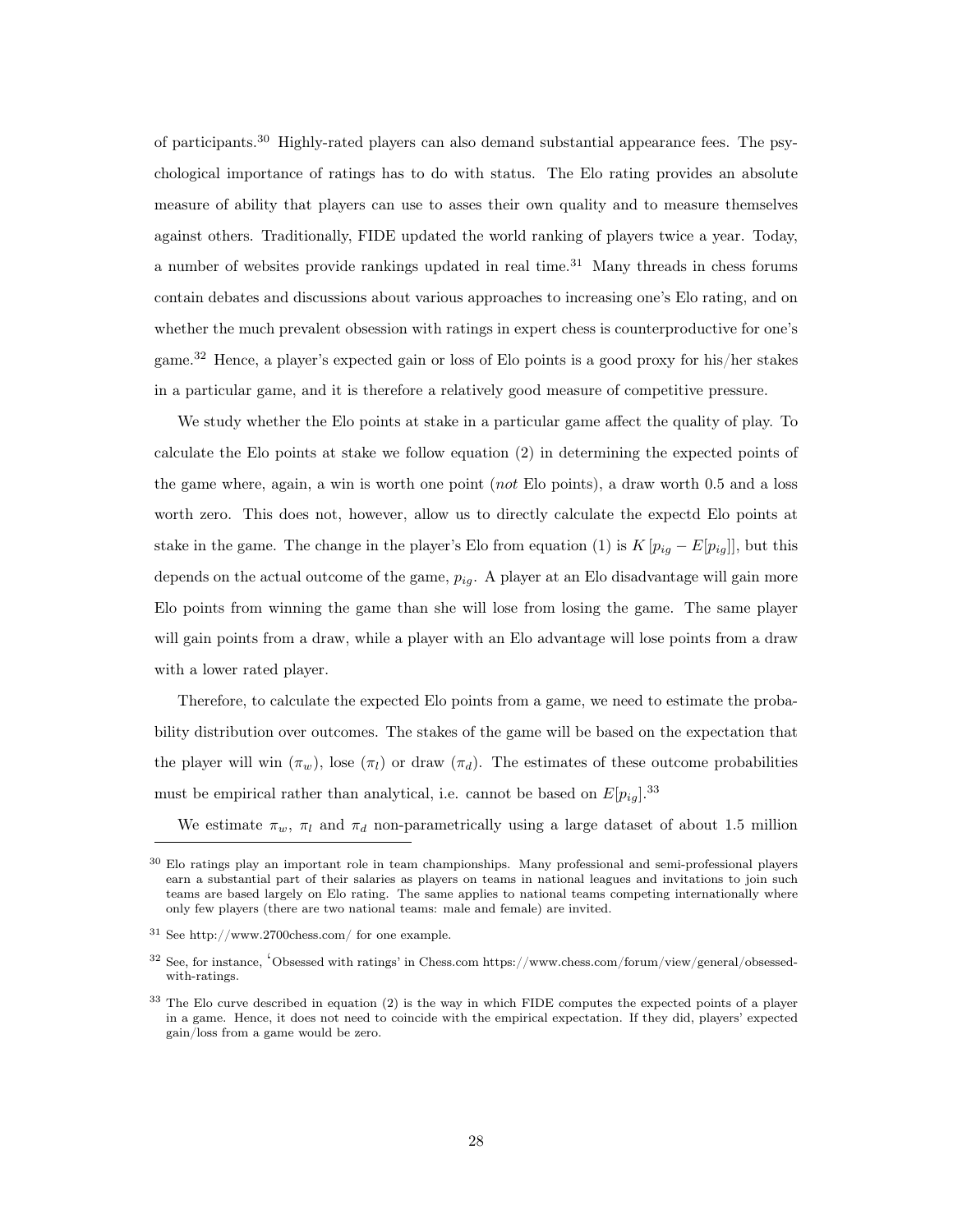of participants.<sup>30</sup> Highly-rated players can also demand substantial appearance fees. The psychological importance of ratings has to do with status. The Elo rating provides an absolute measure of ability that players can use to asses their own quality and to measure themselves against others. Traditionally, FIDE updated the world ranking of players twice a year. Today, a number of websites provide rankings updated in real time.<sup>31</sup> Many threads in chess forums contain debates and discussions about various approaches to increasing one's Elo rating, and on whether the much prevalent obsession with ratings in expert chess is counterproductive for one's game.<sup>32</sup> Hence, a player's expected gain or loss of Elo points is a good proxy for his/her stakes in a particular game, and it is therefore a relatively good measure of competitive pressure.

We study whether the Elo points at stake in a particular game affect the quality of play. To calculate the Elo points at stake we follow equation (2) in determining the expected points of the game where, again, a win is worth one point (*not* Elo points), a draw worth 0.5 and a loss worth zero. This does not, however, allow us to directly calculate the expectd Elo points at stake in the game. The change in the player's Elo from equation (1) is  $K[p_{ig} - E[p_{ig}]]$ , but this depends on the actual outcome of the game, *pig*. A player at an Elo disadvantage will gain more Elo points from winning the game than she will lose from losing the game. The same player will gain points from a draw, while a player with an Elo advantage will lose points from a draw with a lower rated player.

Therefore, to calculate the expected Elo points from a game, we need to estimate the probability distribution over outcomes. The stakes of the game will be based on the expectation that the player will win  $(\pi_w)$ , lose  $(\pi_l)$  or draw  $(\pi_d)$ . The estimates of these outcome probabilities must be empirical rather than analytical, i.e. cannot be based on *E*[*pig*]. 33

We estimate  $\pi_w$ ,  $\pi_l$  and  $\pi_d$  non-parametrically using a large dataset of about 1.5 million

<sup>30</sup> Elo ratings play an important role in team championships. Many professional and semi-professional players earn a substantial part of their salaries as players on teams in national leagues and invitations to join such teams are based largely on Elo rating. The same applies to national teams competing internationally where only few players (there are two national teams: male and female) are invited.

 $^{31}$  See http://www.2700chess.com/ for one example.

<sup>32</sup> See, for instance, 'Obsessed with ratings' in Chess.com https://www.chess.com/forum/view/general/obsessedwith-ratings.

<sup>&</sup>lt;sup>33</sup> The Elo curve described in equation (2) is the way in which FIDE computes the expected points of a player in a game. Hence, it does not need to coincide with the empirical expectation. If they did, players' expected gain/loss from a game would be zero.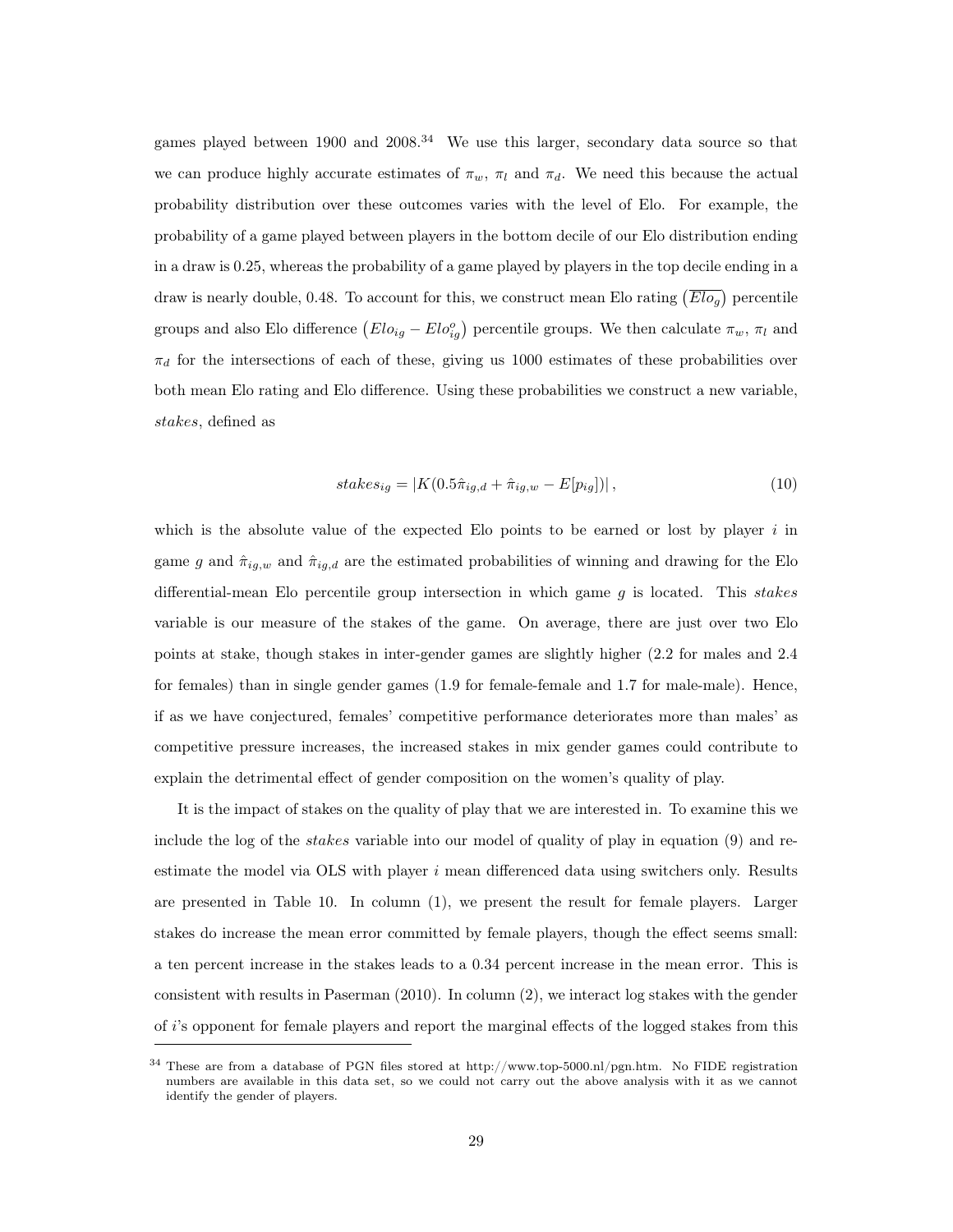games played between  $1900$  and  $2008<sup>34</sup>$  We use this larger, secondary data source so that we can produce highly accurate estimates of  $\pi_w$ ,  $\pi_l$  and  $\pi_d$ . We need this because the actual probability distribution over these outcomes varies with the level of Elo. For example, the probability of a game played between players in the bottom decile of our Elo distribution ending in a draw is 0.25, whereas the probability of a game played by players in the top decile ending in a draw is nearly double, 0.48. To account for this, we construct mean Elo rating  $(\overline{Elo_g})$  percentile groups and also Elo difference  $(Elo_{ig} - Elo_{ig}^o)$  percentile groups. We then calculate  $\pi_w$ ,  $\pi_l$  and  $\pi_d$  for the intersections of each of these, giving us 1000 estimates of these probabilities over both mean Elo rating and Elo difference. Using these probabilities we construct a new variable, *stakes*, defined as

$$
states_{ig} = |K(0.5\hat{\pi}_{ig,d} + \hat{\pi}_{ig,w} - E[p_{ig}])|,
$$
\n(10)

which is the absolute value of the expected Elo points to be earned or lost by player *i* in game g and  $\hat{\pi}_{ig,w}$  and  $\hat{\pi}_{ig,d}$  are the estimated probabilities of winning and drawing for the Elo differential-mean Elo percentile group intersection in which game *g* is located. This *stakes* variable is our measure of the stakes of the game. On average, there are just over two Elo points at stake, though stakes in inter-gender games are slightly higher (2.2 for males and 2.4 for females) than in single gender games (1.9 for female-female and 1.7 for male-male). Hence, if as we have conjectured, females' competitive performance deteriorates more than males' as competitive pressure increases, the increased stakes in mix gender games could contribute to explain the detrimental effect of gender composition on the women's quality of play.

It is the impact of stakes on the quality of play that we are interested in. To examine this we include the log of the *stakes* variable into our model of quality of play in equation (9) and reestimate the model via OLS with player *i* mean differenced data using switchers only. Results are presented in Table 10. In column (1), we present the result for female players. Larger stakes do increase the mean error committed by female players, though the effect seems small: a ten percent increase in the stakes leads to a 0.34 percent increase in the mean error. This is consistent with results in Paserman (2010). In column (2), we interact log stakes with the gender of *i*'s opponent for female players and report the marginal effects of the logged stakes from this

<sup>34</sup> These are from a database of PGN files stored at http://www.top-5000.nl/pgn.htm. No FIDE registration numbers are available in this data set, so we could not carry out the above analysis with it as we cannot identify the gender of players.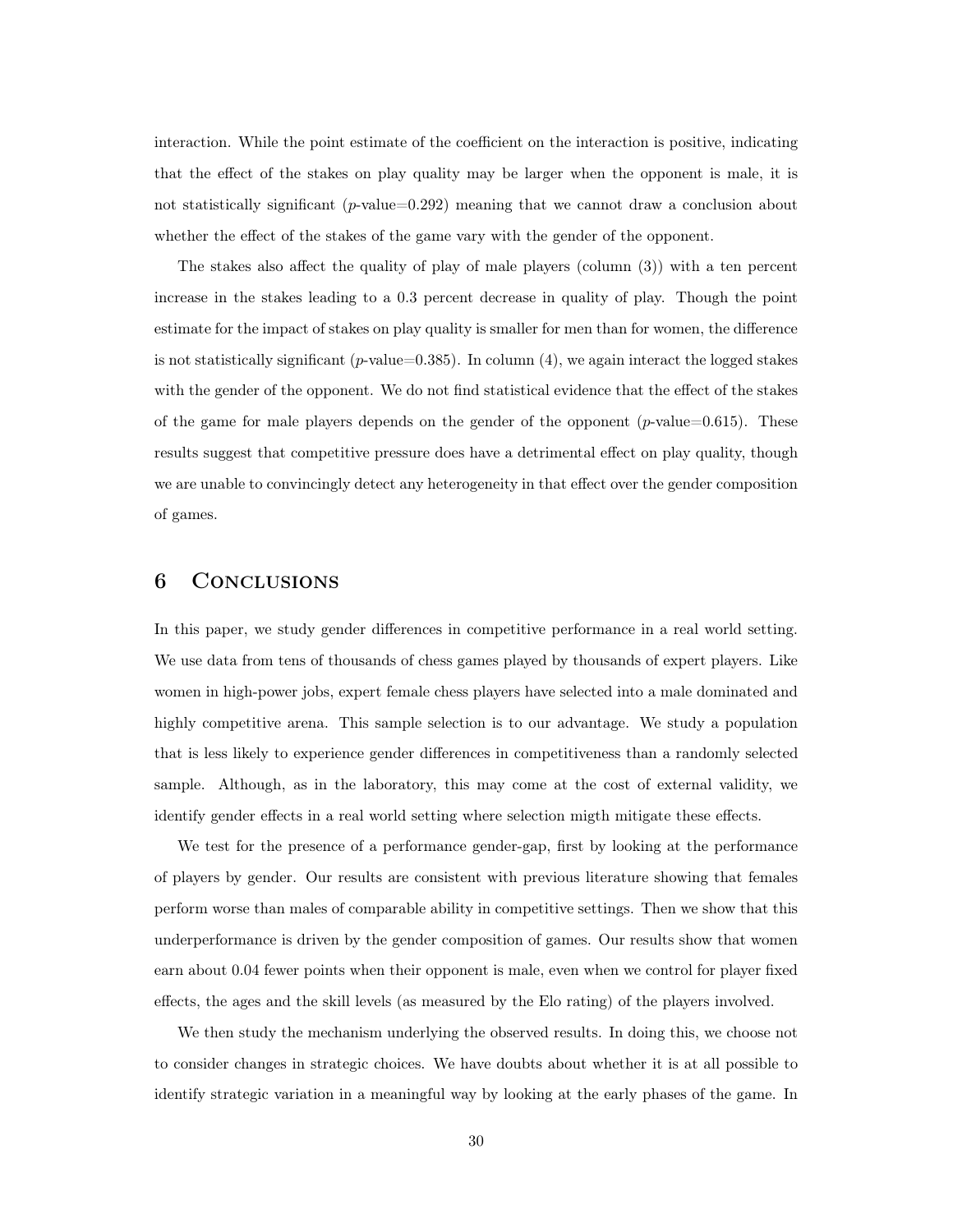interaction. While the point estimate of the coefficient on the interaction is positive, indicating that the effect of the stakes on play quality may be larger when the opponent is male, it is not statistically significant (*p*-value=0.292) meaning that we cannot draw a conclusion about whether the effect of the stakes of the game vary with the gender of the opponent.

The stakes also affect the quality of play of male players (column (3)) with a ten percent increase in the stakes leading to a 0.3 percent decrease in quality of play. Though the point estimate for the impact of stakes on play quality is smaller for men than for women, the difference is not statistically significant (*p*-value=0.385). In column (4), we again interact the logged stakes with the gender of the opponent. We do not find statistical evidence that the effect of the stakes of the game for male players depends on the gender of the opponent  $(p$ -value=0.615). These results suggest that competitive pressure does have a detrimental effect on play quality, though we are unable to convincingly detect any heterogeneity in that effect over the gender composition of games.

# 6 Conclusions

In this paper, we study gender differences in competitive performance in a real world setting. We use data from tens of thousands of chess games played by thousands of expert players. Like women in high-power jobs, expert female chess players have selected into a male dominated and highly competitive arena. This sample selection is to our advantage. We study a population that is less likely to experience gender differences in competitiveness than a randomly selected sample. Although, as in the laboratory, this may come at the cost of external validity, we identify gender effects in a real world setting where selection migth mitigate these effects.

We test for the presence of a performance gender-gap, first by looking at the performance of players by gender. Our results are consistent with previous literature showing that females perform worse than males of comparable ability in competitive settings. Then we show that this underperformance is driven by the gender composition of games. Our results show that women earn about 0.04 fewer points when their opponent is male, even when we control for player fixed effects, the ages and the skill levels (as measured by the Elo rating) of the players involved.

We then study the mechanism underlying the observed results. In doing this, we choose not to consider changes in strategic choices. We have doubts about whether it is at all possible to identify strategic variation in a meaningful way by looking at the early phases of the game. In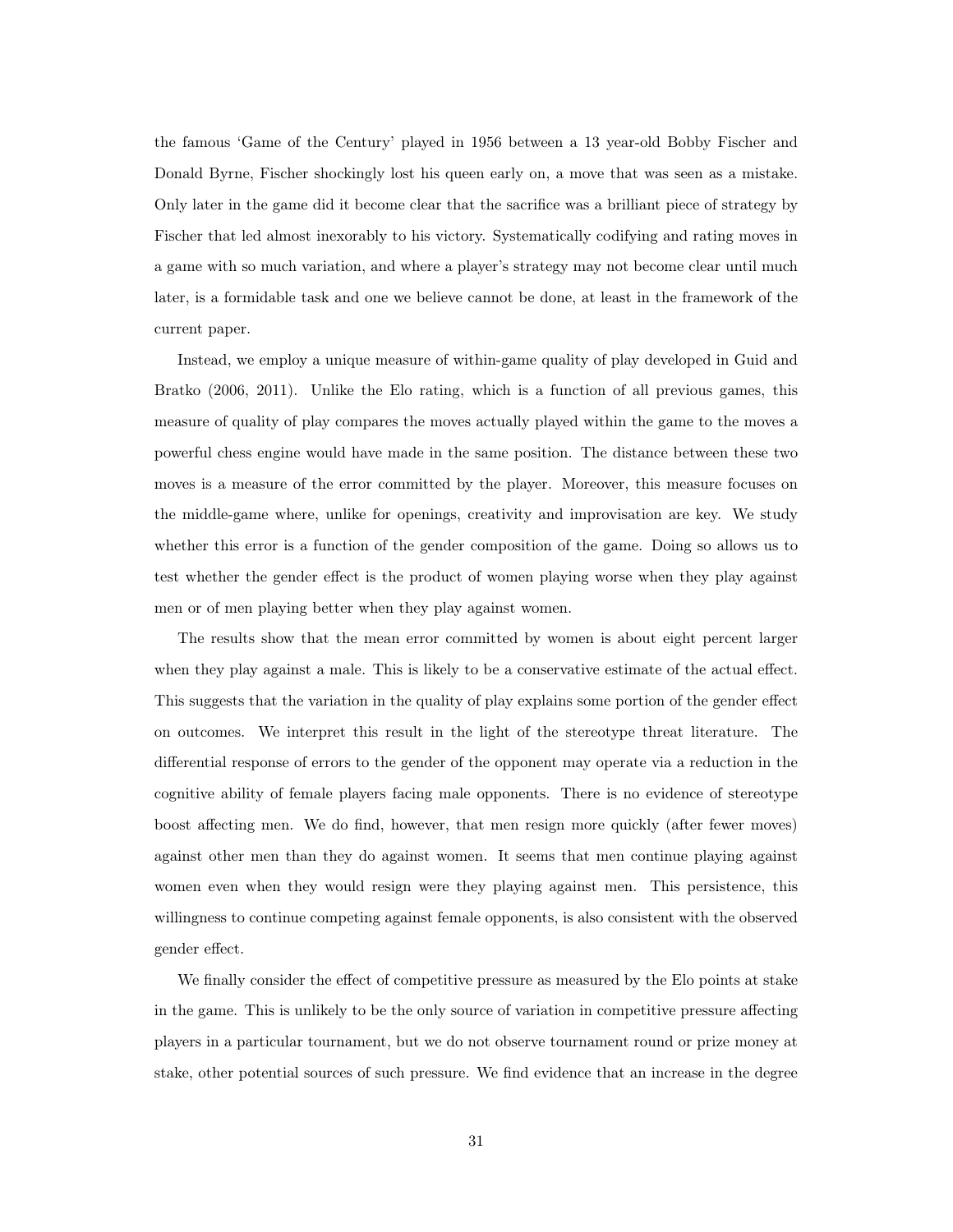the famous 'Game of the Century' played in 1956 between a 13 year-old Bobby Fischer and Donald Byrne, Fischer shockingly lost his queen early on, a move that was seen as a mistake. Only later in the game did it become clear that the sacrifice was a brilliant piece of strategy by Fischer that led almost inexorably to his victory. Systematically codifying and rating moves in a game with so much variation, and where a player's strategy may not become clear until much later, is a formidable task and one we believe cannot be done, at least in the framework of the current paper.

Instead, we employ a unique measure of within-game quality of play developed in Guid and Bratko (2006, 2011). Unlike the Elo rating, which is a function of all previous games, this measure of quality of play compares the moves actually played within the game to the moves a powerful chess engine would have made in the same position. The distance between these two moves is a measure of the error committed by the player. Moreover, this measure focuses on the middle-game where, unlike for openings, creativity and improvisation are key. We study whether this error is a function of the gender composition of the game. Doing so allows us to test whether the gender effect is the product of women playing worse when they play against men or of men playing better when they play against women.

The results show that the mean error committed by women is about eight percent larger when they play against a male. This is likely to be a conservative estimate of the actual effect. This suggests that the variation in the quality of play explains some portion of the gender effect on outcomes. We interpret this result in the light of the stereotype threat literature. The differential response of errors to the gender of the opponent may operate via a reduction in the cognitive ability of female players facing male opponents. There is no evidence of stereotype boost affecting men. We do find, however, that men resign more quickly (after fewer moves) against other men than they do against women. It seems that men continue playing against women even when they would resign were they playing against men. This persistence, this willingness to continue competing against female opponents, is also consistent with the observed gender effect.

We finally consider the effect of competitive pressure as measured by the Elo points at stake in the game. This is unlikely to be the only source of variation in competitive pressure affecting players in a particular tournament, but we do not observe tournament round or prize money at stake, other potential sources of such pressure. We find evidence that an increase in the degree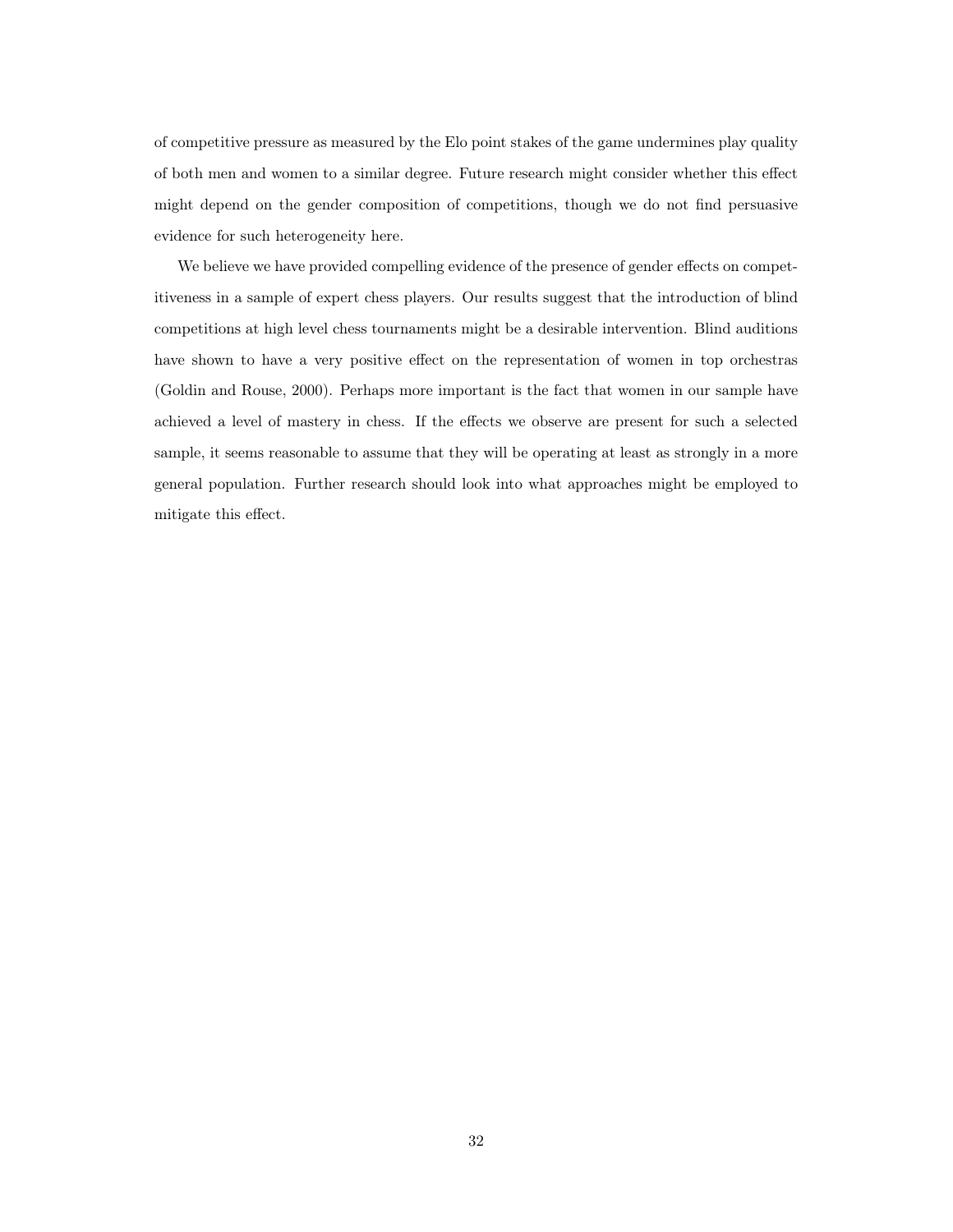of competitive pressure as measured by the Elo point stakes of the game undermines play quality of both men and women to a similar degree. Future research might consider whether this effect might depend on the gender composition of competitions, though we do not find persuasive evidence for such heterogeneity here.

We believe we have provided compelling evidence of the presence of gender effects on competitiveness in a sample of expert chess players. Our results suggest that the introduction of blind competitions at high level chess tournaments might be a desirable intervention. Blind auditions have shown to have a very positive effect on the representation of women in top orchestras (Goldin and Rouse, 2000). Perhaps more important is the fact that women in our sample have achieved a level of mastery in chess. If the effects we observe are present for such a selected sample, it seems reasonable to assume that they will be operating at least as strongly in a more general population. Further research should look into what approaches might be employed to mitigate this effect.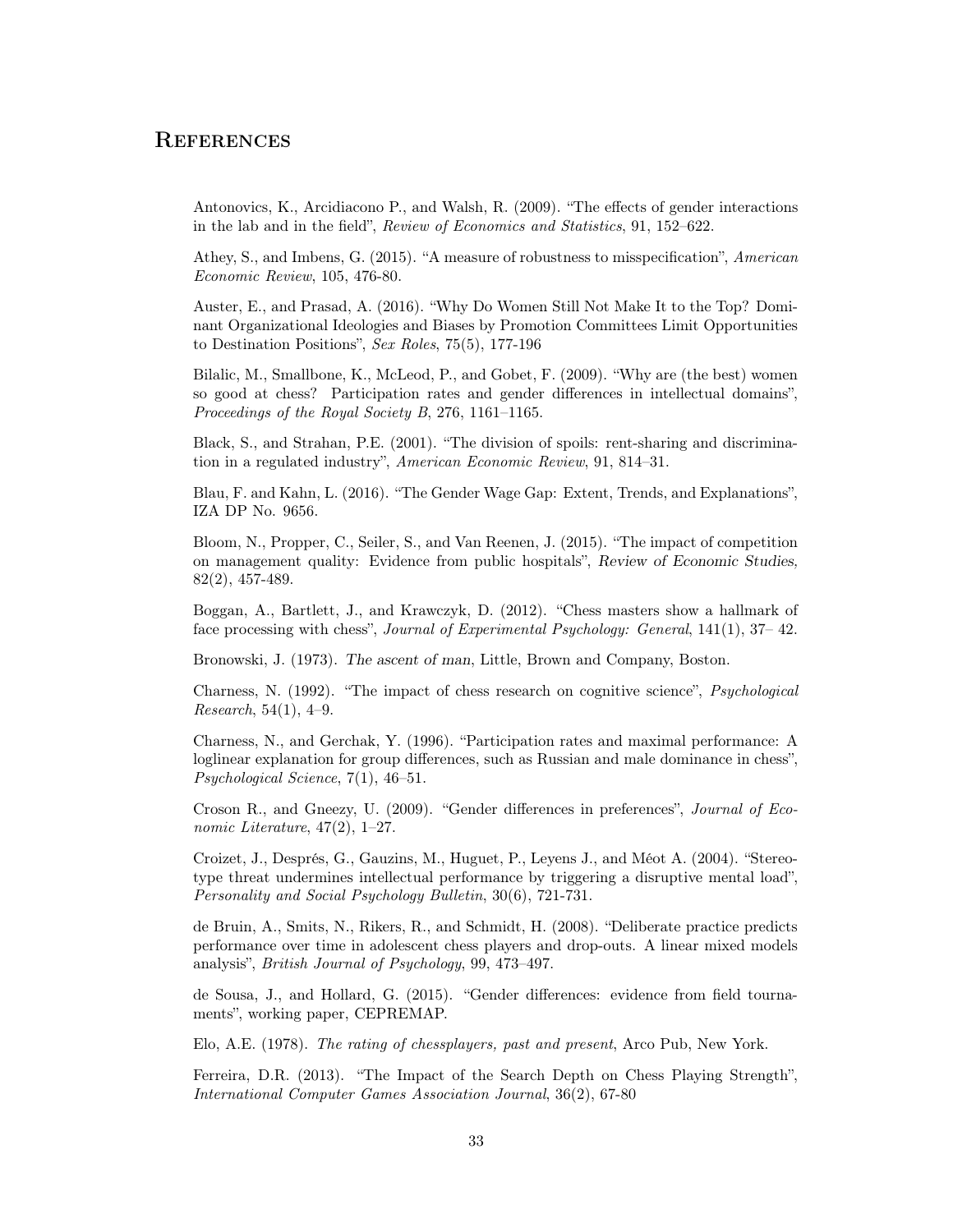# **REFERENCES**

Antonovics, K., Arcidiacono P., and Walsh, R. (2009). "The effects of gender interactions in the lab and in the field", *Review of Economics and Statistics*, 91, 152–622.

Athey, S., and Imbens, G. (2015). "A measure of robustness to misspecification", *American Economic Review*, 105, 476-80.

Auster, E., and Prasad, A. (2016). "Why Do Women Still Not Make It to the Top? Dominant Organizational Ideologies and Biases by Promotion Committees Limit Opportunities to Destination Positions", *Sex Roles*, 75(5), 177-196

Bilalic, M., Smallbone, K., McLeod, P., and Gobet, F. (2009). "Why are (the best) women so good at chess? Participation rates and gender differences in intellectual domains", *Proceedings of the Royal Society B*, 276, 1161–1165.

Black, S., and Strahan, P.E. (2001). "The division of spoils: rent-sharing and discrimination in a regulated industry", *American Economic Review*, 91, 814–31.

Blau, F. and Kahn, L. (2016). "The Gender Wage Gap: Extent, Trends, and Explanations", IZA DP No. 9656.

Bloom, N., Propper, C., Seiler, S., and Van Reenen, J. (2015). "The impact of competition on management quality: Evidence from public hospitals", *Review of Economic Studies,* 82(2), 457-489.

Boggan, A., Bartlett, J., and Krawczyk, D. (2012). "Chess masters show a hallmark of face processing with chess", *Journal of Experimental Psychology: General*, 141(1), 37– 42.

Bronowski, J. (1973). *The ascent of man*, Little, Brown and Company, Boston.

Charness, N. (1992). "The impact of chess research on cognitive science", *Psychological Research*, 54(1), 4–9.

Charness, N., and Gerchak, Y. (1996). "Participation rates and maximal performance: A loglinear explanation for group differences, such as Russian and male dominance in chess", *Psychological Science*, 7(1), 46–51.

Croson R., and Gneezy, U. (2009). "Gender differences in preferences", *Journal of Economic Literature*, 47(2), 1–27.

Croizet, J., Després, G., Gauzins, M., Huguet, P., Leyens J., and Méot A. (2004). "Stereotype threat undermines intellectual performance by triggering a disruptive mental load", *Personality and Social Psychology Bulletin*, 30(6), 721-731.

de Bruin, A., Smits, N., Rikers, R., and Schmidt, H. (2008). "Deliberate practice predicts performance over time in adolescent chess players and drop-outs. A linear mixed models analysis", *British Journal of Psychology*, 99, 473–497.

de Sousa, J., and Hollard, G. (2015). "Gender differences: evidence from field tournaments", working paper, CEPREMAP.

Elo, A.E. (1978). *The rating of chessplayers, past and present*, Arco Pub, New York.

Ferreira, D.R. (2013). "The Impact of the Search Depth on Chess Playing Strength", *International Computer Games Association Journal*, 36(2), 67-80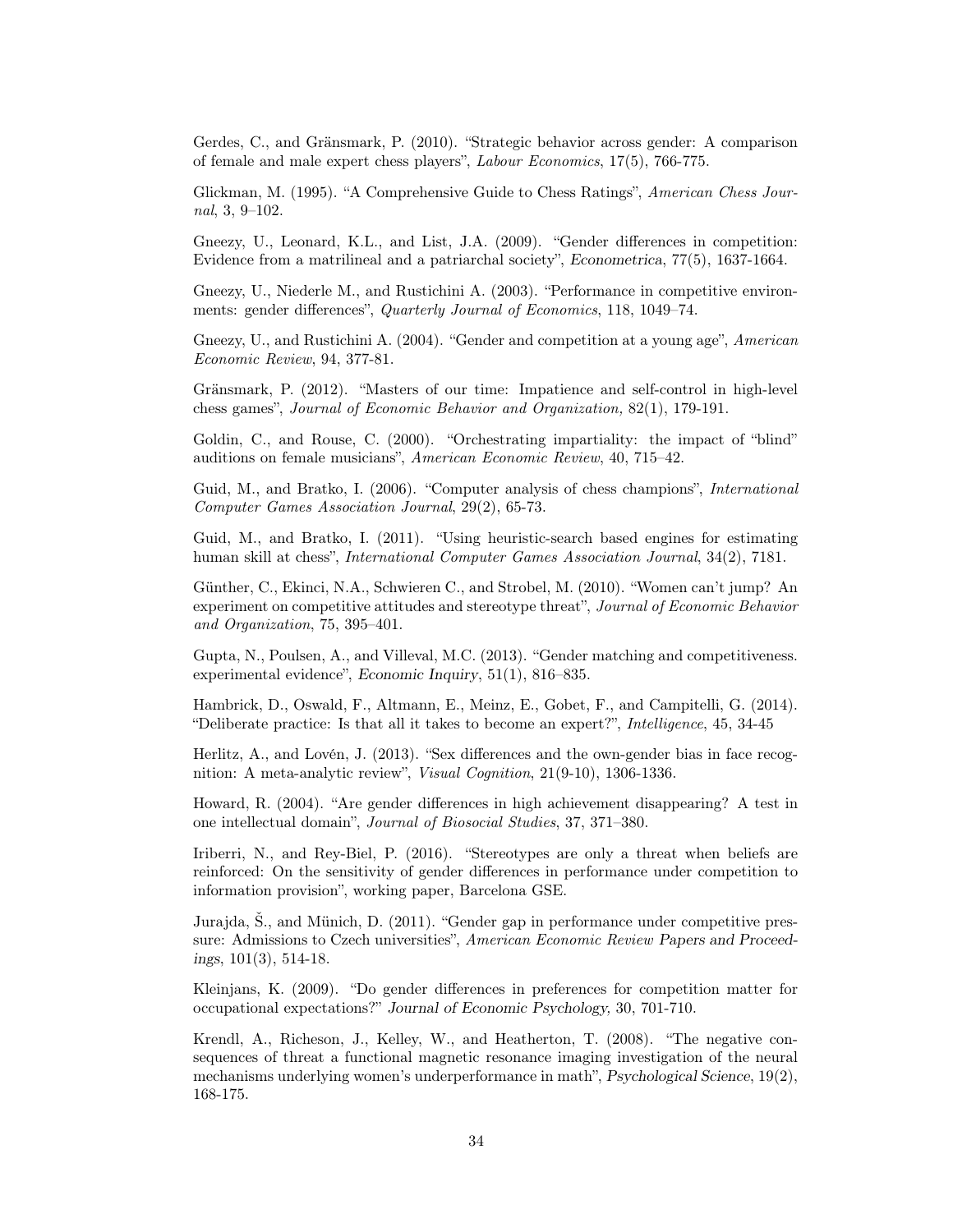Gerdes, C., and Gränsmark, P. (2010). "Strategic behavior across gender: A comparison of female and male expert chess players", *Labour Economics*, 17(5), 766-775.

Glickman, M. (1995). "A Comprehensive Guide to Chess Ratings", *American Chess Journal*, 3, 9–102.

Gneezy, U., Leonard, K.L., and List, J.A. (2009). "Gender differences in competition: Evidence from a matrilineal and a patriarchal society", *Econometrica*, 77(5), 1637-1664.

Gneezy, U., Niederle M., and Rustichini A. (2003). "Performance in competitive environments: gender differences", *Quarterly Journal of Economics*, 118, 1049–74.

Gneezy, U., and Rustichini A. (2004). "Gender and competition at a young age", *American Economic Review*, 94, 377-81.

Gränsmark, P. (2012). "Masters of our time: Impatience and self-control in high-level chess games", *Journal of Economic Behavior and Organization,* 82(1), 179-191.

Goldin, C., and Rouse, C. (2000). "Orchestrating impartiality: the impact of "blind" auditions on female musicians", *American Economic Review*, 40, 715–42.

Guid, M., and Bratko, I. (2006). "Computer analysis of chess champions", *International Computer Games Association Journal*, 29(2), 65-73.

Guid, M., and Bratko, I. (2011). "Using heuristic-search based engines for estimating human skill at chess", *International Computer Games Association Journal*, 34(2), 7181.

Günther, C., Ekinci, N.A., Schwieren C., and Strobel, M. (2010). "Women can't jump? An experiment on competitive attitudes and stereotype threat", *Journal of Economic Behavior and Organization*, 75, 395–401.

Gupta, N., Poulsen, A., and Villeval, M.C. (2013). "Gender matching and competitiveness. experimental evidence", *Economic Inquiry*, 51(1), 816–835.

Hambrick, D., Oswald, F., Altmann, E., Meinz, E., Gobet, F., and Campitelli, G. (2014). "Deliberate practice: Is that all it takes to become an expert?", *Intelligence*, 45, 34-45

Herlitz, A., and Lovén, J. (2013). "Sex differences and the own-gender bias in face recognition: A meta-analytic review", *Visual Cognition*, 21(9-10), 1306-1336.

Howard, R. (2004). "Are gender differences in high achievement disappearing? A test in one intellectual domain", *Journal of Biosocial Studies*, 37, 371–380.

Iriberri, N., and Rey-Biel, P. (2016). "Stereotypes are only a threat when beliefs are reinforced: On the sensitivity of gender differences in performance under competition to information provision", working paper, Barcelona GSE.

Jurajda, Š., and Münich, D. (2011). "Gender gap in performance under competitive pressure: Admissions to Czech universities", *American Economic Review Papers and Proceedings*, 101(3), 514-18.

Kleinjans, K. (2009). "Do gender differences in preferences for competition matter for occupational expectations?" *Journal of Economic Psychology,* 30, 701-710.

Krendl, A., Richeson, J., Kelley, W., and Heatherton, T. (2008). "The negative consequences of threat a functional magnetic resonance imaging investigation of the neural mechanisms underlying women's underperformance in math", *Psychological Science*, 19(2), 168-175.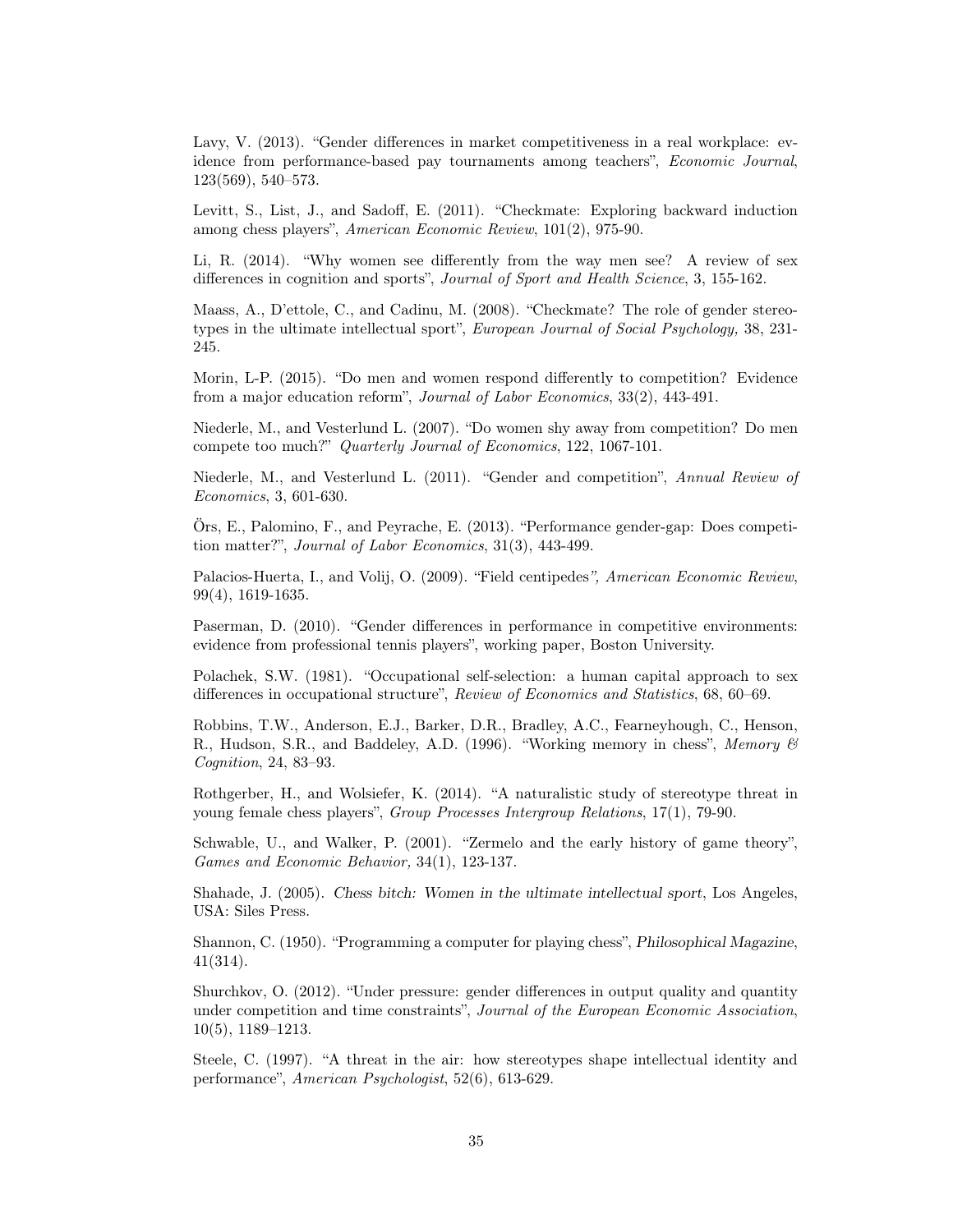Lavy, V. (2013). "Gender differences in market competitiveness in a real workplace: evidence from performance-based pay tournaments among teachers", *Economic Journal*, 123(569), 540–573.

Levitt, S., List, J., and Sadoff, E. (2011). "Checkmate: Exploring backward induction among chess players", *American Economic Review*, 101(2), 975-90.

Li, R. (2014). "Why women see differently from the way men see? A review of sex differences in cognition and sports", *Journal of Sport and Health Science*, 3, 155-162.

Maass, A., D'ettole, C., and Cadinu, M. (2008). "Checkmate? The role of gender stereotypes in the ultimate intellectual sport", *European Journal of Social Psychology,* 38, 231- 245.

Morin, L-P. (2015). "Do men and women respond differently to competition? Evidence from a major education reform", *Journal of Labor Economics*, 33(2), 443-491.

Niederle, M., and Vesterlund L. (2007). "Do women shy away from competition? Do men compete too much?" *Quarterly Journal of Economics*, 122, 1067-101.

Niederle, M., and Vesterlund L. (2011). "Gender and competition", *Annual Review of Economics*, 3, 601-630.

Örs, E., Palomino, F., and Peyrache, E. (2013). "Performance gender-gap: Does competition matter?", *Journal of Labor Economics*, 31(3), 443-499.

Palacios-Huerta, I., and Volij, O. (2009). "Field centipedes*", American Economic Review*, 99(4), 1619-1635.

Paserman, D. (2010). "Gender differences in performance in competitive environments: evidence from professional tennis players", working paper, Boston University.

Polachek, S.W. (1981). "Occupational self-selection: a human capital approach to sex differences in occupational structure", *Review of Economics and Statistics*, 68, 60–69.

Robbins, T.W., Anderson, E.J., Barker, D.R., Bradley, A.C., Fearneyhough, C., Henson, R., Hudson, S.R., and Baddeley, A.D. (1996). "Working memory in chess", *Memory & Cognition*, 24, 83–93.

Rothgerber, H., and Wolsiefer, K. (2014). "A naturalistic study of stereotype threat in young female chess players", *Group Processes Intergroup Relations*, 17(1), 79-90.

Schwable, U., and Walker, P. (2001). "Zermelo and the early history of game theory", *Games and Economic Behavior,* 34(1), 123-137.

Shahade, J. (2005). *Chess bitch: Women in the ultimate intellectual sport*, Los Angeles, USA: Siles Press.

Shannon, C. (1950). "Programming a computer for playing chess", *Philosophical Magazine*, 41(314).

Shurchkov, O. (2012). "Under pressure: gender differences in output quality and quantity under competition and time constraints", *Journal of the European Economic Association*, 10(5), 1189–1213.

Steele, C. (1997). "A threat in the air: how stereotypes shape intellectual identity and performance", *American Psychologist*, 52(6), 613-629.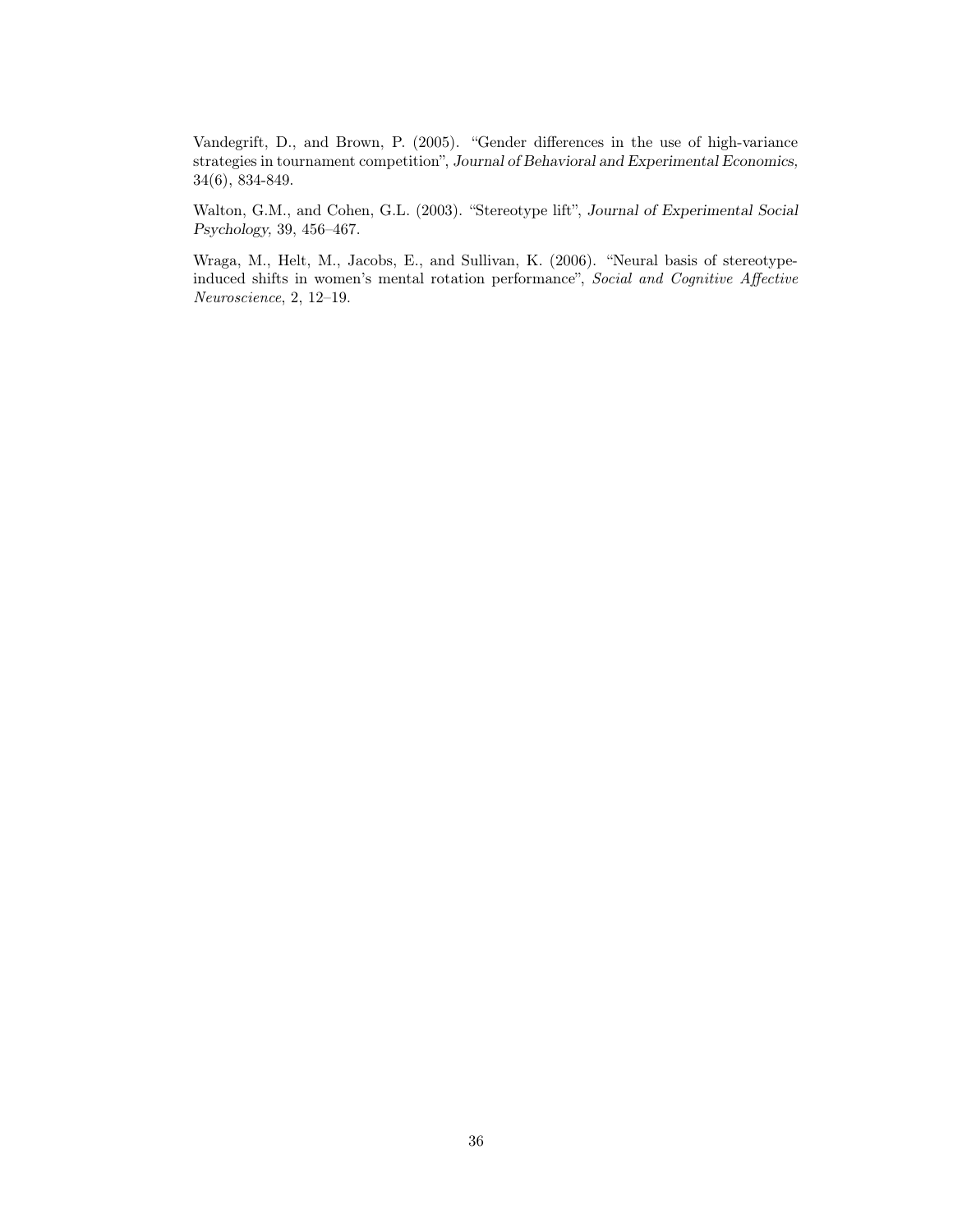Vandegrift, D., and Brown, P. (2005). "Gender differences in the use of high-variance strategies in tournament competition", *Journal of Behavioral and Experimental Economics,* 34(6), 834-849.

Walton, G.M., and Cohen, G.L. (2003). "Stereotype lift", *Journal of Experimental Social Psychology,* 39, 456–467.

Wraga, M., Helt, M., Jacobs, E., and Sullivan, K. (2006). "Neural basis of stereotypeinduced shifts in women's mental rotation performance", *Social and Cognitive A*ff*ective Neuroscience*, 2, 12–19.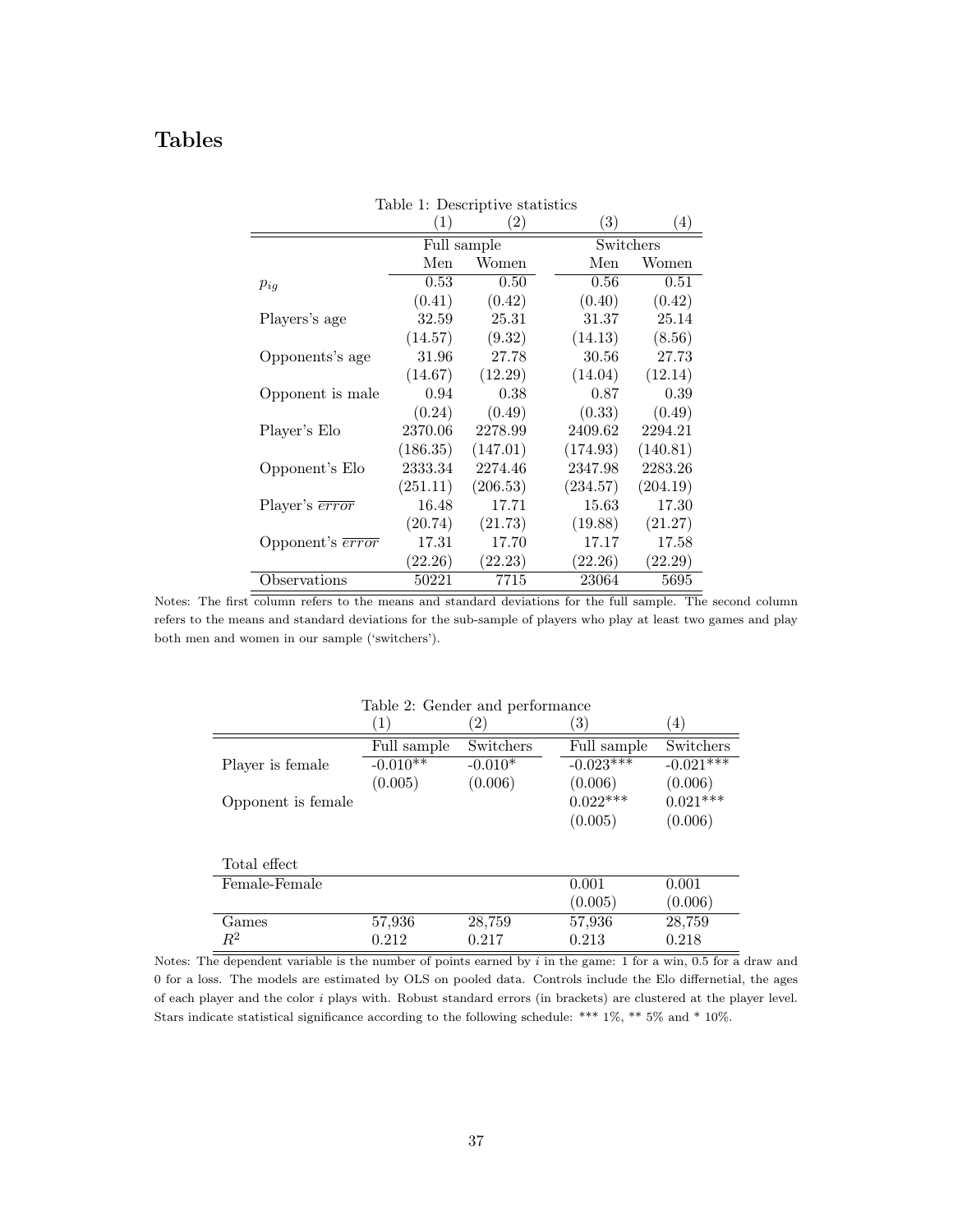# Tables

| Table 1: Descriptive statistics |          |                   |          |                   |  |
|---------------------------------|----------|-------------------|----------|-------------------|--|
|                                 | (1)      | $\left( 2\right)$ | (3)      | $\left( 4\right)$ |  |
|                                 |          | Full sample       |          | Switchers         |  |
|                                 | Men      | Women             | Men      | Women             |  |
| $p_{iq}$                        | 0.53     | 0.50              | 0.56     | 0.51              |  |
|                                 | (0.41)   | (0.42)            | (0.40)   | (0.42)            |  |
| Players's age                   | 32.59    | 25.31             | 31.37    | 25.14             |  |
|                                 | (14.57)  | (9.32)            | (14.13)  | (8.56)            |  |
| Opponents's age                 | 31.96    | 27.78             | 30.56    | 27.73             |  |
|                                 | (14.67)  | (12.29)           | (14.04)  | (12.14)           |  |
| Opponent is male                | 0.94     | 0.38              | 0.87     | 0.39              |  |
|                                 | (0.24)   | (0.49)            | (0.33)   | (0.49)            |  |
| Player's Elo                    | 2370.06  | 2278.99           | 2409.62  | 2294.21           |  |
|                                 | (186.35) | (147.01)          | (174.93) | (140.81)          |  |
| Opponent's Elo                  | 2333.34  | 2274.46           | 2347.98  | 2283.26           |  |
|                                 | (251.11) | (206.53)          | (234.57) | (204.19)          |  |
| Player's $\overline{error}$     | 16.48    | 17.71             | 15.63    | 17.30             |  |
|                                 | (20.74)  | (21.73)           | (19.88)  | (21.27)           |  |
| Opponent's $\overline{error}$   | 17.31    | 17.70             | 17.17    | 17.58             |  |
|                                 | (22.26)  | (22.23)           | (22.26)  | (22.29)           |  |
| Observations                    | 50221    | 7715              | 23064    | 5695              |  |

Notes: The first column refers to the means and standard deviations for the full sample. The second column refers to the means and standard deviations for the sub-sample of players who play at least two games and play both men and women in our sample ('switchers').

| Table 2: Gender and performance |                                      |                                   |                                       |                                     |  |
|---------------------------------|--------------------------------------|-----------------------------------|---------------------------------------|-------------------------------------|--|
|                                 | (1)                                  | $^{\prime}2)$                     | $\left(3\right)$                      | $\left(4\right)$                    |  |
| Player is female                | Full sample<br>$-0.010**$<br>(0.005) | Switchers<br>$-0.010*$<br>(0.006) | Full sample<br>$-0.023***$<br>(0.006) | Switchers<br>$-0.021***$<br>(0.006) |  |
| Opponent is female              |                                      |                                   | $0.022***$<br>(0.005)                 | $0.021***$<br>(0.006)               |  |
| Total effect                    |                                      |                                   |                                       |                                     |  |
| Female-Female                   |                                      |                                   | 0.001                                 | 0.001                               |  |
|                                 |                                      |                                   | (0.005)                               | (0.006)                             |  |
| Games                           | 57,936                               | 28,759                            | 57,936                                | 28,759                              |  |
| $R^2$                           | 0.212                                | 0.217                             | 0.213                                 | 0.218                               |  |

Notes: The dependent variable is the number of points earned by *i* in the game: 1 for a win, 0.5 for a draw and 0 for a loss. The models are estimated by OLS on pooled data. Controls include the Elo differnetial, the ages of each player and the color *i* plays with. Robust standard errors (in brackets) are clustered at the player level. Stars indicate statistical significance according to the following schedule: \*\*\* 1%, \*\* 5% and \* 10%.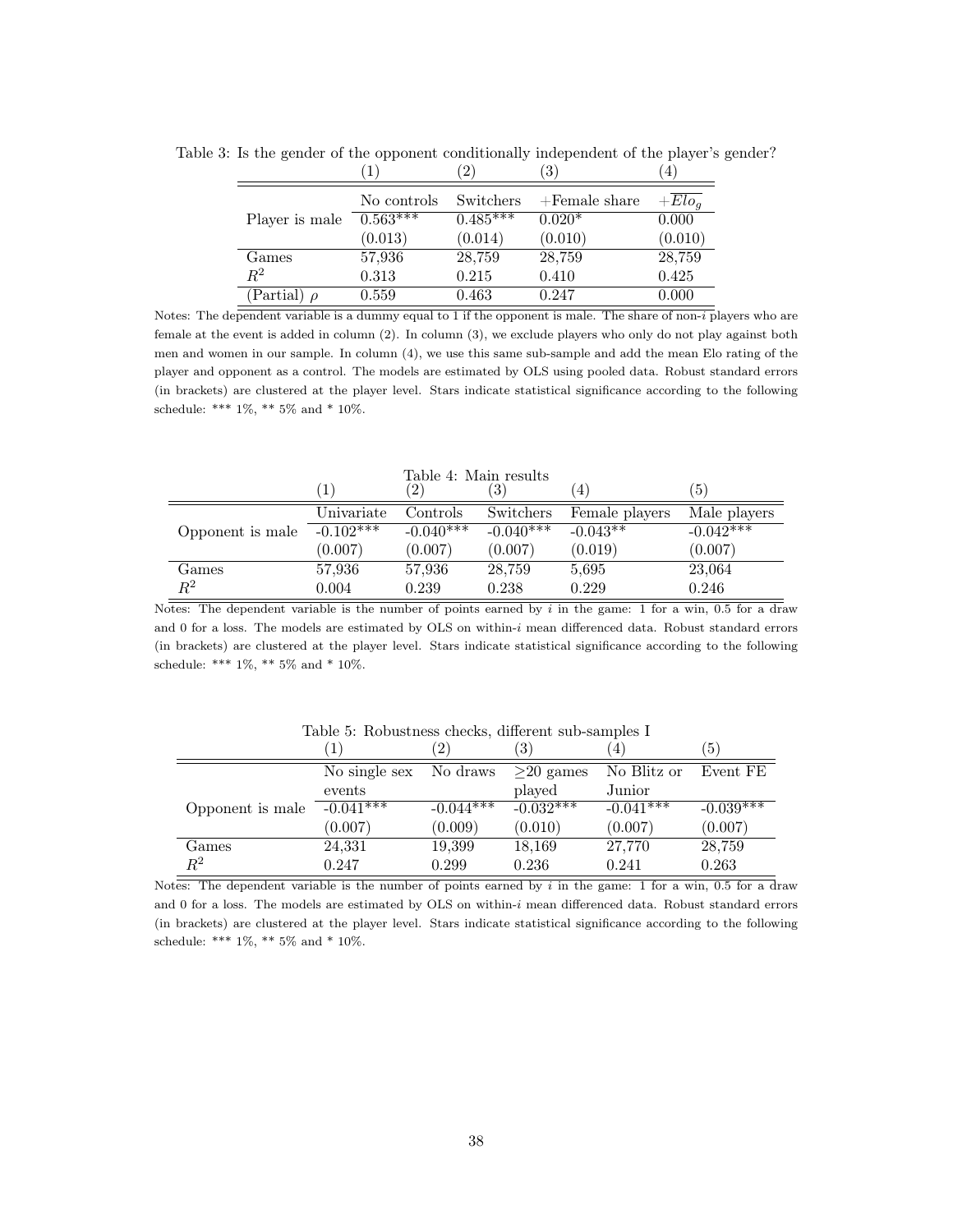|                  |             |            | 3                | 4        |
|------------------|-------------|------------|------------------|----------|
|                  | No controls | Switchers  | $+$ Female share | $+Elo_q$ |
| Player is male   | $0.563***$  | $0.485***$ | $0.020*$         | 0.000    |
|                  | (0.013)     | (0.014)    | (0.010)          | (0.010)  |
| Games            | 57,936      | 28,759     | 28,759           | 28,759   |
| $R^2$            | 0.313       | 0.215      | 0.410            | 0.425    |
| (Partial) $\rho$ | 0.559       | 0.463      | 0.247            | 0.000    |

Table 3: Is the gender of the opponent conditionally independent of the player's gender?<br>(1)  $(2)$   $(3)$   $(4)$ 

Notes: The dependent variable is a dummy equal to 1 if the opponent is male. The share of non-*i* players who are female at the event is added in column (2). In column (3), we exclude players who only do not play against both men and women in our sample. In column (4), we use this same sub-sample and add the mean Elo rating of the player and opponent as a control. The models are estimated by OLS using pooled data. Robust standard errors (in brackets) are clustered at the player level. Stars indicate statistical significance according to the following schedule: \*\*\* 1%, \*\* 5% and \* 10%.

|                  |             | Table 4: Main results |                        |                |              |  |
|------------------|-------------|-----------------------|------------------------|----------------|--------------|--|
|                  |             | $^{\prime}2^{\prime}$ | $\left 3\right\rangle$ | $\overline{4}$ | $.5^{\circ}$ |  |
|                  | Univariate  | Controls              | Switchers              | Female players | Male players |  |
| Opponent is male | $-0.102***$ | $-0.040***$           | $-0.040***$            | $-0.043**$     | $-0.042***$  |  |
|                  | (0.007)     | (0.007)               | (0.007)                | (0.019)        | (0.007)      |  |
| Games            | 57,936      | 57,936                | 28,759                 | 5,695          | 23,064       |  |
| $R^2$            | 0.004       | 0.239                 | 0.238                  | 0.229          | 0.246        |  |

Notes: The dependent variable is the number of points earned by *i* in the game: 1 for a win, 0.5 for a draw and 0 for a loss. The models are estimated by OLS on within-*i* mean differenced data. Robust standard errors (in brackets) are clustered at the player level. Stars indicate statistical significance according to the following schedule: \*\*\* 1%, \*\* 5% and \* 10%.

|                  |               | (2)         | .3)             | 4           | 5           |
|------------------|---------------|-------------|-----------------|-------------|-------------|
|                  | No single sex | No draws    | $\geq$ 20 games | No Blitz or | Event FE    |
|                  | events        |             | played          | Junior      |             |
| Opponent is male | $-0.041***$   | $-0.044***$ | $-0.032***$     | $-0.041***$ | $-0.039***$ |
|                  | (0.007)       | (0.009)     | (0.010)         | (0.007)     | (0.007)     |
| Games            | 24,331        | 19,399      | 18,169          | 27,770      | 28,759      |
| $\,R^2$          | 0.247         | 0.299       | 0.236           | 0.241       | 0.263       |

Table 5: Robustness checks, different sub-samples I

Notes: The dependent variable is the number of points earned by *i* in the game: 1 for a win, 0.5 for a draw and 0 for a loss. The models are estimated by OLS on within-*i* mean differenced data. Robust standard errors (in brackets) are clustered at the player level. Stars indicate statistical significance according to the following schedule: \*\*\* 1%, \*\* 5% and \* 10%.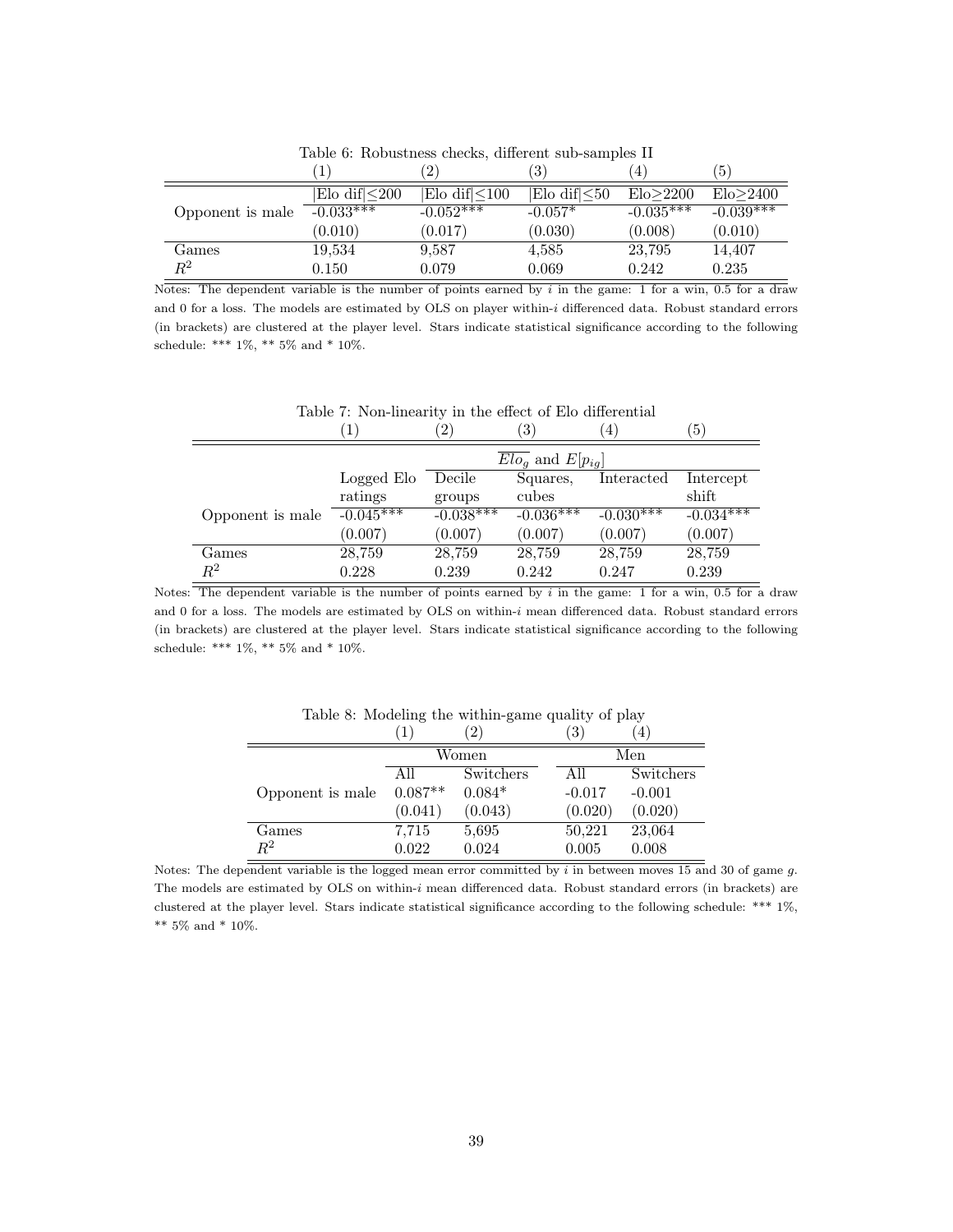|                  |                      | $\left(2\right)$     | $\left(3\right)$  | $\left(4\right)$ | $\mathbf{5}$    |
|------------------|----------------------|----------------------|-------------------|------------------|-----------------|
|                  | $ E$ lo dif $ <$ 200 | $ E$ lo dif $ <$ 100 | Elo dif $\leq 50$ | $E$ lo $>$ 2200  | $E$ lo $> 2400$ |
| Opponent is male | $-0.033***$          | $-0.052***$          | $-0.057*$         | $-0.035***$      | $-0.039***$     |
|                  | (0.010)              | (0.017)              | (0.030)           | (0.008)          | (0.010)         |
| Games            | 19,534               | 9,587                | 4,585             | 23,795           | 14,407          |
| $\bar{R}^2$      | 0.150                | 0.079                | 0.069             | 0.242            | 0.235           |

Table 6: Robustness checks, different sub-samples II

Notes: The dependent variable is the number of points earned by *i* in the game: 1 for a win, 0.5 for a draw and 0 for a loss. The models are estimated by OLS on player within-*i* differenced data. Robust standard errors (in brackets) are clustered at the player level. Stars indicate statistical significance according to the following schedule: \*\*\* 1%, \*\* 5% and \* 10%.

|                  | $\mathbf{1}$ | $\cdot$<br>$\left( 2\right)$ | (3)                     | $\left( 4\right)$ | $\left(5\right)$ |
|------------------|--------------|------------------------------|-------------------------|-------------------|------------------|
|                  |              |                              | $Elo_q$ and $E[p_{iq}]$ |                   |                  |
|                  | Logged Elo   | Decile                       | Squares,                | Interacted        | Intercept        |
|                  | ratings      | groups                       | cubes                   |                   | shift            |
| Opponent is male | $-0.045***$  | $-0.038***$                  | $-0.036***$             | $-0.030***$       | $-0.034***$      |
|                  | (0.007)      | (0.007)                      | (0.007)                 | (0.007)           | (0.007)          |
| Games            | 28,759       | 28,759                       | 28,759                  | 28,759            | 28,759           |
| $\,R^2$          | 0.228        | 0.239                        | 0.242                   | 0.247             | 0.239            |

Table 7: Non-linearity in the effect of Elo differential

Notes: The dependent variable is the number of points earned by *i* in the game: 1 for a win, 0.5 for a draw and 0 for a loss. The models are estimated by OLS on within-*i* mean differenced data. Robust standard errors (in brackets) are clustered at the player level. Stars indicate statistical significance according to the following schedule: \*\*\* 1%, \*\* 5% and \* 10%.

|                  | $\mathbf{1}$ |           | '3'      | (4)       |
|------------------|--------------|-----------|----------|-----------|
|                  |              | Women     |          | Men       |
|                  | All          | Switchers | All      | Switchers |
| Opponent is male | $0.087**$    | $0.084*$  | $-0.017$ | $-0.001$  |
|                  | (0.041)      | (0.043)   | (0.020)  | (0.020)   |
| Games            | 7,715        | 5,695     | 50,221   | 23,064    |
| $R^2$            | 0.022        | 0.024     | 0.005    | 0.008     |

Table 8: Modeling the within-game quality of play

Notes: The dependent variable is the logged mean error committed by *i* in between moves 15 and 30 of game *g*. The models are estimated by OLS on within-*i* mean differenced data. Robust standard errors (in brackets) are clustered at the player level. Stars indicate statistical significance according to the following schedule: \*\*\* 1%,  $^{**}$  5% and \* 10%.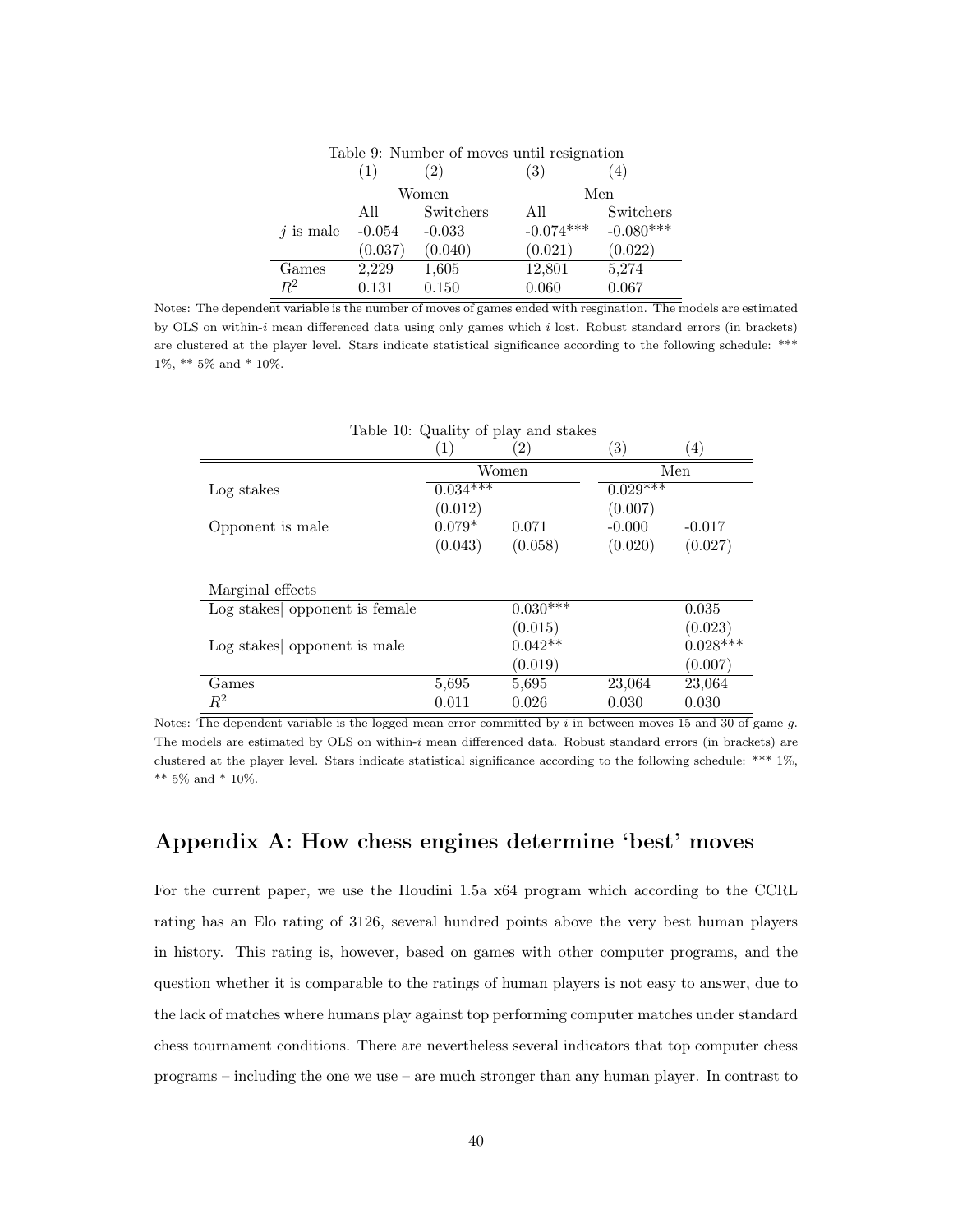|                |          | (2)       | 3)          | 4           |
|----------------|----------|-----------|-------------|-------------|
|                |          | Women     |             | Men         |
|                | All      | Switchers | All         | Switchers   |
| $i$ is male    | $-0.054$ | $-0.033$  | $-0.074***$ | $-0.080***$ |
|                | (0.037)  | (0.040)   | (0.021)     | (0.022)     |
| Games          | 2,229    | 1,605     | 12,801      | 5,274       |
| $\mathbb{R}^2$ | 0.131    | 0.150     | 0.060       | 0.067       |

Table 9: Number of moves until resignation

Notes: The dependent variable is the number of moves of games ended with resgination. The models are estimated by OLS on within-*i* mean differenced data using only games which *i* lost. Robust standard errors (in brackets) are clustered at the player level. Stars indicate statistical significance according to the following schedule: \*\*\* 1%,  $** 5\%$  and  $* 10\%.$ 

|                               |            | Table 10: Quality of play and stakes |                   |            |
|-------------------------------|------------|--------------------------------------|-------------------|------------|
|                               | (1)        | $\left( 2\right)$                    | $\left( 3\right)$ | $^{(4)}$   |
|                               |            | Women                                |                   | Men        |
| Log stakes                    | $0.034***$ |                                      | $0.029***$        |            |
|                               | (0.012)    |                                      | (0.007)           |            |
| Opponent is male              | $0.079*$   | 0.071                                | $-0.000$          | $-0.017$   |
|                               | (0.043)    | (0.058)                              | (0.020)           | (0.027)    |
|                               |            |                                      |                   |            |
| Marginal effects              |            |                                      |                   |            |
| Log stakes opponent is female |            | $0.030***$                           |                   | 0.035      |
|                               |            | (0.015)                              |                   | (0.023)    |
| Log stakes opponent is male   |            | $0.042**$                            |                   | $0.028***$ |
|                               |            | (0.019)                              |                   | (0.007)    |
| Games                         | 5,695      | 5,695                                | 23,064            | 23,064     |
| $R^2$                         | 0.011      | 0.026                                | 0.030             | 0.030      |

Notes: The dependent variable is the logged mean error committed by *i* in between moves 15 and 30 of game *g*. The models are estimated by OLS on within-*i* mean differenced data. Robust standard errors (in brackets) are clustered at the player level. Stars indicate statistical significance according to the following schedule: \*\*\* 1%, \*\*  $5\%$  and \*  $10\%$ .

# Appendix A: How chess engines determine 'best' moves

For the current paper, we use the Houdini 1.5a x64 program which according to the CCRL rating has an Elo rating of 3126, several hundred points above the very best human players in history. This rating is, however, based on games with other computer programs, and the question whether it is comparable to the ratings of human players is not easy to answer, due to the lack of matches where humans play against top performing computer matches under standard chess tournament conditions. There are nevertheless several indicators that top computer chess programs – including the one we use – are much stronger than any human player. In contrast to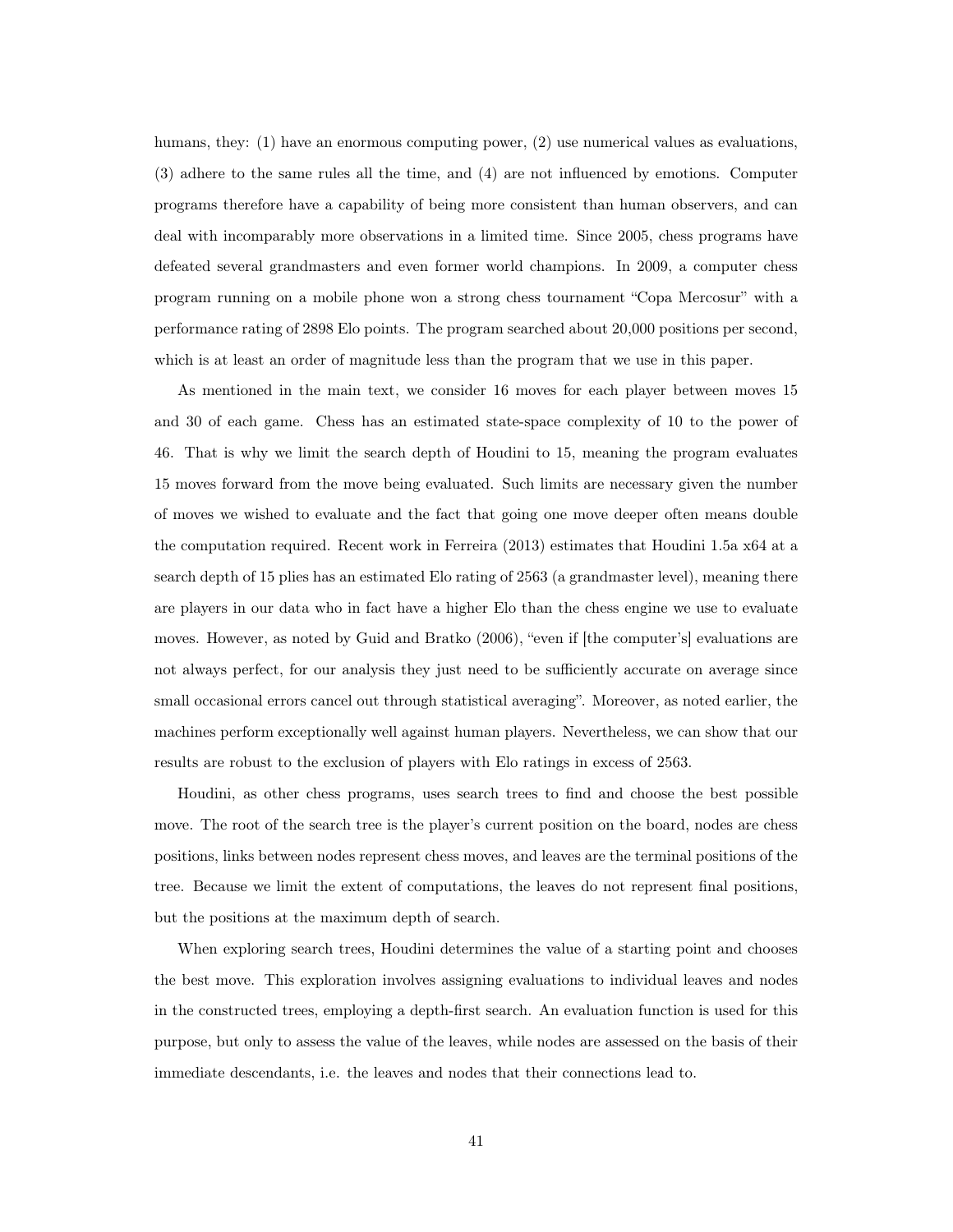humans, they: (1) have an enormous computing power, (2) use numerical values as evaluations, (3) adhere to the same rules all the time, and (4) are not influenced by emotions. Computer programs therefore have a capability of being more consistent than human observers, and can deal with incomparably more observations in a limited time. Since 2005, chess programs have defeated several grandmasters and even former world champions. In 2009, a computer chess program running on a mobile phone won a strong chess tournament "Copa Mercosur" with a performance rating of 2898 Elo points. The program searched about 20,000 positions per second, which is at least an order of magnitude less than the program that we use in this paper.

As mentioned in the main text, we consider 16 moves for each player between moves 15 and 30 of each game. Chess has an estimated state-space complexity of 10 to the power of 46. That is why we limit the search depth of Houdini to 15, meaning the program evaluates 15 moves forward from the move being evaluated. Such limits are necessary given the number of moves we wished to evaluate and the fact that going one move deeper often means double the computation required. Recent work in Ferreira (2013) estimates that Houdini 1.5a x64 at a search depth of 15 plies has an estimated Elo rating of 2563 (a grandmaster level), meaning there are players in our data who in fact have a higher Elo than the chess engine we use to evaluate moves. However, as noted by Guid and Bratko (2006), "even if [the computer's] evaluations are not always perfect, for our analysis they just need to be sufficiently accurate on average since small occasional errors cancel out through statistical averaging". Moreover, as noted earlier, the machines perform exceptionally well against human players. Nevertheless, we can show that our results are robust to the exclusion of players with Elo ratings in excess of 2563.

Houdini, as other chess programs, uses search trees to find and choose the best possible move. The root of the search tree is the player's current position on the board, nodes are chess positions, links between nodes represent chess moves, and leaves are the terminal positions of the tree. Because we limit the extent of computations, the leaves do not represent final positions, but the positions at the maximum depth of search.

When exploring search trees, Houdini determines the value of a starting point and chooses the best move. This exploration involves assigning evaluations to individual leaves and nodes in the constructed trees, employing a depth-first search. An evaluation function is used for this purpose, but only to assess the value of the leaves, while nodes are assessed on the basis of their immediate descendants, i.e. the leaves and nodes that their connections lead to.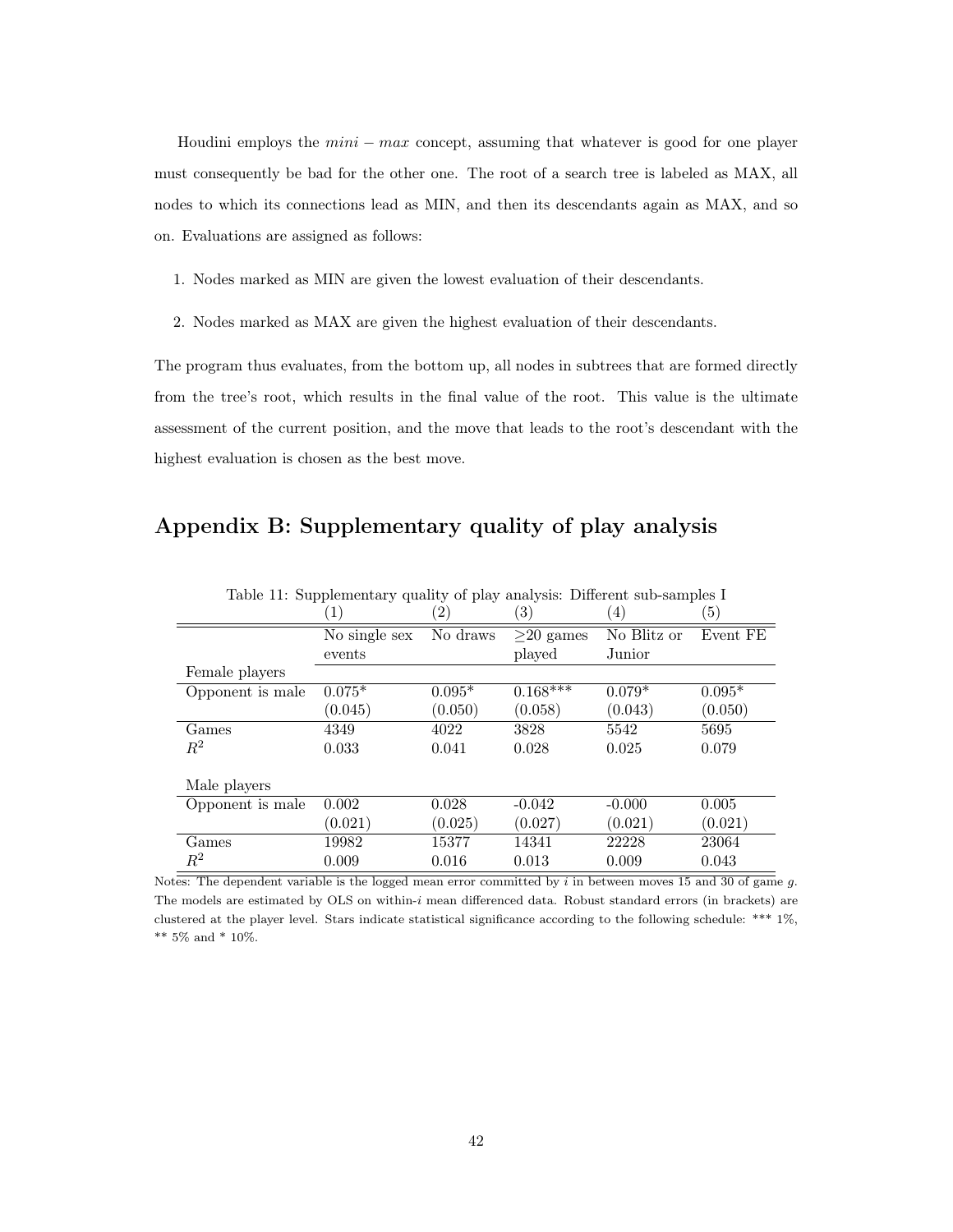Houdini employs the  $min - max$  concept, assuming that whatever is good for one player must consequently be bad for the other one. The root of a search tree is labeled as MAX, all nodes to which its connections lead as MIN, and then its descendants again as MAX, and so on. Evaluations are assigned as follows:

- 1. Nodes marked as MIN are given the lowest evaluation of their descendants.
- 2. Nodes marked as MAX are given the highest evaluation of their descendants.

The program thus evaluates, from the bottom up, all nodes in subtrees that are formed directly from the tree's root, which results in the final value of the root. This value is the ultimate assessment of the current position, and the move that leads to the root's descendant with the highest evaluation is chosen as the best move.

# Appendix B: Supplementary quality of play analysis

|                  | Laste II, supplementary quanty of play amaysis. Different sub-samples I | $\left( 2\right)$ | (3)             | (4)         | (5)      |
|------------------|-------------------------------------------------------------------------|-------------------|-----------------|-------------|----------|
|                  | No single sex                                                           | No draws          | $\geq$ 20 games | No Blitz or | Event FE |
|                  | events                                                                  |                   | played          | Junior      |          |
| Female players   |                                                                         |                   |                 |             |          |
| Opponent is male | $0.075*$                                                                | $0.095*$          | $0.168***$      | $0.079*$    | $0.095*$ |
|                  | (0.045)                                                                 | (0.050)           | (0.058)         | (0.043)     | (0.050)  |
| Games            | 4349                                                                    | 4022              | 3828            | 5542        | 5695     |
| $R^2$            | 0.033                                                                   | 0.041             | 0.028           | 0.025       | 0.079    |
|                  |                                                                         |                   |                 |             |          |
| Male players     |                                                                         |                   |                 |             |          |
| Opponent is male | 0.002                                                                   | 0.028             | $-0.042$        | $-0.000$    | 0.005    |
|                  | (0.021)                                                                 | (0.025)           | (0.027)         | (0.021)     | (0.021)  |
| Games            | 19982                                                                   | 15377             | 14341           | 22228       | 23064    |
| $R^2$            | 0.009                                                                   | 0.016             | 0.013           | 0.009       | 0.043    |

Table 11: Supplementary quality of play analysis: Different sub-samples I

Notes: The dependent variable is the logged mean error committed by *i* in between moves 15 and 30 of game *g*. The models are estimated by OLS on within-*i* mean differenced data. Robust standard errors (in brackets) are clustered at the player level. Stars indicate statistical significance according to the following schedule: \*\*\* 1%, \*\*  $5\%$  and \*  $10\%$ .